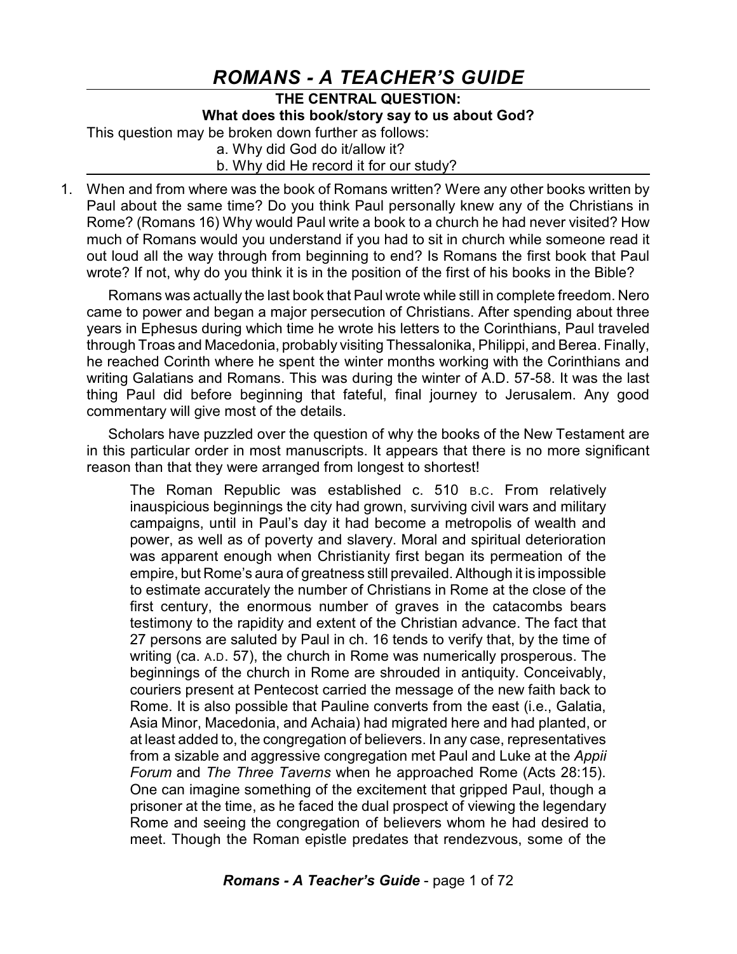# *ROMANS - A TEACHER'S GUIDE*

**THE CENTRAL QUESTION: What does this book/story say to us about God?** This question may be broken down further as follows: a. Why did God do it/allow it? b. Why did He record it for our study?

1. When and from where was the book of Romans written? Were any other books written by Paul about the same time? Do you think Paul personally knew any of the Christians in Rome? (Romans 16) Why would Paul write a book to a church he had never visited? How much of Romans would you understand if you had to sit in church while someone read it out loud all the way through from beginning to end? Is Romans the first book that Paul wrote? If not, why do you think it is in the position of the first of his books in the Bible?

Romans was actually the last book that Paul wrote while still in complete freedom. Nero came to power and began a major persecution of Christians. After spending about three years in Ephesus during which time he wrote his letters to the Corinthians, Paul traveled through Troas and Macedonia, probably visiting Thessalonika, Philippi, and Berea. Finally, he reached Corinth where he spent the winter months working with the Corinthians and writing Galatians and Romans. This was during the winter of A.D. 57-58. It was the last thing Paul did before beginning that fateful, final journey to Jerusalem. Any good commentary will give most of the details.

Scholars have puzzled over the question of why the books of the New Testament are in this particular order in most manuscripts. It appears that there is no more significant reason than that they were arranged from longest to shortest!

The Roman Republic was established c. 510 B.C. From relatively inauspicious beginnings the city had grown, surviving civil wars and military campaigns, until in Paul's day it had become a metropolis of wealth and power, as well as of poverty and slavery. Moral and spiritual deterioration was apparent enough when Christianity first began its permeation of the empire, but Rome's aura of greatness still prevailed. Although it is impossible to estimate accurately the number of Christians in Rome at the close of the first century, the enormous number of graves in the catacombs bears testimony to the rapidity and extent of the Christian advance. The fact that 27 persons are saluted by Paul in ch. 16 tends to verify that, by the time of writing (ca. A.D. 57), the church in Rome was numerically prosperous. The beginnings of the church in Rome are shrouded in antiquity. Conceivably, couriers present at Pentecost carried the message of the new faith back to Rome. It is also possible that Pauline converts from the east (i.e., Galatia, Asia Minor, Macedonia, and Achaia) had migrated here and had planted, or at least added to, the congregation of believers. In any case, representatives from a sizable and aggressive congregation met Paul and Luke at the *Appii Forum* and *The Three Taverns* when he approached Rome (Acts 28:15). One can imagine something of the excitement that gripped Paul, though a prisoner at the time, as he faced the dual prospect of viewing the legendary Rome and seeing the congregation of believers whom he had desired to meet. Though the Roman epistle predates that rendezvous, some of the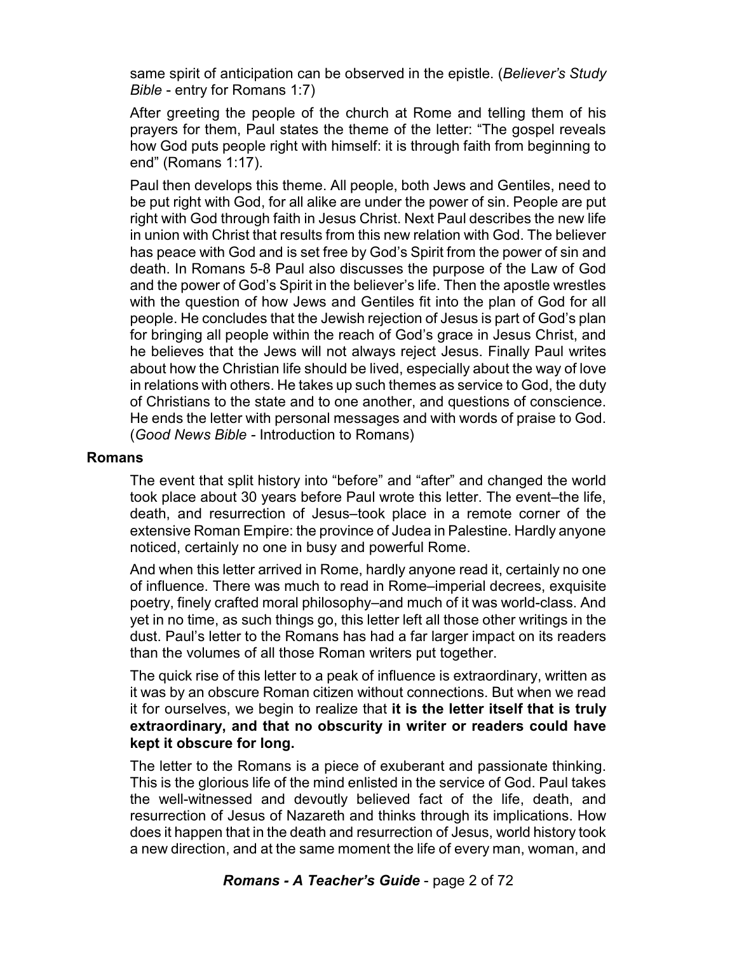same spirit of anticipation can be observed in the epistle. (*Believer's Study Bible* - entry for Romans 1:7)

After greeting the people of the church at Rome and telling them of his prayers for them, Paul states the theme of the letter: "The gospel reveals how God puts people right with himself: it is through faith from beginning to end" (Romans 1:17).

Paul then develops this theme. All people, both Jews and Gentiles, need to be put right with God, for all alike are under the power of sin. People are put right with God through faith in Jesus Christ. Next Paul describes the new life in union with Christ that results from this new relation with God. The believer has peace with God and is set free by God's Spirit from the power of sin and death. In Romans 5-8 Paul also discusses the purpose of the Law of God and the power of God's Spirit in the believer's life. Then the apostle wrestles with the question of how Jews and Gentiles fit into the plan of God for all people. He concludes that the Jewish rejection of Jesus is part of God's plan for bringing all people within the reach of God's grace in Jesus Christ, and he believes that the Jews will not always reject Jesus. Finally Paul writes about how the Christian life should be lived, especially about the way of love in relations with others. He takes up such themes as service to God, the duty of Christians to the state and to one another, and questions of conscience. He ends the letter with personal messages and with words of praise to God. (*Good News Bible -* Introduction to Romans)

#### **Romans**

The event that split history into "before" and "after" and changed the world took place about 30 years before Paul wrote this letter. The event–the life, death, and resurrection of Jesus–took place in a remote corner of the extensive Roman Empire: the province of Judea in Palestine. Hardly anyone noticed, certainly no one in busy and powerful Rome.

And when this letter arrived in Rome, hardly anyone read it, certainly no one of influence. There was much to read in Rome–imperial decrees, exquisite poetry, finely crafted moral philosophy–and much of it was world-class. And yet in no time, as such things go, this letter left all those other writings in the dust. Paul's letter to the Romans has had a far larger impact on its readers than the volumes of all those Roman writers put together.

The quick rise of this letter to a peak of influence is extraordinary, written as it was by an obscure Roman citizen without connections. But when we read it for ourselves, we begin to realize that **it is the letter itself that is truly extraordinary, and that no obscurity in writer or readers could have kept it obscure for long.**

The letter to the Romans is a piece of exuberant and passionate thinking. This is the glorious life of the mind enlisted in the service of God. Paul takes the well-witnessed and devoutly believed fact of the life, death, and resurrection of Jesus of Nazareth and thinks through its implications. How does it happen that in the death and resurrection of Jesus, world history took a new direction, and at the same moment the life of every man, woman, and

#### *Romans - A Teacher's Guide* - page 2 of 72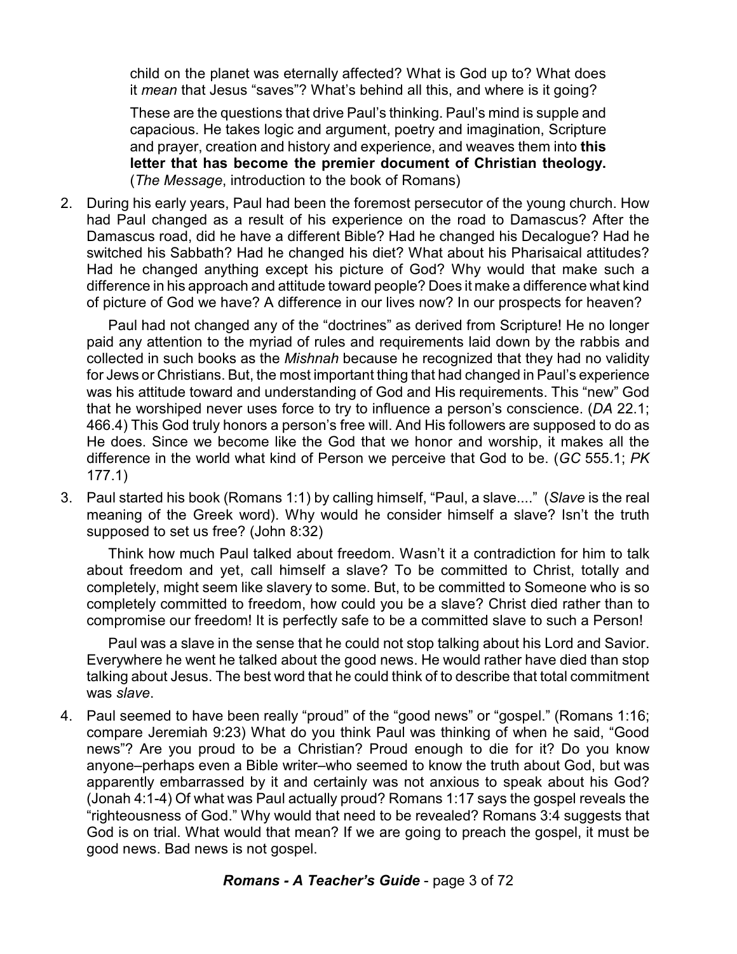child on the planet was eternally affected? What is God up to? What does it *mean* that Jesus "saves"? What's behind all this, and where is it going?

These are the questions that drive Paul's thinking. Paul's mind is supple and capacious. He takes logic and argument, poetry and imagination, Scripture and prayer, creation and history and experience, and weaves them into **this letter that has become the premier document of Christian theology.** (*The Message*, introduction to the book of Romans)

2. During his early years, Paul had been the foremost persecutor of the young church. How had Paul changed as a result of his experience on the road to Damascus? After the Damascus road, did he have a different Bible? Had he changed his Decalogue? Had he switched his Sabbath? Had he changed his diet? What about his Pharisaical attitudes? Had he changed anything except his picture of God? Why would that make such a difference in his approach and attitude toward people? Does it make a difference what kind of picture of God we have? A difference in our lives now? In our prospects for heaven?

Paul had not changed any of the "doctrines" as derived from Scripture! He no longer paid any attention to the myriad of rules and requirements laid down by the rabbis and collected in such books as the *Mishnah* because he recognized that they had no validity for Jews or Christians. But, the most important thing that had changed in Paul's experience was his attitude toward and understanding of God and His requirements. This "new" God that he worshiped never uses force to try to influence a person's conscience. (*DA* 22.1; 466.4) This God truly honors a person's free will. And His followers are supposed to do as He does. Since we become like the God that we honor and worship, it makes all the difference in the world what kind of Person we perceive that God to be. (*GC* 555.1; *PK* 177.1)

3. Paul started his book (Romans 1:1) by calling himself, "Paul, a slave...." (*Slave* is the real meaning of the Greek word). Why would he consider himself a slave? Isn't the truth supposed to set us free? (John 8:32)

Think how much Paul talked about freedom. Wasn't it a contradiction for him to talk about freedom and yet, call himself a slave? To be committed to Christ, totally and completely, might seem like slavery to some. But, to be committed to Someone who is so completely committed to freedom, how could you be a slave? Christ died rather than to compromise our freedom! It is perfectly safe to be a committed slave to such a Person!

Paul was a slave in the sense that he could not stop talking about his Lord and Savior. Everywhere he went he talked about the good news. He would rather have died than stop talking about Jesus. The best word that he could think of to describe that total commitment was *slave*.

4. Paul seemed to have been really "proud" of the "good news" or "gospel." (Romans 1:16; compare Jeremiah 9:23) What do you think Paul was thinking of when he said, "Good news"? Are you proud to be a Christian? Proud enough to die for it? Do you know anyone–perhaps even a Bible writer–who seemed to know the truth about God, but was apparently embarrassed by it and certainly was not anxious to speak about his God? (Jonah 4:1-4) Of what was Paul actually proud? Romans 1:17 says the gospel reveals the "righteousness of God." Why would that need to be revealed? Romans 3:4 suggests that God is on trial. What would that mean? If we are going to preach the gospel, it must be good news. Bad news is not gospel.

#### *Romans - A Teacher's Guide* - page 3 of 72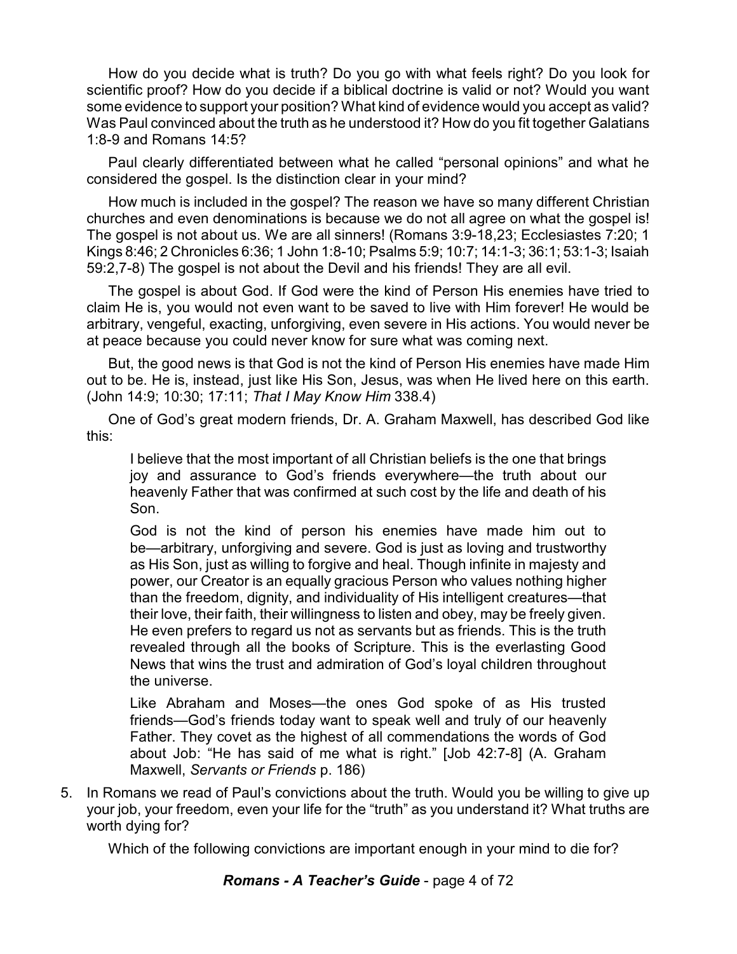How do you decide what is truth? Do you go with what feels right? Do you look for scientific proof? How do you decide if a biblical doctrine is valid or not? Would you want some evidence to support your position? What kind of evidence would you accept as valid? Was Paul convinced about the truth as he understood it? How do you fit together Galatians 1:8-9 and Romans 14:5?

Paul clearly differentiated between what he called "personal opinions" and what he considered the gospel. Is the distinction clear in your mind?

How much is included in the gospel? The reason we have so many different Christian churches and even denominations is because we do not all agree on what the gospel is! The gospel is not about us. We are all sinners! (Romans 3:9-18,23; Ecclesiastes 7:20; 1 Kings 8:46; 2 Chronicles 6:36; 1 John 1:8-10; Psalms 5:9; 10:7; 14:1-3; 36:1; 53:1-3; Isaiah 59:2,7-8) The gospel is not about the Devil and his friends! They are all evil.

The gospel is about God. If God were the kind of Person His enemies have tried to claim He is, you would not even want to be saved to live with Him forever! He would be arbitrary, vengeful, exacting, unforgiving, even severe in His actions. You would never be at peace because you could never know for sure what was coming next.

But, the good news is that God is not the kind of Person His enemies have made Him out to be. He is, instead, just like His Son, Jesus, was when He lived here on this earth. (John 14:9; 10:30; 17:11; *That I May Know Him* 338.4)

One of God's great modern friends, Dr. A. Graham Maxwell, has described God like this:

I believe that the most important of all Christian beliefs is the one that brings joy and assurance to God's friends everywhere—the truth about our heavenly Father that was confirmed at such cost by the life and death of his Son.

God is not the kind of person his enemies have made him out to be—arbitrary, unforgiving and severe. God is just as loving and trustworthy as His Son, just as willing to forgive and heal. Though infinite in majesty and power, our Creator is an equally gracious Person who values nothing higher than the freedom, dignity, and individuality of His intelligent creatures—that their love, their faith, their willingness to listen and obey, may be freely given. He even prefers to regard us not as servants but as friends. This is the truth revealed through all the books of Scripture. This is the everlasting Good News that wins the trust and admiration of God's loyal children throughout the universe.

Like Abraham and Moses—the ones God spoke of as His trusted friends—God's friends today want to speak well and truly of our heavenly Father. They covet as the highest of all commendations the words of God about Job: "He has said of me what is right." [Job 42:7-8] (A. Graham Maxwell, *Servants or Friends* p. 186)

5. In Romans we read of Paul's convictions about the truth. Would you be willing to give up your job, your freedom, even your life for the "truth" as you understand it? What truths are worth dying for?

Which of the following convictions are important enough in your mind to die for?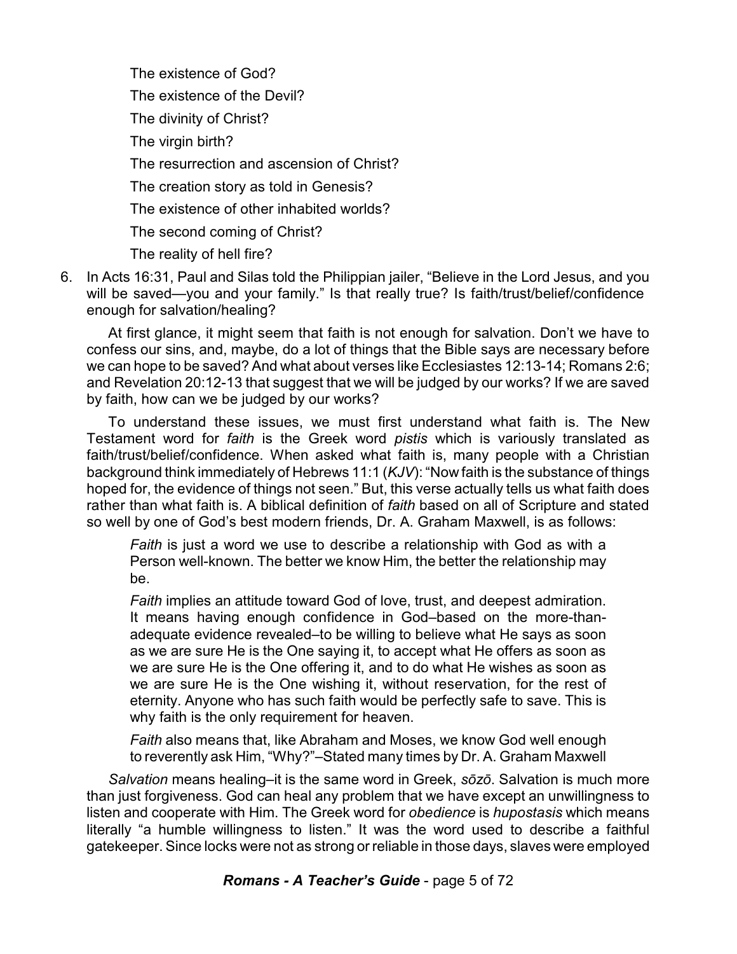The existence of God? The existence of the Devil? The divinity of Christ? The virgin birth? The resurrection and ascension of Christ? The creation story as told in Genesis? The existence of other inhabited worlds? The second coming of Christ? The reality of hell fire?

6. In Acts 16:31, Paul and Silas told the Philippian jailer, "Believe in the Lord Jesus, and you will be saved—you and your family." Is that really true? Is faith/trust/belief/confidence enough for salvation/healing?

At first glance, it might seem that faith is not enough for salvation. Don't we have to confess our sins, and, maybe, do a lot of things that the Bible says are necessary before we can hope to be saved? And what about verses like Ecclesiastes 12:13-14; Romans 2:6; and Revelation 20:12-13 that suggest that we will be judged by our works? If we are saved by faith, how can we be judged by our works?

To understand these issues, we must first understand what faith is. The New Testament word for *faith* is the Greek word *pistis* which is variously translated as faith/trust/belief/confidence. When asked what faith is, many people with a Christian background think immediately of Hebrews 11:1 (*KJV*): "Now faith is the substance of things hoped for, the evidence of things not seen." But, this verse actually tells us what faith does rather than what faith is. A biblical definition of *faith* based on all of Scripture and stated so well by one of God's best modern friends, Dr. A. Graham Maxwell, is as follows:

*Faith* is just a word we use to describe a relationship with God as with a Person well-known. The better we know Him, the better the relationship may be.

*Faith* implies an attitude toward God of love, trust, and deepest admiration. It means having enough confidence in God–based on the more-thanadequate evidence revealed–to be willing to believe what He says as soon as we are sure He is the One saying it, to accept what He offers as soon as we are sure He is the One offering it, and to do what He wishes as soon as we are sure He is the One wishing it, without reservation, for the rest of eternity. Anyone who has such faith would be perfectly safe to save. This is why faith is the only requirement for heaven.

*Faith* also means that, like Abraham and Moses, we know God well enough to reverently ask Him, "Why?"–Stated many times by Dr. A. Graham Maxwell

*Salvation* means healing–it is the same word in Greek, *sôzô*. Salvation is much more than just forgiveness. God can heal any problem that we have except an unwillingness to listen and cooperate with Him. The Greek word for *obedience* is *hupostasis* which means literally "a humble willingness to listen." It was the word used to describe a faithful gatekeeper. Since locks were not as strong or reliable in those days, slaves were employed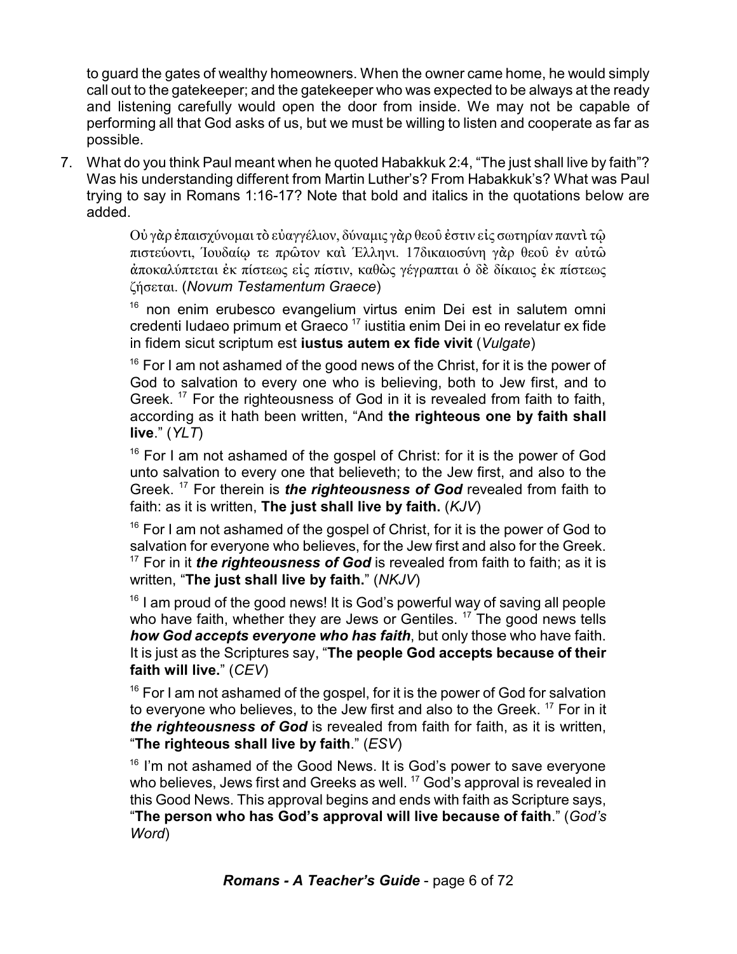to guard the gates of wealthy homeowners. When the owner came home, he would simply call out to the gatekeeper; and the gatekeeper who was expected to be always at the ready and listening carefully would open the door from inside. We may not be capable of performing all that God asks of us, but we must be willing to listen and cooperate as far as possible.

7. What do you think Paul meant when he quoted Habakkuk 2:4, "The just shall live by faith"? Was his understanding different from Martin Luther's? From Habakkuk's? What was Paul trying to say in Romans 1:16-17? Note that bold and italics in the quotations below are added.

> Οὐγὰρ ἐπαισχύνομαι τὸ εὐαγγέλιον, δύναμις γὰρ θεοῦ ἐστιν εἰς σωτηρίαν παντὶ τῷ πιστεύοντι, Ίουδαίω τε πρώτον και Έλληνι. 17δικαιοσύνη γαρ θεοῦ ἐν αὐτῶ άποκαλύπτεται έκ πίστεως είς πίστιν, καθώς γέγραπται ὁ δὲ δίκαιος ἐκ πίστεως ζήσεται. (*Novum Testamentum Graece*)

> $16$  non enim erubesco evangelium virtus enim Dei est in salutem omni credenti Iudaeo primum et Graeco<sup>17</sup> iustitia enim Dei in eo revelatur ex fide in fidem sicut scriptum est **iustus autem ex fide vivit** (*Vulgate*)

> $16$  For I am not ashamed of the good news of the Christ, for it is the power of God to salvation to every one who is believing, both to Jew first, and to Greek.  $17$  For the righteousness of God in it is revealed from faith to faith, according as it hath been written, "And **the righteous one by faith shall live**." (*YLT*)

> $16$  For I am not ashamed of the gospel of Christ: for it is the power of God unto salvation to every one that believeth; to the Jew first, and also to the Greek.<sup>17</sup> For therein is *the righteousness of God* revealed from faith to faith: as it is written, **The just shall live by faith.** (*KJV*)

> $16$  For I am not ashamed of the gospel of Christ, for it is the power of God to salvation for everyone who believes, for the Jew first and also for the Greek. <sup>17</sup> For in it *the righteousness of God* is revealed from faith to faith; as it is written, "**The just shall live by faith.**" (*NKJV*)

> $16$  I am proud of the good news! It is God's powerful way of saving all people who have faith, whether they are Jews or Gentiles.  $17$  The good news tells *how God accepts everyone who has faith*, but only those who have faith. It is just as the Scriptures say, "**The people God accepts because of their faith will live.**" (*CEV*)

> $16$  For I am not ashamed of the gospel, for it is the power of God for salvation to everyone who believes, to the Jew first and also to the Greek.  $17$  For in it *the righteousness of God* is revealed from faith for faith, as it is written, "**The righteous shall live by faith**." (*ESV*)

> $16$  I'm not ashamed of the Good News. It is God's power to save everyone who believes, Jews first and Greeks as well.  $17$  God's approval is revealed in this Good News. This approval begins and ends with faith as Scripture says, "**The person who has God's approval will live because of faith**." (*God's Word*)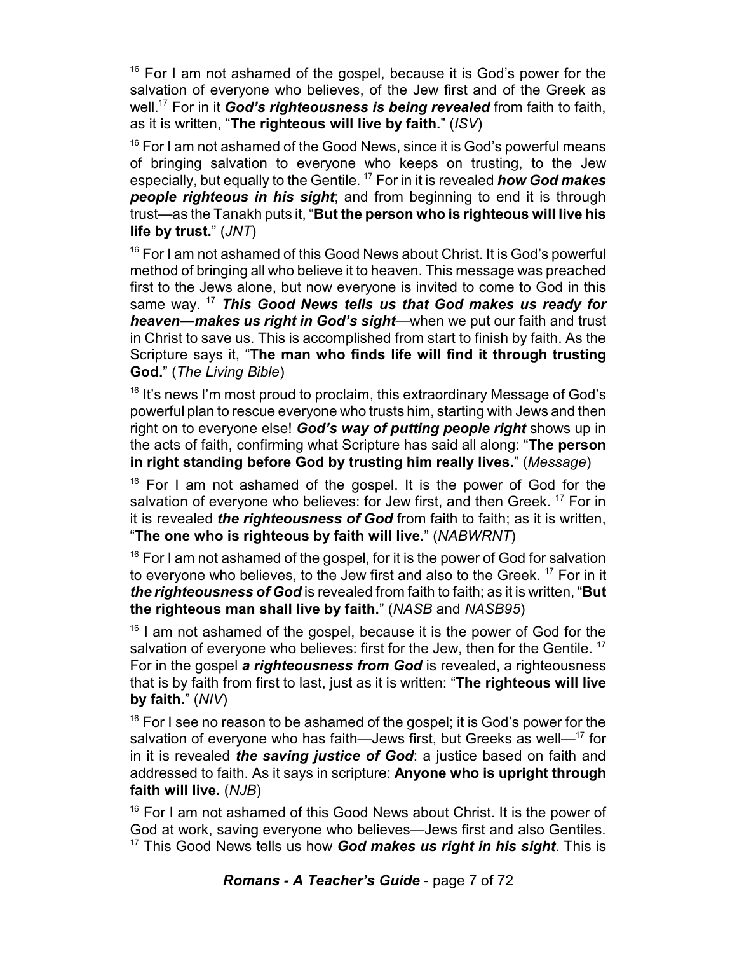$16$  For I am not ashamed of the gospel, because it is God's power for the salvation of everyone who believes, of the Jew first and of the Greek as well.<sup>17</sup> For in it *God's righteousness is being revealed* from faith to faith, as it is written, "**The righteous will live by faith.**" (*ISV*)

 $16$  For I am not ashamed of the Good News, since it is God's powerful means of bringing salvation to everyone who keeps on trusting, to the Jew especially, but equally to the Gentile.<sup>17</sup> For in it is revealed **how God makes** *people righteous in his sight*; and from beginning to end it is through trust—as the Tanakh puts it, "**But the person who is righteous will live his life by trust.**" (*JNT*)

 $16$  For I am not ashamed of this Good News about Christ. It is God's powerful method of bringing all who believe it to heaven. This message was preached first to the Jews alone, but now everyone is invited to come to God in this same way.<sup>17</sup> This Good News tells us that God makes us ready for *heaven—makes us right in God's sight*—when we put our faith and trust in Christ to save us. This is accomplished from start to finish by faith. As the Scripture says it, "**The man who finds life will find it through trusting God.**" (*The Living Bible*)

 $16$  It's news I'm most proud to proclaim, this extraordinary Message of God's powerful plan to rescue everyone who trusts him, starting with Jews and then right on to everyone else! *God's way of putting people right* shows up in the acts of faith, confirming what Scripture has said all along: "**The person in right standing before God by trusting him really lives.**" (*Message*)

 $16$  For I am not ashamed of the gospel. It is the power of God for the salvation of everyone who believes: for Jew first, and then Greek.  $17$  For in it is revealed *the righteousness of God* from faith to faith; as it is written, "**The one who is righteous by faith will live.**" (*NABWRNT*)

 $16$  For I am not ashamed of the gospel, for it is the power of God for salvation to everyone who believes, to the Jew first and also to the Greek.  $17$  For in it *the righteousness of God* is revealed from faith to faith; as it is written, "**But the righteous man shall live by faith.**" (*NASB* and *NASB95*)

 $16$  I am not ashamed of the gospel, because it is the power of God for the salvation of everyone who believes: first for the Jew, then for the Gentile.  $17$ For in the gospel *a righteousness from God* is revealed, a righteousness that is by faith from first to last, just as it is written: "**The righteous will live by faith.**" (*NIV*)

 $16$  For I see no reason to be ashamed of the gospel; it is God's power for the salvation of everyone who has faith—Jews first, but Greeks as well— $17$  for in it is revealed *the saving justice of God*: a justice based on faith and addressed to faith. As it says in scripture: **Anyone who is upright through faith will live.** (*NJB*)

 $16$  For I am not ashamed of this Good News about Christ. It is the power of God at work, saving everyone who believes—Jews first and also Gentiles. <sup>17</sup> This Good News tells us how **God makes us right in his sight**. This is

*Romans - A Teacher's Guide* - page 7 of 72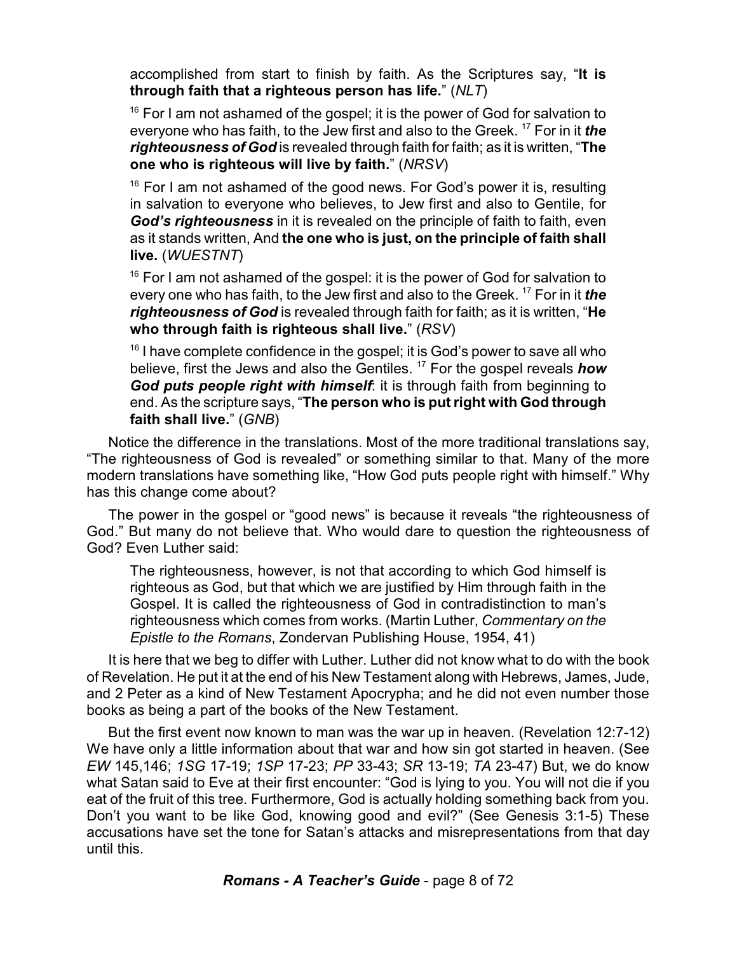accomplished from start to finish by faith. As the Scriptures say, "**It is through faith that a righteous person has life.**" (*NLT*)

 $16$  For I am not ashamed of the gospel; it is the power of God for salvation to everyone who has faith, to the Jew first and also to the Greek.<sup>17</sup> For in it *the righteousness of God* is revealed through faith for faith; as it is written, "**The one who is righteous will live by faith.**" (*NRSV*)

 $16$  For I am not ashamed of the good news. For God's power it is, resulting in salvation to everyone who believes, to Jew first and also to Gentile, for *God's righteousness* in it is revealed on the principle of faith to faith, even as it stands written, And **the one who is just, on the principle of faith shall live.** (*WUESTNT*)

 $16$  For I am not ashamed of the gospel: it is the power of God for salvation to every one who has faith, to the Jew first and also to the Greek.<sup>17</sup> For in it *the righteousness of God* is revealed through faith for faith; as it is written, "**He who through faith is righteous shall live.**" (*RSV*)

 $16$  I have complete confidence in the gospel; it is God's power to save all who believe, first the Jews and also the Gentiles.<sup>17</sup> For the gospel reveals *how God puts people right with himself*: it is through faith from beginning to end. As the scripture says, "**The person who is put right with God through faith shall live.**" (*GNB*)

Notice the difference in the translations. Most of the more traditional translations say, "The righteousness of God is revealed" or something similar to that. Many of the more modern translations have something like, "How God puts people right with himself." Why has this change come about?

The power in the gospel or "good news" is because it reveals "the righteousness of God." But many do not believe that. Who would dare to question the righteousness of God? Even Luther said:

The righteousness, however, is not that according to which God himself is righteous as God, but that which we are justified by Him through faith in the Gospel. It is called the righteousness of God in contradistinction to man's righteousness which comes from works. (Martin Luther, *Commentary on the Epistle to the Romans*, Zondervan Publishing House, 1954, 41)

It is here that we beg to differ with Luther. Luther did not know what to do with the book of Revelation. He put it at the end of his New Testament along with Hebrews, James, Jude, and 2 Peter as a kind of New Testament Apocrypha; and he did not even number those books as being a part of the books of the New Testament.

But the first event now known to man was the war up in heaven. (Revelation 12:7-12) We have only a little information about that war and how sin got started in heaven. (See *EW* 145,146; *1SG* 17-19; *1SP* 17-23; *PP* 33-43; *SR* 13-19; *TA* 23-47) But, we do know what Satan said to Eve at their first encounter: "God is lying to you. You will not die if you eat of the fruit of this tree. Furthermore, God is actually holding something back from you. Don't you want to be like God, knowing good and evil?" (See Genesis 3:1-5) These accusations have set the tone for Satan's attacks and misrepresentations from that day until this.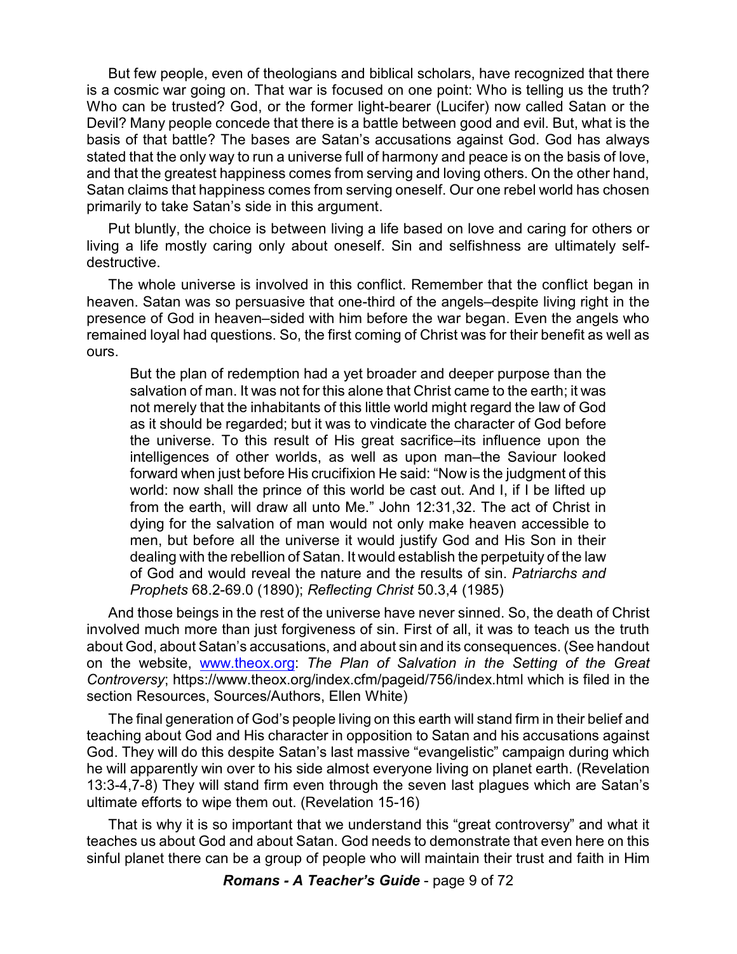But few people, even of theologians and biblical scholars, have recognized that there is a cosmic war going on. That war is focused on one point: Who is telling us the truth? Who can be trusted? God, or the former light-bearer (Lucifer) now called Satan or the Devil? Many people concede that there is a battle between good and evil. But, what is the basis of that battle? The bases are Satan's accusations against God. God has always stated that the only way to run a universe full of harmony and peace is on the basis of love, and that the greatest happiness comes from serving and loving others. On the other hand, Satan claims that happiness comes from serving oneself. Our one rebel world has chosen primarily to take Satan's side in this argument.

Put bluntly, the choice is between living a life based on love and caring for others or living a life mostly caring only about oneself. Sin and selfishness are ultimately selfdestructive.

The whole universe is involved in this conflict. Remember that the conflict began in heaven. Satan was so persuasive that one-third of the angels–despite living right in the presence of God in heaven–sided with him before the war began. Even the angels who remained loyal had questions. So, the first coming of Christ was for their benefit as well as ours.

But the plan of redemption had a yet broader and deeper purpose than the salvation of man. It was not for this alone that Christ came to the earth; it was not merely that the inhabitants of this little world might regard the law of God as it should be regarded; but it was to vindicate the character of God before the universe. To this result of His great sacrifice–its influence upon the intelligences of other worlds, as well as upon man–the Saviour looked forward when just before His crucifixion He said: "Now is the judgment of this world: now shall the prince of this world be cast out. And I, if I be lifted up from the earth, will draw all unto Me." John 12:31,32. The act of Christ in dying for the salvation of man would not only make heaven accessible to men, but before all the universe it would justify God and His Son in their dealing with the rebellion of Satan. It would establish the perpetuity of the law of God and would reveal the nature and the results of sin. *Patriarchs and Prophets* 68.2-69.0 (1890); *Reflecting Christ* 50.3,4 (1985)

And those beings in the rest of the universe have never sinned. So, the death of Christ involved much more than just forgiveness of sin. First of all, it was to teach us the truth about God, about Satan's accusations, and about sin and its consequences. (See handout on the website, [www.theox.org](http://www.theox.org): *The Plan of Salvation in the Setting of the Great Controversy*; https://www.theox.org/index.cfm/pageid/756/index.html which is filed in the section Resources, Sources/Authors, Ellen White)

The final generation of God's people living on this earth will stand firm in their belief and teaching about God and His character in opposition to Satan and his accusations against God. They will do this despite Satan's last massive "evangelistic" campaign during which he will apparently win over to his side almost everyone living on planet earth. (Revelation 13:3-4,7-8) They will stand firm even through the seven last plagues which are Satan's ultimate efforts to wipe them out. (Revelation 15-16)

That is why it is so important that we understand this "great controversy" and what it teaches us about God and about Satan. God needs to demonstrate that even here on this sinful planet there can be a group of people who will maintain their trust and faith in Him

*Romans - A Teacher's Guide* - page 9 of 72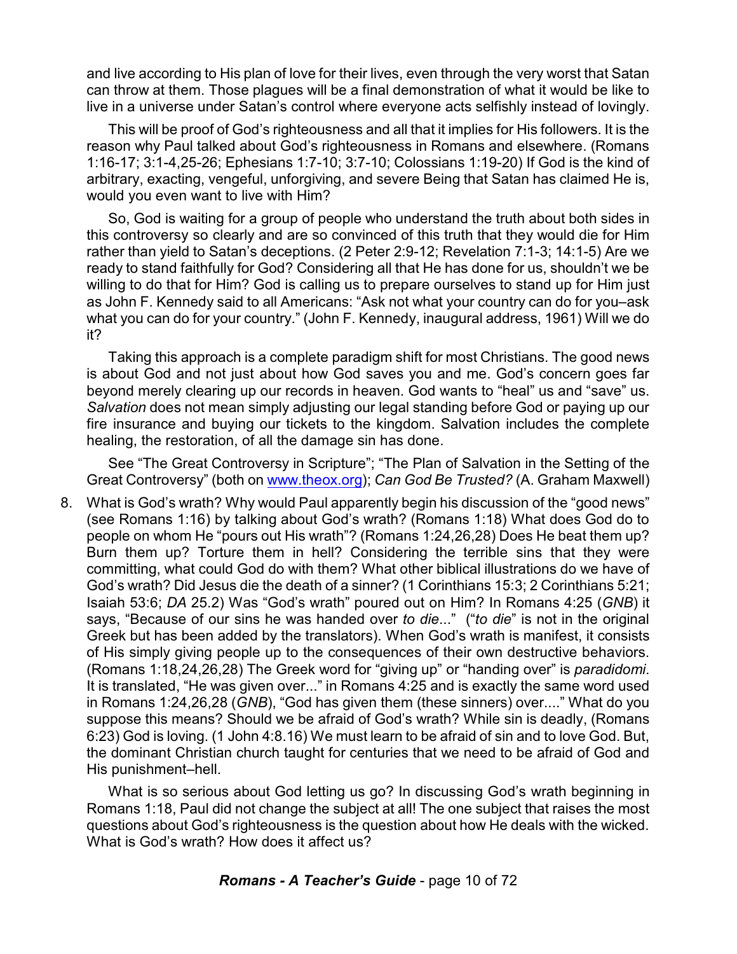and live according to His plan of love for their lives, even through the very worst that Satan can throw at them. Those plagues will be a final demonstration of what it would be like to live in a universe under Satan's control where everyone acts selfishly instead of lovingly.

This will be proof of God's righteousness and all that it implies for His followers. It is the reason why Paul talked about God's righteousness in Romans and elsewhere. (Romans 1:16-17; 3:1-4,25-26; Ephesians 1:7-10; 3:7-10; Colossians 1:19-20) If God is the kind of arbitrary, exacting, vengeful, unforgiving, and severe Being that Satan has claimed He is, would you even want to live with Him?

So, God is waiting for a group of people who understand the truth about both sides in this controversy so clearly and are so convinced of this truth that they would die for Him rather than yield to Satan's deceptions. (2 Peter 2:9-12; Revelation 7:1-3; 14:1-5) Are we ready to stand faithfully for God? Considering all that He has done for us, shouldn't we be willing to do that for Him? God is calling us to prepare ourselves to stand up for Him just as John F. Kennedy said to all Americans: "Ask not what your country can do for you–ask what you can do for your country." (John F. Kennedy, inaugural address, 1961) Will we do it?

Taking this approach is a complete paradigm shift for most Christians. The good news is about God and not just about how God saves you and me. God's concern goes far beyond merely clearing up our records in heaven. God wants to "heal" us and "save" us. *Salvation* does not mean simply adjusting our legal standing before God or paying up our fire insurance and buying our tickets to the kingdom. Salvation includes the complete healing, the restoration, of all the damage sin has done.

See "The Great Controversy in Scripture"; "The Plan of Salvation in the Setting of the Great Controversy" (both on [www.theox.org](http://www.theox.org)); *Can God Be Trusted?* (A. Graham Maxwell)

8. What is God's wrath? Why would Paul apparently begin his discussion of the "good news" (see Romans 1:16) by talking about God's wrath? (Romans 1:18) What does God do to people on whom He "pours out His wrath"? (Romans 1:24,26,28) Does He beat them up? Burn them up? Torture them in hell? Considering the terrible sins that they were committing, what could God do with them? What other biblical illustrations do we have of God's wrath? Did Jesus die the death of a sinner? (1 Corinthians 15:3; 2 Corinthians 5:21; Isaiah 53:6; *DA* 25.2) Was "God's wrath" poured out on Him? In Romans 4:25 (*GNB*) it says, "Because of our sins he was handed over *to die*..." ("*to die*" is not in the original Greek but has been added by the translators). When God's wrath is manifest, it consists of His simply giving people up to the consequences of their own destructive behaviors. (Romans 1:18,24,26,28) The Greek word for "giving up" or "handing over" is *paradidomi*. It is translated, "He was given over..." in Romans 4:25 and is exactly the same word used in Romans 1:24,26,28 (*GNB*), "God has given them (these sinners) over...." What do you suppose this means? Should we be afraid of God's wrath? While sin is deadly, (Romans 6:23) God is loving. (1 John 4:8.16) We must learn to be afraid of sin and to love God. But, the dominant Christian church taught for centuries that we need to be afraid of God and His punishment–hell.

What is so serious about God letting us go? In discussing God's wrath beginning in Romans 1:18, Paul did not change the subject at all! The one subject that raises the most questions about God's righteousness is the question about how He deals with the wicked. What is God's wrath? How does it affect us?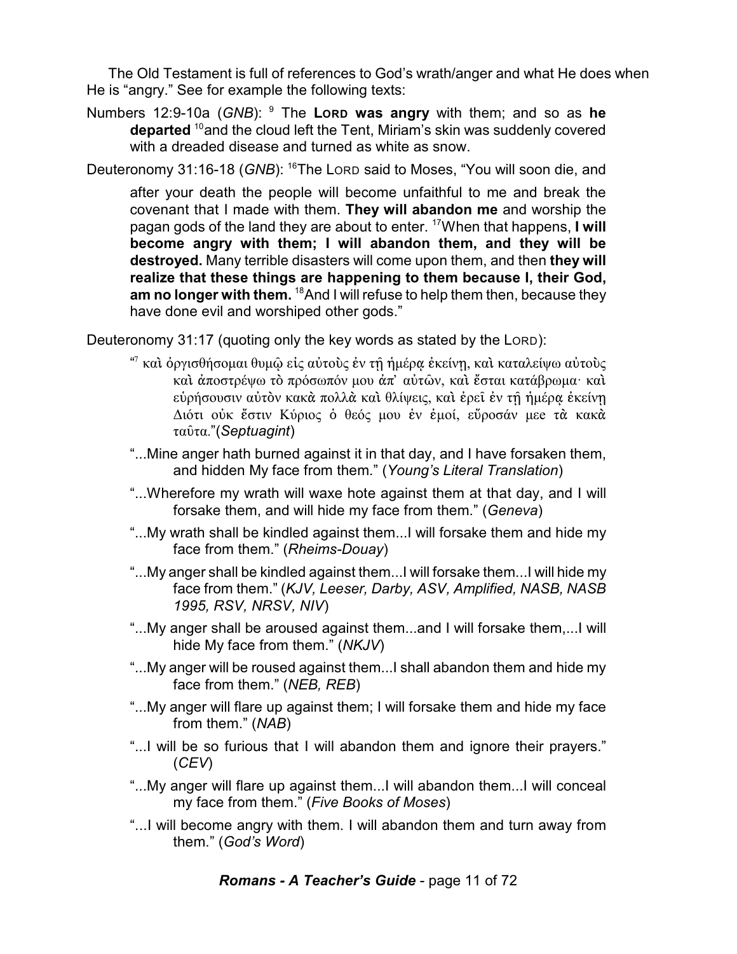The Old Testament is full of references to God's wrath/anger and what He does when He is "angry." See for example the following texts:

Numbers 12:9-10a (*GNB*): <sup>9</sup> The Lorp was angry with them; and so as he **departed** <sup>10</sup> and the cloud left the Tent, Miriam's skin was suddenly covered with a dreaded disease and turned as white as snow.

Deuteronomy 31:16-18 (*GNB*): <sup>16</sup>The LORD said to Moses, "You will soon die, and

after your death the people will become unfaithful to me and break the covenant that I made with them. **They will abandon me** and worship the pagan gods of the land they are about to enter. <sup>17</sup>When that happens, **I will become angry with them; I will abandon them, and they will be destroyed.** Many terrible disasters will come upon them, and then **they will realize that these things are happening to them because I, their God, am no longer with them.** <sup>18</sup>And I will refuse to help them then, because they have done evil and worshiped other gods."

Deuteronomy 31:17 (quoting only the key words as stated by the LORD):

- "<sup>7</sup> καὶ ὀργισθήσομαι θυμῷ εἰς αὐτοὺς ἐν τῇ ἡμέρα ἐκείνῃ, καὶ καταλείψω αὐτοὺς και άποστρέψω το πρόσωπόν μου άπ' αύτών, και έσται κατάβρωμα· και εύρήσουσιν αύτὸν κακὰ πολλὰ καὶ θλίψεις, καὶ ἐρεῖ ἐν τῆ ἡμέρα ἐκείνῃ Διότι ούκ έστιν Κύριος ο θεός μου έν έμοί, εύροσάν με τα κακα ôáØôá."(*Septuagint*)
- "...Mine anger hath burned against it in that day, and I have forsaken them, and hidden My face from them." (*Young's Literal Translation*)
- "...Wherefore my wrath will waxe hote against them at that day, and I will forsake them, and will hide my face from them." (*Geneva*)
- "...My wrath shall be kindled against them...I will forsake them and hide my face from them." (*Rheims-Douay*)
- "...My anger shall be kindled against them...I will forsake them...I will hide my face from them." (*KJV, Leeser, Darby, ASV, Amplified, NASB, NASB 1995, RSV, NRSV, NIV*)
- "...My anger shall be aroused against them...and I will forsake them,...I will hide My face from them." (*NKJV*)
- "...My anger will be roused against them...I shall abandon them and hide my face from them." (*NEB, REB*)
- "...My anger will flare up against them; I will forsake them and hide my face from them." (*NAB*)
- "...I will be so furious that I will abandon them and ignore their prayers." (*CEV*)
- "...My anger will flare up against them...I will abandon them...I will conceal my face from them." (*Five Books of Moses*)
- "...I will become angry with them. I will abandon them and turn away from them." (*God's Word*)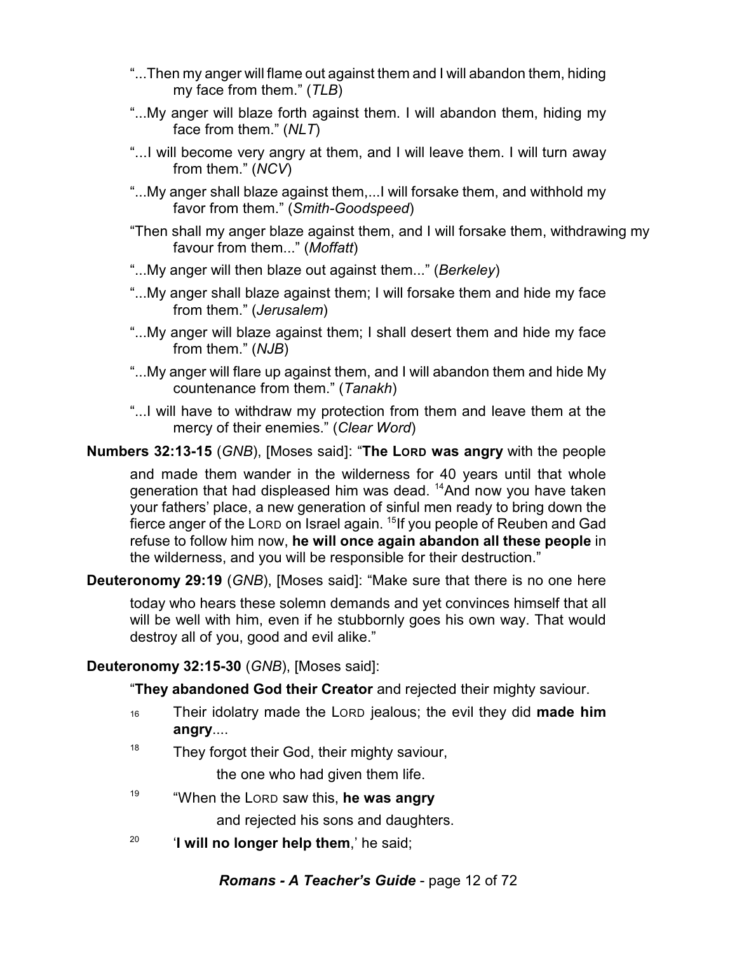- "...Then my anger will flame out against them and I will abandon them, hiding my face from them." (*TLB*)
- "...My anger will blaze forth against them. I will abandon them, hiding my face from them." (*NLT*)
- "...I will become very angry at them, and I will leave them. I will turn away from them." (*NCV*)
- "...My anger shall blaze against them,...I will forsake them, and withhold my favor from them." (*Smith-Goodspeed*)
- "Then shall my anger blaze against them, and I will forsake them, withdrawing my favour from them..." (*Moffatt*)
- "...My anger will then blaze out against them..." (*Berkeley*)
- "...My anger shall blaze against them; I will forsake them and hide my face from them." (*Jerusalem*)
- "...My anger will blaze against them; I shall desert them and hide my face from them." (*NJB*)
- "...My anger will flare up against them, and I will abandon them and hide My countenance from them." (*Tanakh*)
- "...I will have to withdraw my protection from them and leave them at the mercy of their enemies." (*Clear Word*)

**Numbers 32:13-15** (*GNB*), [Moses said]: "**The LORD was angry** with the people

and made them wander in the wilderness for 40 years until that whole generation that had displeased him was dead. <sup>14</sup>And now you have taken your fathers' place, a new generation of sinful men ready to bring down the fierce anger of the LORD on Israel again. <sup>15</sup> If you people of Reuben and Gad refuse to follow him now, **he will once again abandon all these people** in the wilderness, and you will be responsible for their destruction."

**Deuteronomy 29:19** (*GNB*), [Moses said]: "Make sure that there is no one here

today who hears these solemn demands and yet convinces himself that all will be well with him, even if he stubbornly goes his own way. That would destroy all of you, good and evil alike."

#### **Deuteronomy 32:15-30** (*GNB*), [Moses said]:

"**They abandoned God their Creator** and rejected their mighty saviour.

- <sup>16</sup> Their idolatry made the LORD jealous; the evil they did **made him angry**....
- $18$  They forgot their God, their mighty saviour, the one who had given them life.
- <sup>19</sup> "When the LORD saw this, **he was angry** and rejected his sons and daughters.
- <sup>20</sup> **I will no longer help them**,' he said;

#### *Romans - A Teacher's Guide* - page 12 of 72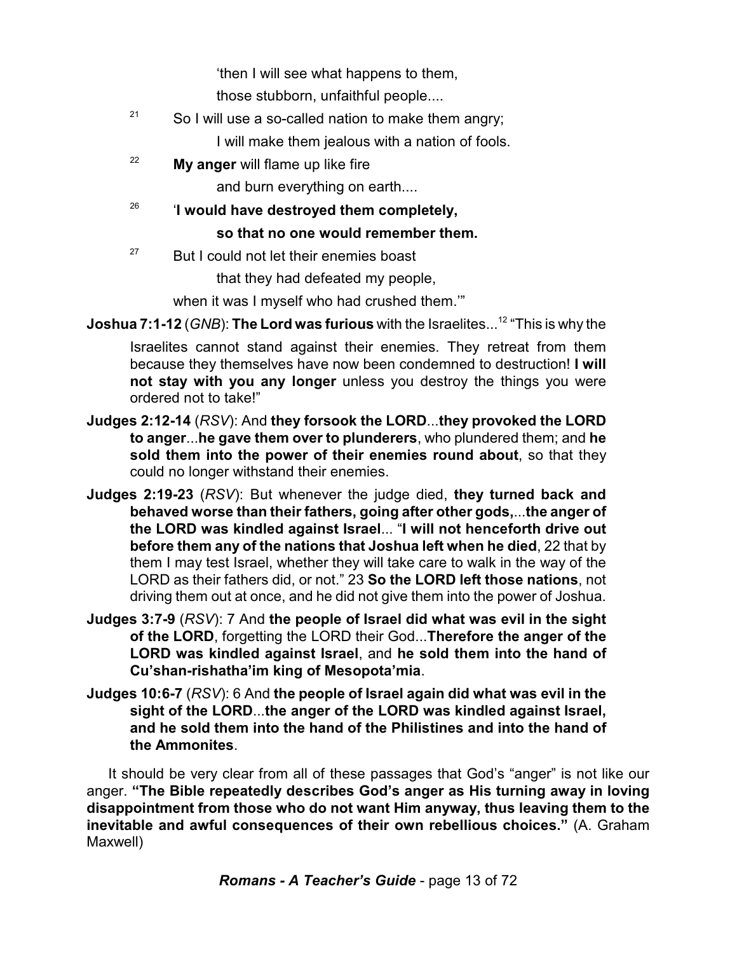'then I will see what happens to them,

those stubborn, unfaithful people....

- So I will use a so-called nation to make them angry; 21 I will make them jealous with a nation of fools.
- <sup>22</sup> My anger will flame up like fire and burn everything on earth....
- '**I would have destroyed them completely,** 26

### **so that no one would remember them.**

 $27$  But I could not let their enemies boast

that they had defeated my people,

when it was I myself who had crushed them.'"

**Joshua 7:1-12** (*GNB*): **The Lord was furious** with the Israelites...<sup>12</sup> "This is why the

Israelites cannot stand against their enemies. They retreat from them because they themselves have now been condemned to destruction! **I will not stay with you any longer** unless you destroy the things you were ordered not to take!"

- **Judges 2:12-14** (*RSV*): And **they forsook the LORD**...**they provoked the LORD to anger**...**he gave them over to plunderers**, who plundered them; and **he sold them into the power of their enemies round about**, so that they could no longer withstand their enemies.
- **Judges 2:19-23** (*RSV*): But whenever the judge died, **they turned back and behaved worse than their fathers, going after other gods,**...**the anger of the LORD was kindled against Israel**... "**I will not henceforth drive out before them any of the nations that Joshua left when he died**, 22 that by them I may test Israel, whether they will take care to walk in the way of the LORD as their fathers did, or not." 23 **So the LORD left those nations**, not driving them out at once, and he did not give them into the power of Joshua.
- **Judges 3:7-9** (*RSV*): 7 And **the people of Israel did what was evil in the sight of the LORD**, forgetting the LORD their God...**Therefore the anger of the LORD was kindled against Israel**, and **he sold them into the hand of Cu'shan-rishatha'im king of Mesopota'mia**.
- **Judges 10:6-7** (*RSV*): 6 And **the people of Israel again did what was evil in the sight of the LORD**...**the anger of the LORD was kindled against Israel, and he sold them into the hand of the Philistines and into the hand of the Ammonites**.

It should be very clear from all of these passages that God's "anger" is not like our anger. **"The Bible repeatedly describes God's anger as His turning away in loving disappointment from those who do not want Him anyway, thus leaving them to the inevitable and awful consequences of their own rebellious choices."** (A. Graham Maxwell)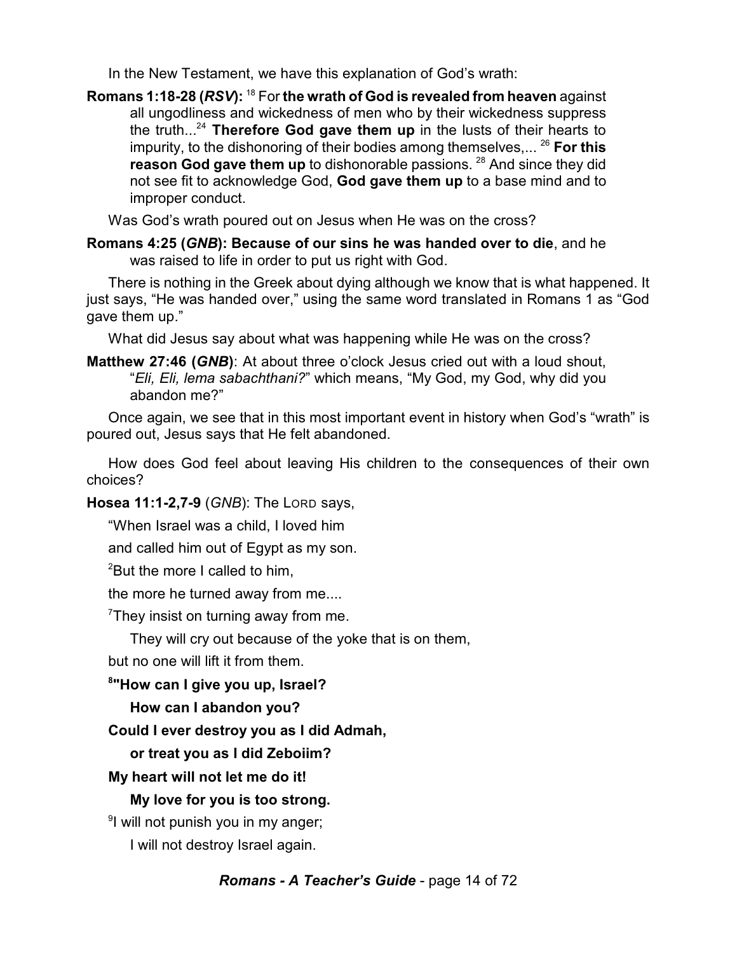In the New Testament, we have this explanation of God's wrath:

**Romans 1:18-28 (***RSV***): <sup>18</sup> For the wrath of God is revealed from heaven against** all ungodliness and wickedness of men who by their wickedness suppress the truth...<sup>24</sup> Therefore God gave them up in the lusts of their hearts to impurity, to the dishonoring of their bodies among themselves....<sup>26</sup> For this **reason God gave them up** to dishonorable passions.<sup>28</sup> And since they did not see fit to acknowledge God, **God gave them up** to a base mind and to improper conduct.

Was God's wrath poured out on Jesus when He was on the cross?

**Romans 4:25 (***GNB***): Because of our sins he was handed over to die**, and he was raised to life in order to put us right with God.

There is nothing in the Greek about dying although we know that is what happened. It just says, "He was handed over," using the same word translated in Romans 1 as "God gave them up."

What did Jesus say about what was happening while He was on the cross?

**Matthew 27:46 (***GNB***)**: At about three o'clock Jesus cried out with a loud shout, "*Eli, Eli, lema sabachthani?*" which means, "My God, my God, why did you abandon me?"

Once again, we see that in this most important event in history when God's "wrath" is poured out, Jesus says that He felt abandoned.

How does God feel about leaving His children to the consequences of their own choices?

**Hosea 11:1-2,7-9** (*GNB*): The LORD says,

"When Israel was a child, I loved him

and called him out of Egypt as my son.

 $2$ But the more I called to him,

the more he turned away from me....

 $7$ They insist on turning away from me.

They will cry out because of the yoke that is on them,

but no one will lift it from them.

**"How can I give you up, Israel? 8**

**How can I abandon you?**

**Could I ever destroy you as I did Admah,**

**or treat you as I did Zeboiim?**

# **My heart will not let me do it!**

# **My love for you is too strong.**

 $\degree$ I will not punish you in my anger;

I will not destroy Israel again.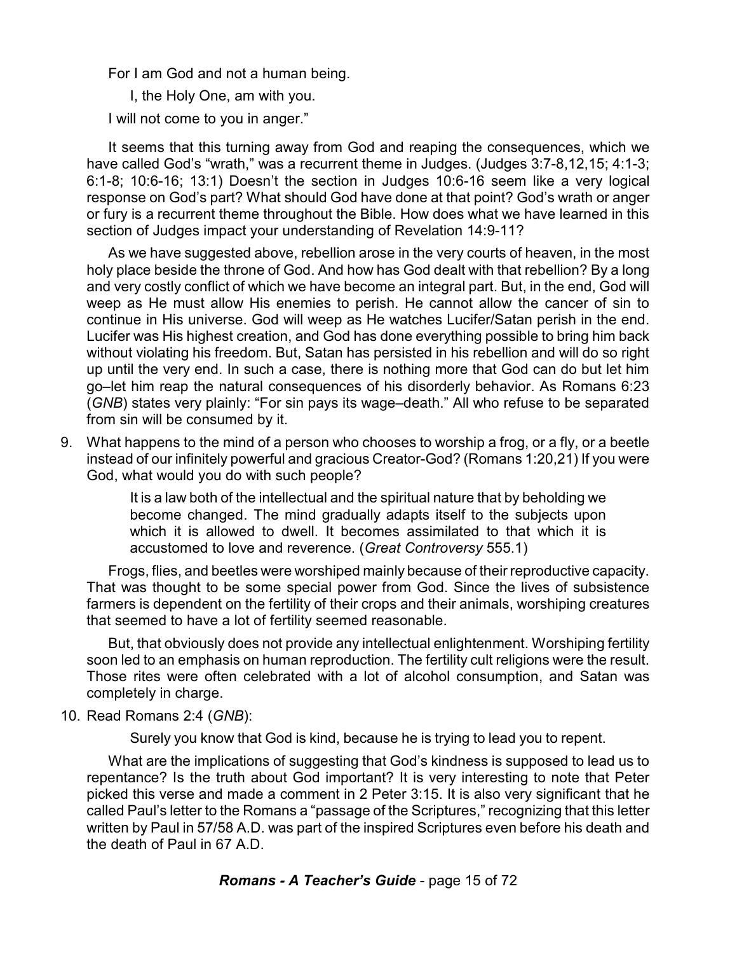For I am God and not a human being.

I, the Holy One, am with you.

I will not come to you in anger."

It seems that this turning away from God and reaping the consequences, which we have called God's "wrath," was a recurrent theme in Judges. (Judges 3:7-8,12,15; 4:1-3; 6:1-8; 10:6-16; 13:1) Doesn't the section in Judges 10:6-16 seem like a very logical response on God's part? What should God have done at that point? God's wrath or anger or fury is a recurrent theme throughout the Bible. How does what we have learned in this section of Judges impact your understanding of Revelation 14:9-11?

As we have suggested above, rebellion arose in the very courts of heaven, in the most holy place beside the throne of God. And how has God dealt with that rebellion? By a long and very costly conflict of which we have become an integral part. But, in the end, God will weep as He must allow His enemies to perish. He cannot allow the cancer of sin to continue in His universe. God will weep as He watches Lucifer/Satan perish in the end. Lucifer was His highest creation, and God has done everything possible to bring him back without violating his freedom. But, Satan has persisted in his rebellion and will do so right up until the very end. In such a case, there is nothing more that God can do but let him go–let him reap the natural consequences of his disorderly behavior. As Romans 6:23 (*GNB*) states very plainly: "For sin pays its wage–death." All who refuse to be separated from sin will be consumed by it.

9. What happens to the mind of a person who chooses to worship a frog, or a fly, or a beetle instead of our infinitely powerful and gracious Creator-God? (Romans 1:20,21) If you were God, what would you do with such people?

> It is a law both of the intellectual and the spiritual nature that by beholding we become changed. The mind gradually adapts itself to the subjects upon which it is allowed to dwell. It becomes assimilated to that which it is accustomed to love and reverence. (*Great Controversy* 555.1)

Frogs, flies, and beetles were worshiped mainly because of their reproductive capacity. That was thought to be some special power from God. Since the lives of subsistence farmers is dependent on the fertility of their crops and their animals, worshiping creatures that seemed to have a lot of fertility seemed reasonable.

But, that obviously does not provide any intellectual enlightenment. Worshiping fertility soon led to an emphasis on human reproduction. The fertility cult religions were the result. Those rites were often celebrated with a lot of alcohol consumption, and Satan was completely in charge.

10. Read Romans 2:4 (*GNB*):

Surely you know that God is kind, because he is trying to lead you to repent.

What are the implications of suggesting that God's kindness is supposed to lead us to repentance? Is the truth about God important? It is very interesting to note that Peter picked this verse and made a comment in 2 Peter 3:15. It is also very significant that he called Paul's letter to the Romans a "passage of the Scriptures," recognizing that this letter written by Paul in 57/58 A.D. was part of the inspired Scriptures even before his death and the death of Paul in 67 A.D.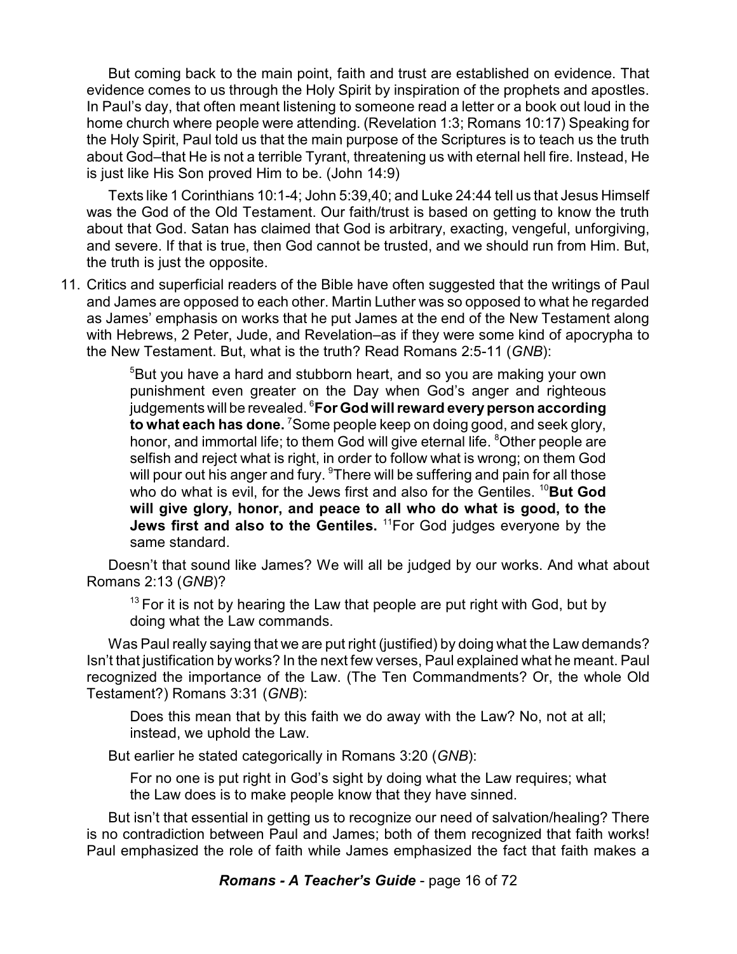But coming back to the main point, faith and trust are established on evidence. That evidence comes to us through the Holy Spirit by inspiration of the prophets and apostles. In Paul's day, that often meant listening to someone read a letter or a book out loud in the home church where people were attending. (Revelation 1:3; Romans 10:17) Speaking for the Holy Spirit, Paul told us that the main purpose of the Scriptures is to teach us the truth about God–that He is not a terrible Tyrant, threatening us with eternal hell fire. Instead, He is just like His Son proved Him to be. (John 14:9)

Texts like 1 Corinthians 10:1-4; John 5:39,40; and Luke 24:44 tell us that Jesus Himself was the God of the Old Testament. Our faith/trust is based on getting to know the truth about that God. Satan has claimed that God is arbitrary, exacting, vengeful, unforgiving, and severe. If that is true, then God cannot be trusted, and we should run from Him. But, the truth is just the opposite.

11. Critics and superficial readers of the Bible have often suggested that the writings of Paul and James are opposed to each other. Martin Luther was so opposed to what he regarded as James' emphasis on works that he put James at the end of the New Testament along with Hebrews, 2 Peter, Jude, and Revelation–as if they were some kind of apocrypha to the New Testament. But, what is the truth? Read Romans 2:5-11 (*GNB*):

> $5$ But you have a hard and stubborn heart, and so you are making your own punishment even greater on the Day when God's anger and righteous judgements will be revealed. <sup>6</sup> For God will reward every person according **to what each has done.** <sup>7</sup> Some people keep on doing good, and seek glory, honor, and immortal life; to them God will give eternal life. <sup>8</sup>Other people are selfish and reject what is right, in order to follow what is wrong; on them God will pour out his anger and fury.  $9$ There will be suffering and pain for all those who do what is evil, for the Jews first and also for the Gentiles. <sup>10</sup>But God **will give glory, honor, and peace to all who do what is good, to the Jews first and also to the Gentiles.** <sup>11</sup> For God judges everyone by the same standard.

Doesn't that sound like James? We will all be judged by our works. And what about Romans 2:13 (*GNB*)?

 $13$  For it is not by hearing the Law that people are put right with God, but by doing what the Law commands.

Was Paul really saying that we are put right (justified) by doing what the Law demands? Isn't that justification by works? In the next few verses, Paul explained what he meant. Paul recognized the importance of the Law. (The Ten Commandments? Or, the whole Old Testament?) Romans 3:31 (*GNB*):

Does this mean that by this faith we do away with the Law? No, not at all; instead, we uphold the Law.

But earlier he stated categorically in Romans 3:20 (*GNB*):

For no one is put right in God's sight by doing what the Law requires; what the Law does is to make people know that they have sinned.

But isn't that essential in getting us to recognize our need of salvation/healing? There is no contradiction between Paul and James; both of them recognized that faith works! Paul emphasized the role of faith while James emphasized the fact that faith makes a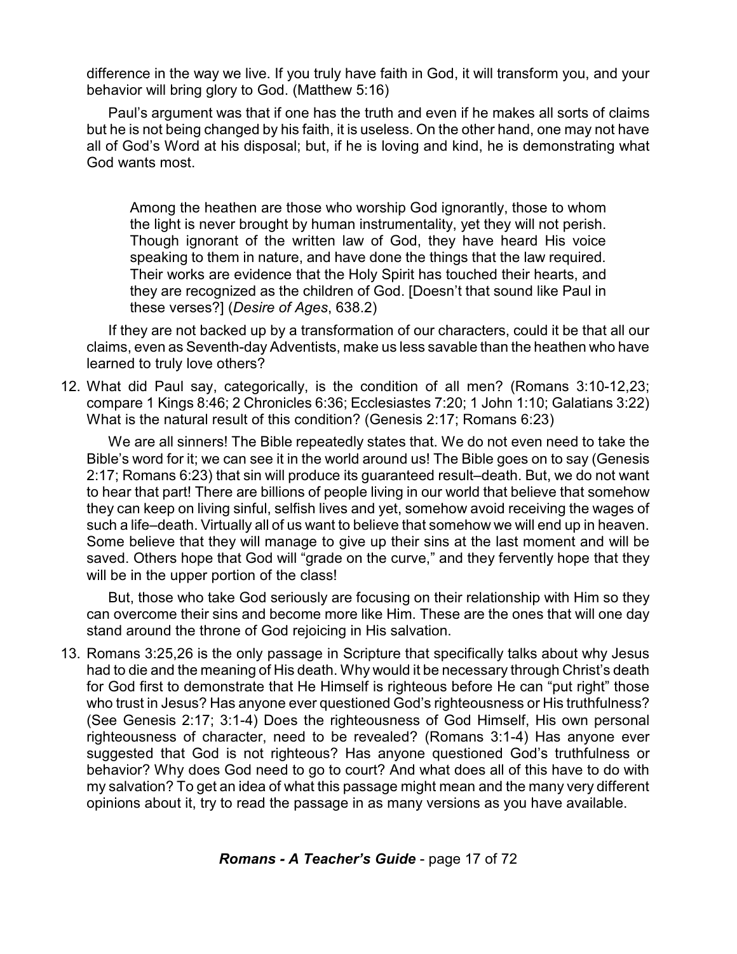difference in the way we live. If you truly have faith in God, it will transform you, and your behavior will bring glory to God. (Matthew 5:16)

Paul's argument was that if one has the truth and even if he makes all sorts of claims but he is not being changed by his faith, it is useless. On the other hand, one may not have all of God's Word at his disposal; but, if he is loving and kind, he is demonstrating what God wants most.

Among the heathen are those who worship God ignorantly, those to whom the light is never brought by human instrumentality, yet they will not perish. Though ignorant of the written law of God, they have heard His voice speaking to them in nature, and have done the things that the law required. Their works are evidence that the Holy Spirit has touched their hearts, and they are recognized as the children of God. [Doesn't that sound like Paul in these verses?] (*Desire of Ages*, 638.2)

If they are not backed up by a transformation of our characters, could it be that all our claims, even as Seventh-day Adventists, make us less savable than the heathen who have learned to truly love others?

12. What did Paul say, categorically, is the condition of all men? (Romans 3:10-12,23; compare 1 Kings 8:46; 2 Chronicles 6:36; Ecclesiastes 7:20; 1 John 1:10; Galatians 3:22) What is the natural result of this condition? (Genesis 2:17; Romans 6:23)

We are all sinners! The Bible repeatedly states that. We do not even need to take the Bible's word for it; we can see it in the world around us! The Bible goes on to say (Genesis 2:17; Romans 6:23) that sin will produce its guaranteed result–death. But, we do not want to hear that part! There are billions of people living in our world that believe that somehow they can keep on living sinful, selfish lives and yet, somehow avoid receiving the wages of such a life–death. Virtually all of us want to believe that somehow we will end up in heaven. Some believe that they will manage to give up their sins at the last moment and will be saved. Others hope that God will "grade on the curve," and they fervently hope that they will be in the upper portion of the class!

But, those who take God seriously are focusing on their relationship with Him so they can overcome their sins and become more like Him. These are the ones that will one day stand around the throne of God rejoicing in His salvation.

13. Romans 3:25,26 is the only passage in Scripture that specifically talks about why Jesus had to die and the meaning of His death. Why would it be necessary through Christ's death for God first to demonstrate that He Himself is righteous before He can "put right" those who trust in Jesus? Has anyone ever questioned God's righteousness or His truthfulness? (See Genesis 2:17; 3:1-4) Does the righteousness of God Himself, His own personal righteousness of character, need to be revealed? (Romans 3:1-4) Has anyone ever suggested that God is not righteous? Has anyone questioned God's truthfulness or behavior? Why does God need to go to court? And what does all of this have to do with my salvation? To get an idea of what this passage might mean and the many very different opinions about it, try to read the passage in as many versions as you have available.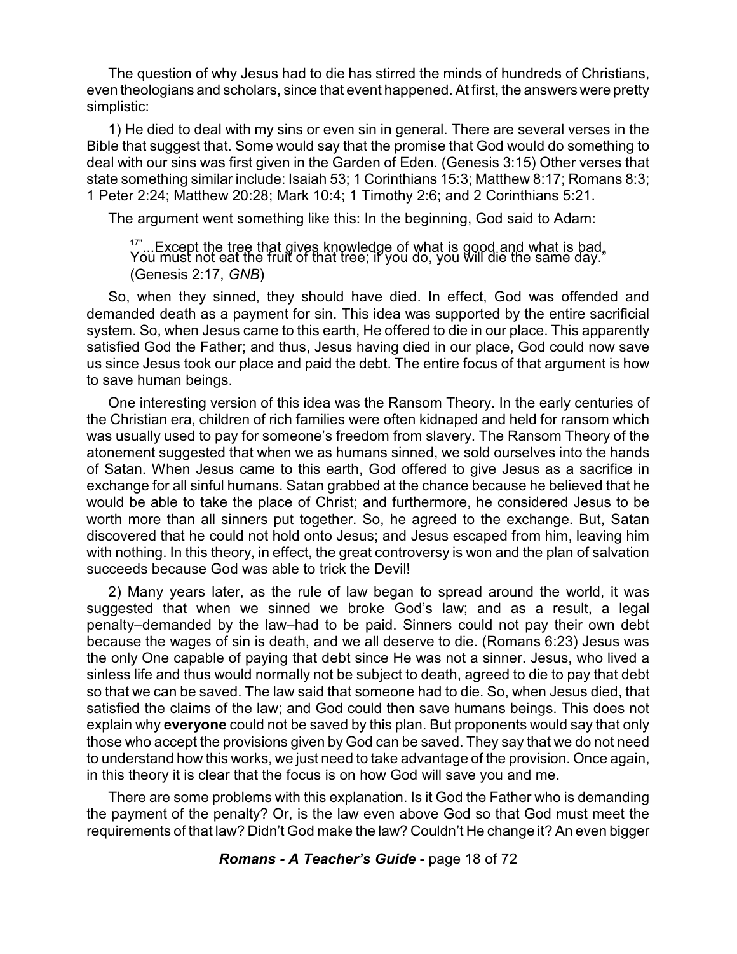The question of why Jesus had to die has stirred the minds of hundreds of Christians, even theologians and scholars, since that event happened. At first, the answers were pretty simplistic:

1) He died to deal with my sins or even sin in general. There are several verses in the Bible that suggest that. Some would say that the promise that God would do something to deal with our sins was first given in the Garden of Eden. (Genesis 3:15) Other verses that state something similar include: Isaiah 53; 1 Corinthians 15:3; Matthew 8:17; Romans 8:3; 1 Peter 2:24; Matthew 20:28; Mark 10:4; 1 Timothy 2:6; and 2 Corinthians 5:21.

The argument went something like this: In the beginning, God said to Adam:

 $17^{\circ}$ ...Except the tree that gives knowledge of what is good and what is bad. You must not eat the fruit of that tree; if you do, you will die the same day." (Genesis 2:17, *GNB*)

So, when they sinned, they should have died. In effect, God was offended and demanded death as a payment for sin. This idea was supported by the entire sacrificial system. So, when Jesus came to this earth, He offered to die in our place. This apparently satisfied God the Father; and thus, Jesus having died in our place, God could now save us since Jesus took our place and paid the debt. The entire focus of that argument is how to save human beings.

One interesting version of this idea was the Ransom Theory. In the early centuries of the Christian era, children of rich families were often kidnaped and held for ransom which was usually used to pay for someone's freedom from slavery. The Ransom Theory of the atonement suggested that when we as humans sinned, we sold ourselves into the hands of Satan. When Jesus came to this earth, God offered to give Jesus as a sacrifice in exchange for all sinful humans. Satan grabbed at the chance because he believed that he would be able to take the place of Christ; and furthermore, he considered Jesus to be worth more than all sinners put together. So, he agreed to the exchange. But, Satan discovered that he could not hold onto Jesus; and Jesus escaped from him, leaving him with nothing. In this theory, in effect, the great controversy is won and the plan of salvation succeeds because God was able to trick the Devil!

2) Many years later, as the rule of law began to spread around the world, it was suggested that when we sinned we broke God's law; and as a result, a legal penalty–demanded by the law–had to be paid. Sinners could not pay their own debt because the wages of sin is death, and we all deserve to die. (Romans 6:23) Jesus was the only One capable of paying that debt since He was not a sinner. Jesus, who lived a sinless life and thus would normally not be subject to death, agreed to die to pay that debt so that we can be saved. The law said that someone had to die. So, when Jesus died, that satisfied the claims of the law; and God could then save humans beings. This does not explain why **everyone** could not be saved by this plan. But proponents would say that only those who accept the provisions given by God can be saved. They say that we do not need to understand how this works, we just need to take advantage of the provision. Once again, in this theory it is clear that the focus is on how God will save you and me.

There are some problems with this explanation. Is it God the Father who is demanding the payment of the penalty? Or, is the law even above God so that God must meet the requirements of that law? Didn't God make the law? Couldn't He change it? An even bigger

*Romans - A Teacher's Guide* - page 18 of 72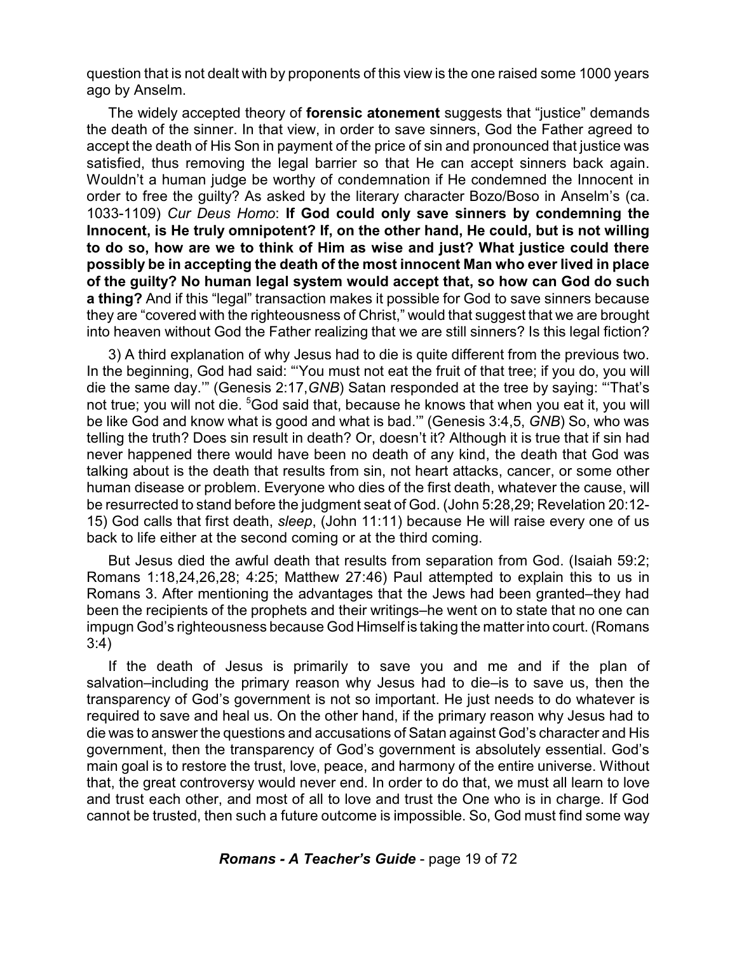question that is not dealt with by proponents of this view is the one raised some 1000 years ago by Anselm.

The widely accepted theory of **forensic atonement** suggests that "justice" demands the death of the sinner. In that view, in order to save sinners, God the Father agreed to accept the death of His Son in payment of the price of sin and pronounced that justice was satisfied, thus removing the legal barrier so that He can accept sinners back again. Wouldn't a human judge be worthy of condemnation if He condemned the Innocent in order to free the guilty? As asked by the literary character Bozo/Boso in Anselm's (ca. 1033-1109) *Cur Deus Homo*: **If God could only save sinners by condemning the Innocent, is He truly omnipotent? If, on the other hand, He could, but is not willing to do so, how are we to think of Him as wise and just? What justice could there possibly be in accepting the death of the most innocent Man who ever lived in place of the guilty? No human legal system would accept that, so how can God do such a thing?** And if this "legal" transaction makes it possible for God to save sinners because they are "covered with the righteousness of Christ," would that suggest that we are brought into heaven without God the Father realizing that we are still sinners? Is this legal fiction?

3) A third explanation of why Jesus had to die is quite different from the previous two. In the beginning, God had said: "'You must not eat the fruit of that tree; if you do, you will die the same day.'" (Genesis 2:17,*GNB*) Satan responded at the tree by saying: "'That's not true; you will not die. <sup>5</sup>God said that, because he knows that when you eat it, you will be like God and know what is good and what is bad.'" (Genesis 3:4,5, *GNB*) So, who was telling the truth? Does sin result in death? Or, doesn't it? Although it is true that if sin had never happened there would have been no death of any kind, the death that God was talking about is the death that results from sin, not heart attacks, cancer, or some other human disease or problem. Everyone who dies of the first death, whatever the cause, will be resurrected to stand before the judgment seat of God. (John 5:28,29; Revelation 20:12- 15) God calls that first death, *sleep*, (John 11:11) because He will raise every one of us back to life either at the second coming or at the third coming.

But Jesus died the awful death that results from separation from God. (Isaiah 59:2; Romans 1:18,24,26,28; 4:25; Matthew 27:46) Paul attempted to explain this to us in Romans 3. After mentioning the advantages that the Jews had been granted–they had been the recipients of the prophets and their writings–he went on to state that no one can impugn God's righteousness because God Himself is taking the matter into court. (Romans 3:4)

If the death of Jesus is primarily to save you and me and if the plan of salvation–including the primary reason why Jesus had to die–is to save us, then the transparency of God's government is not so important. He just needs to do whatever is required to save and heal us. On the other hand, if the primary reason why Jesus had to die was to answer the questions and accusations of Satan against God's character and His government, then the transparency of God's government is absolutely essential. God's main goal is to restore the trust, love, peace, and harmony of the entire universe. Without that, the great controversy would never end. In order to do that, we must all learn to love and trust each other, and most of all to love and trust the One who is in charge. If God cannot be trusted, then such a future outcome is impossible. So, God must find some way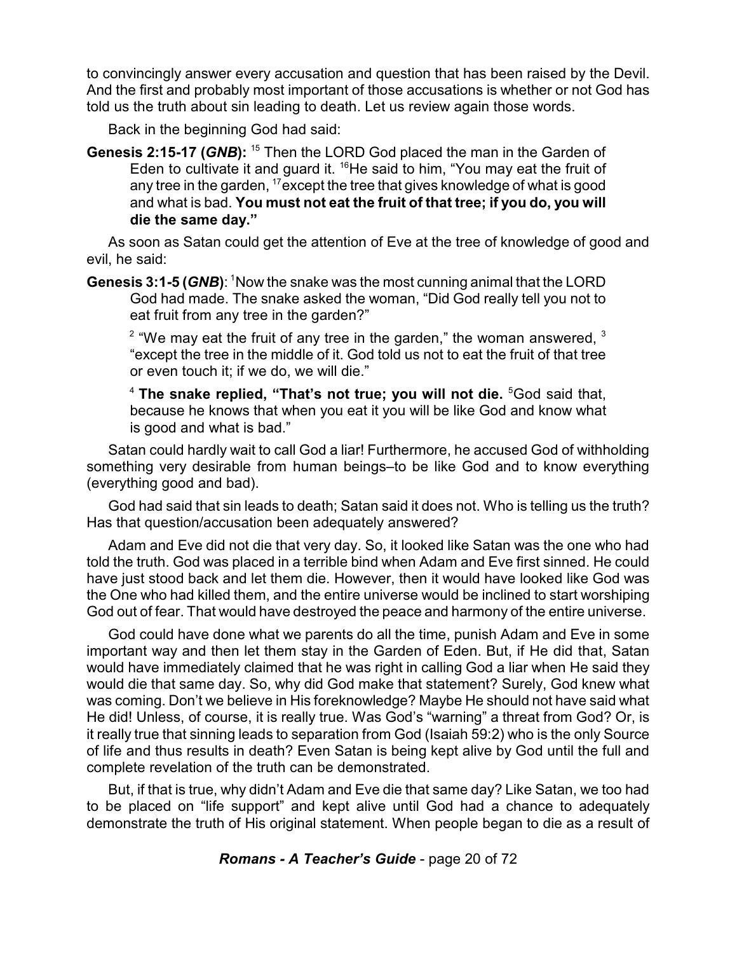to convincingly answer every accusation and question that has been raised by the Devil. And the first and probably most important of those accusations is whether or not God has told us the truth about sin leading to death. Let us review again those words.

Back in the beginning God had said:

**Genesis 2:15-17 (GNB):** <sup>15</sup> Then the LORD God placed the man in the Garden of Eden to cultivate it and guard it.  $16$ He said to him, "You may eat the fruit of any tree in the garden,  $^{17}$  except the tree that gives knowledge of what is good and what is bad. **You must not eat the fruit of that tree; if you do, you will die the same day."**

As soon as Satan could get the attention of Eve at the tree of knowledge of good and evil, he said:

**Genesis 3:1-5 (GNB):** <sup>1</sup>Now the snake was the most cunning animal that the LORD God had made. The snake asked the woman, "Did God really tell you not to eat fruit from any tree in the garden?"

 $2$  "We may eat the fruit of any tree in the garden," the woman answered,  $3$ "except the tree in the middle of it. God told us not to eat the fruit of that tree or even touch it; if we do, we will die."

<sup>4</sup> The snake replied, "That's not true; you will not die. <sup>5</sup> God said that, because he knows that when you eat it you will be like God and know what is good and what is bad."

Satan could hardly wait to call God a liar! Furthermore, he accused God of withholding something very desirable from human beings–to be like God and to know everything (everything good and bad).

God had said that sin leads to death; Satan said it does not. Who is telling us the truth? Has that question/accusation been adequately answered?

Adam and Eve did not die that very day. So, it looked like Satan was the one who had told the truth. God was placed in a terrible bind when Adam and Eve first sinned. He could have just stood back and let them die. However, then it would have looked like God was the One who had killed them, and the entire universe would be inclined to start worshiping God out of fear. That would have destroyed the peace and harmony of the entire universe.

God could have done what we parents do all the time, punish Adam and Eve in some important way and then let them stay in the Garden of Eden. But, if He did that, Satan would have immediately claimed that he was right in calling God a liar when He said they would die that same day. So, why did God make that statement? Surely, God knew what was coming. Don't we believe in His foreknowledge? Maybe He should not have said what He did! Unless, of course, it is really true. Was God's "warning" a threat from God? Or, is it really true that sinning leads to separation from God (Isaiah 59:2) who is the only Source of life and thus results in death? Even Satan is being kept alive by God until the full and complete revelation of the truth can be demonstrated.

But, if that is true, why didn't Adam and Eve die that same day? Like Satan, we too had to be placed on "life support" and kept alive until God had a chance to adequately demonstrate the truth of His original statement. When people began to die as a result of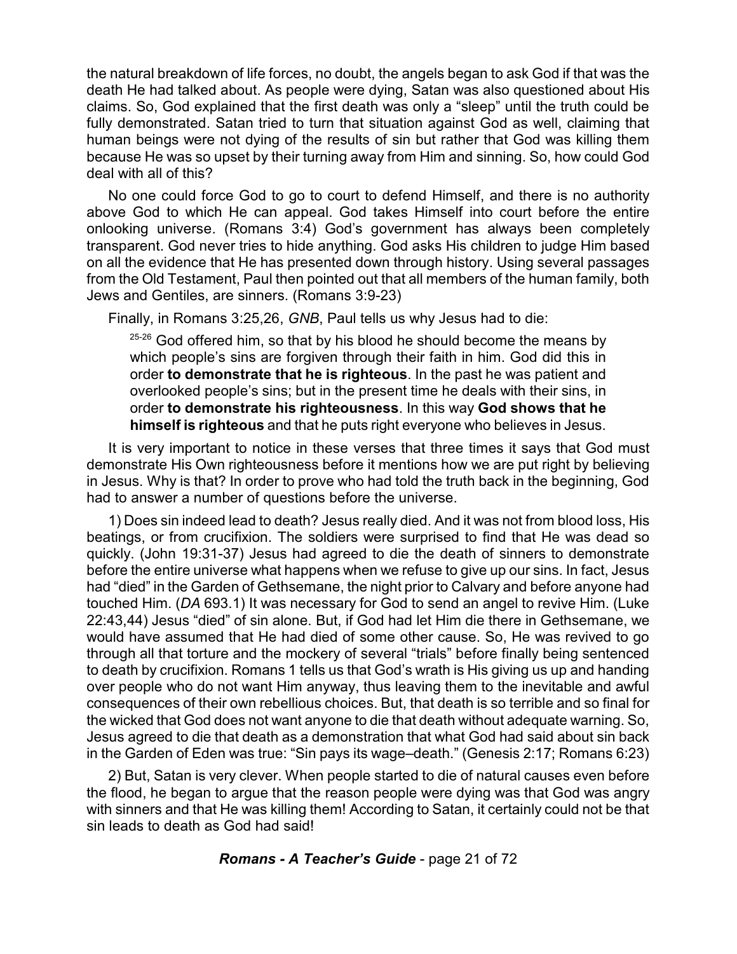the natural breakdown of life forces, no doubt, the angels began to ask God if that was the death He had talked about. As people were dying, Satan was also questioned about His claims. So, God explained that the first death was only a "sleep" until the truth could be fully demonstrated. Satan tried to turn that situation against God as well, claiming that human beings were not dying of the results of sin but rather that God was killing them because He was so upset by their turning away from Him and sinning. So, how could God deal with all of this?

No one could force God to go to court to defend Himself, and there is no authority above God to which He can appeal. God takes Himself into court before the entire onlooking universe. (Romans 3:4) God's government has always been completely transparent. God never tries to hide anything. God asks His children to judge Him based on all the evidence that He has presented down through history. Using several passages from the Old Testament, Paul then pointed out that all members of the human family, both Jews and Gentiles, are sinners. (Romans 3:9-23)

Finally, in Romans 3:25,26, *GNB*, Paul tells us why Jesus had to die:

 $25-26$  God offered him, so that by his blood he should become the means by which people's sins are forgiven through their faith in him. God did this in order **to demonstrate that he is righteous**. In the past he was patient and overlooked people's sins; but in the present time he deals with their sins, in order **to demonstrate his righteousness**. In this way **God shows that he himself is righteous** and that he puts right everyone who believes in Jesus.

It is very important to notice in these verses that three times it says that God must demonstrate His Own righteousness before it mentions how we are put right by believing in Jesus. Why is that? In order to prove who had told the truth back in the beginning, God had to answer a number of questions before the universe.

1) Does sin indeed lead to death? Jesus really died. And it was not from blood loss, His beatings, or from crucifixion. The soldiers were surprised to find that He was dead so quickly. (John 19:31-37) Jesus had agreed to die the death of sinners to demonstrate before the entire universe what happens when we refuse to give up our sins. In fact, Jesus had "died" in the Garden of Gethsemane, the night prior to Calvary and before anyone had touched Him. (*DA* 693.1) It was necessary for God to send an angel to revive Him. (Luke 22:43,44) Jesus "died" of sin alone. But, if God had let Him die there in Gethsemane, we would have assumed that He had died of some other cause. So, He was revived to go through all that torture and the mockery of several "trials" before finally being sentenced to death by crucifixion. Romans 1 tells us that God's wrath is His giving us up and handing over people who do not want Him anyway, thus leaving them to the inevitable and awful consequences of their own rebellious choices. But, that death is so terrible and so final for the wicked that God does not want anyone to die that death without adequate warning. So, Jesus agreed to die that death as a demonstration that what God had said about sin back in the Garden of Eden was true: "Sin pays its wage–death." (Genesis 2:17; Romans 6:23)

2) But, Satan is very clever. When people started to die of natural causes even before the flood, he began to argue that the reason people were dying was that God was angry with sinners and that He was killing them! According to Satan, it certainly could not be that sin leads to death as God had said!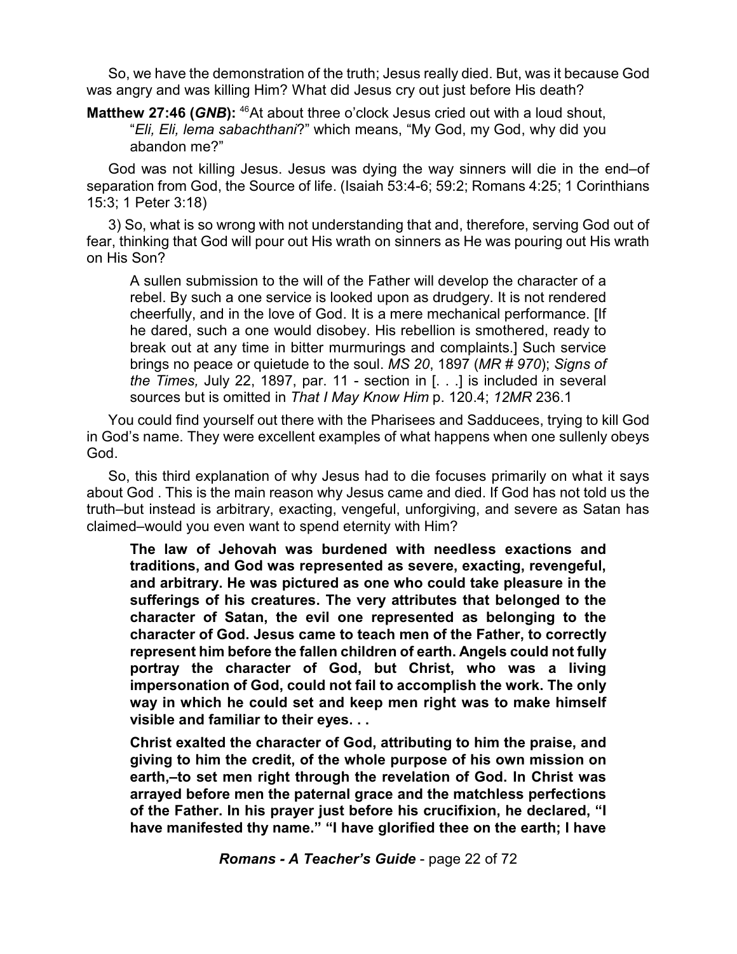So, we have the demonstration of the truth; Jesus really died. But, was it because God was angry and was killing Him? What did Jesus cry out just before His death?

**Matthew 27:46 (GNB):** <sup>46</sup>At about three o'clock Jesus cried out with a loud shout, "*Eli, Eli, lema sabachthani*?" which means, "My God, my God, why did you abandon me?"

God was not killing Jesus. Jesus was dying the way sinners will die in the end–of separation from God, the Source of life. (Isaiah 53:4-6; 59:2; Romans 4:25; 1 Corinthians 15:3; 1 Peter 3:18)

3) So, what is so wrong with not understanding that and, therefore, serving God out of fear, thinking that God will pour out His wrath on sinners as He was pouring out His wrath on His Son?

A sullen submission to the will of the Father will develop the character of a rebel. By such a one service is looked upon as drudgery. It is not rendered cheerfully, and in the love of God. It is a mere mechanical performance. [If he dared, such a one would disobey. His rebellion is smothered, ready to break out at any time in bitter murmurings and complaints.] Such service brings no peace or quietude to the soul. *MS 20*, 1897 (*MR # 970*); *Signs of the Times,* July 22, 1897, par. 11 - section in [. . .] is included in several sources but is omitted in *That I May Know Him* p. 120.4; *12MR* 236.1

You could find yourself out there with the Pharisees and Sadducees, trying to kill God in God's name. They were excellent examples of what happens when one sullenly obeys God.

So, this third explanation of why Jesus had to die focuses primarily on what it says about God . This is the main reason why Jesus came and died. If God has not told us the truth–but instead is arbitrary, exacting, vengeful, unforgiving, and severe as Satan has claimed–would you even want to spend eternity with Him?

**The law of Jehovah was burdened with needless exactions and traditions, and God was represented as severe, exacting, revengeful, and arbitrary. He was pictured as one who could take pleasure in the sufferings of his creatures. The very attributes that belonged to the character of Satan, the evil one represented as belonging to the character of God. Jesus came to teach men of the Father, to correctly represent him before the fallen children of earth. Angels could not fully portray the character of God, but Christ, who was a living impersonation of God, could not fail to accomplish the work. The only way in which he could set and keep men right was to make himself visible and familiar to their eyes. . .**

**Christ exalted the character of God, attributing to him the praise, and giving to him the credit, of the whole purpose of his own mission on earth,–to set men right through the revelation of God. In Christ was arrayed before men the paternal grace and the matchless perfections of the Father. In his prayer just before his crucifixion, he declared, "I have manifested thy name." "I have glorified thee on the earth; I have**

*Romans - A Teacher's Guide* - page 22 of 72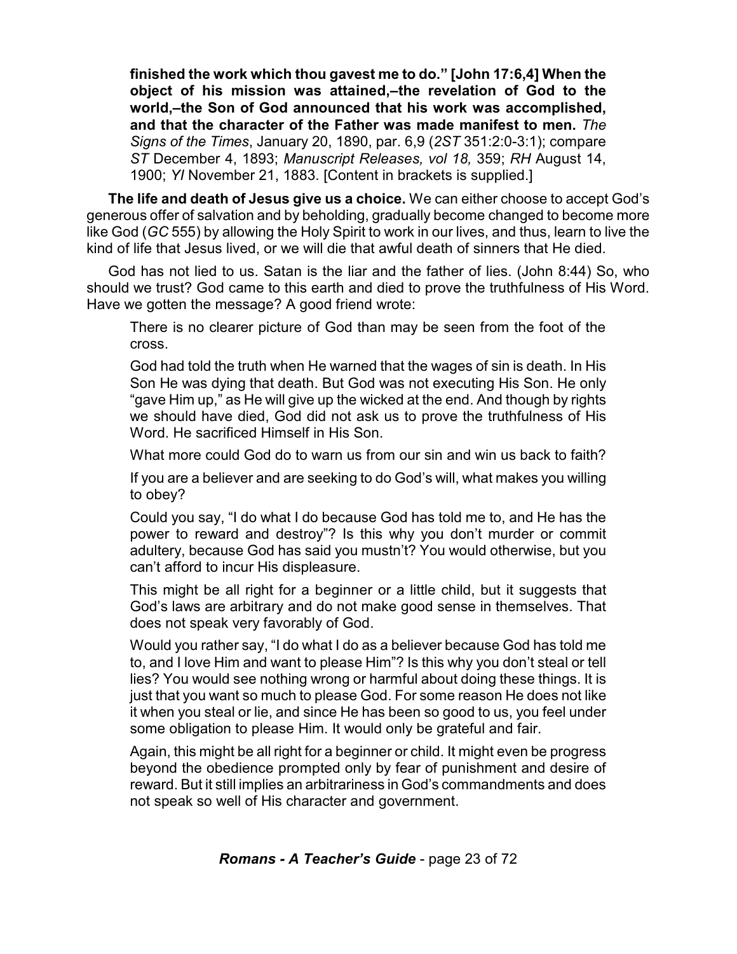**finished the work which thou gavest me to do." [John 17:6,4] When the object of his mission was attained,–the revelation of God to the world,–the Son of God announced that his work was accomplished, and that the character of the Father was made manifest to men.** *The Signs of the Times*, January 20, 1890, par. 6,9 (*2ST* 351:2:0-3:1); compare *ST* December 4, 1893; *Manuscript Releases, vol 18,* 359; *RH* August 14, 1900; *YI* November 21, 1883. [Content in brackets is supplied.]

**The life and death of Jesus give us a choice.** We can either choose to accept God's generous offer of salvation and by beholding, gradually become changed to become more like God (*GC* 555) by allowing the Holy Spirit to work in our lives, and thus, learn to live the kind of life that Jesus lived, or we will die that awful death of sinners that He died.

God has not lied to us. Satan is the liar and the father of lies. (John 8:44) So, who should we trust? God came to this earth and died to prove the truthfulness of His Word. Have we gotten the message? A good friend wrote:

There is no clearer picture of God than may be seen from the foot of the cross.

God had told the truth when He warned that the wages of sin is death. In His Son He was dying that death. But God was not executing His Son. He only "gave Him up," as He will give up the wicked at the end. And though by rights we should have died, God did not ask us to prove the truthfulness of His Word. He sacrificed Himself in His Son.

What more could God do to warn us from our sin and win us back to faith?

If you are a believer and are seeking to do God's will, what makes you willing to obey?

Could you say, "I do what I do because God has told me to, and He has the power to reward and destroy"? Is this why you don't murder or commit adultery, because God has said you mustn't? You would otherwise, but you can't afford to incur His displeasure.

This might be all right for a beginner or a little child, but it suggests that God's laws are arbitrary and do not make good sense in themselves. That does not speak very favorably of God.

Would you rather say, "I do what I do as a believer because God has told me to, and I love Him and want to please Him"? Is this why you don't steal or tell lies? You would see nothing wrong or harmful about doing these things. It is just that you want so much to please God. For some reason He does not like it when you steal or lie, and since He has been so good to us, you feel under some obligation to please Him. It would only be grateful and fair.

Again, this might be all right for a beginner or child. It might even be progress beyond the obedience prompted only by fear of punishment and desire of reward. But it still implies an arbitrariness in God's commandments and does not speak so well of His character and government.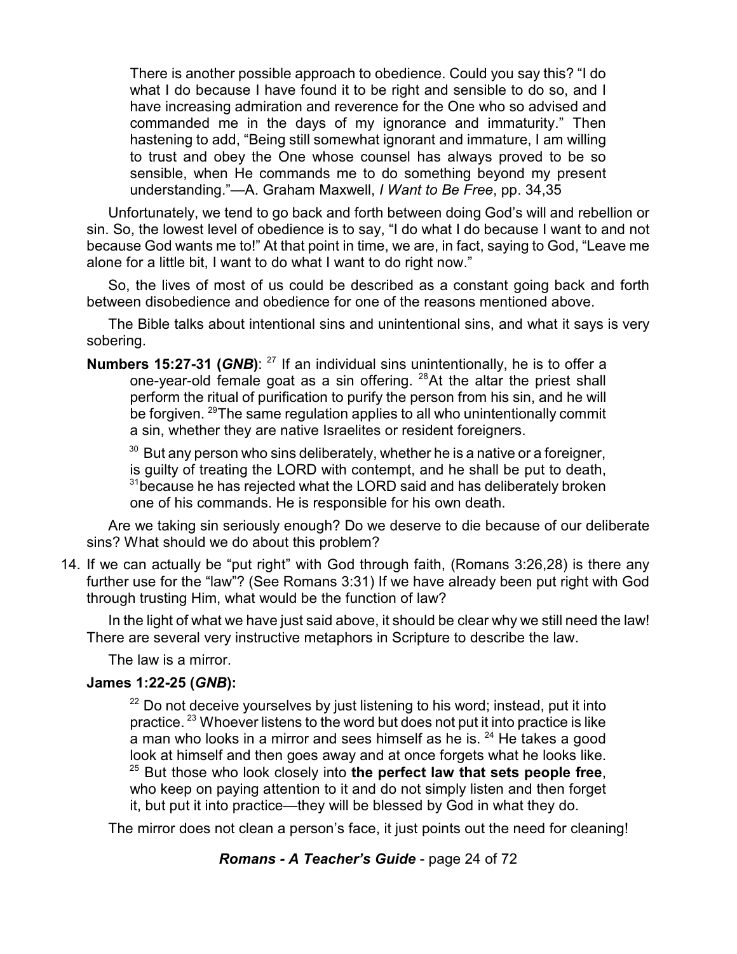There is another possible approach to obedience. Could you say this? "I do what I do because I have found it to be right and sensible to do so, and I have increasing admiration and reverence for the One who so advised and commanded me in the days of my ignorance and immaturity." Then hastening to add, "Being still somewhat ignorant and immature, I am willing to trust and obey the One whose counsel has always proved to be so sensible, when He commands me to do something beyond my present understanding."—A. Graham Maxwell, *I Want to Be Free*, pp. 34,35

Unfortunately, we tend to go back and forth between doing God's will and rebellion or sin. So, the lowest level of obedience is to say, "I do what I do because I want to and not because God wants me to!" At that point in time, we are, in fact, saying to God, "Leave me alone for a little bit, I want to do what I want to do right now."

So, the lives of most of us could be described as a constant going back and forth between disobedience and obedience for one of the reasons mentioned above.

The Bible talks about intentional sins and unintentional sins, and what it says is very sobering.

**Numbers 15:27-31 (GNB)**: <sup>27</sup> If an individual sins unintentionally, he is to offer a one-year-old female goat as a sin offering.  $^{28}$ At the altar the priest shall perform the ritual of purification to purify the person from his sin, and he will be forgiven.  $29$ The same regulation applies to all who unintentionally commit a sin, whether they are native Israelites or resident foreigners.

 $30$  But any person who sins deliberately, whether he is a native or a foreigner, is guilty of treating the LORD with contempt, and he shall be put to death,  $31$ because he has rejected what the LORD said and has deliberately broken one of his commands. He is responsible for his own death.

Are we taking sin seriously enough? Do we deserve to die because of our deliberate sins? What should we do about this problem?

14. If we can actually be "put right" with God through faith, (Romans 3:26,28) is there any further use for the "law"? (See Romans 3:31) If we have already been put right with God through trusting Him, what would be the function of law?

In the light of what we have just said above, it should be clear why we still need the law! There are several very instructive metaphors in Scripture to describe the law.

The law is a mirror.

# **James 1:22-25 (***GNB***):**

 $22$  Do not deceive yourselves by just listening to his word; instead, put it into practice. <sup>23</sup> Whoever listens to the word but does not put it into practice is like a man who looks in a mirror and sees himself as he is.  $^{24}$  He takes a good look at himself and then goes away and at once forgets what he looks like. <sup>25</sup> But those who look closely into **the perfect law that sets people free**, who keep on paying attention to it and do not simply listen and then forget it, but put it into practice—they will be blessed by God in what they do.

The mirror does not clean a person's face, it just points out the need for cleaning!

# *Romans - A Teacher's Guide* - page 24 of 72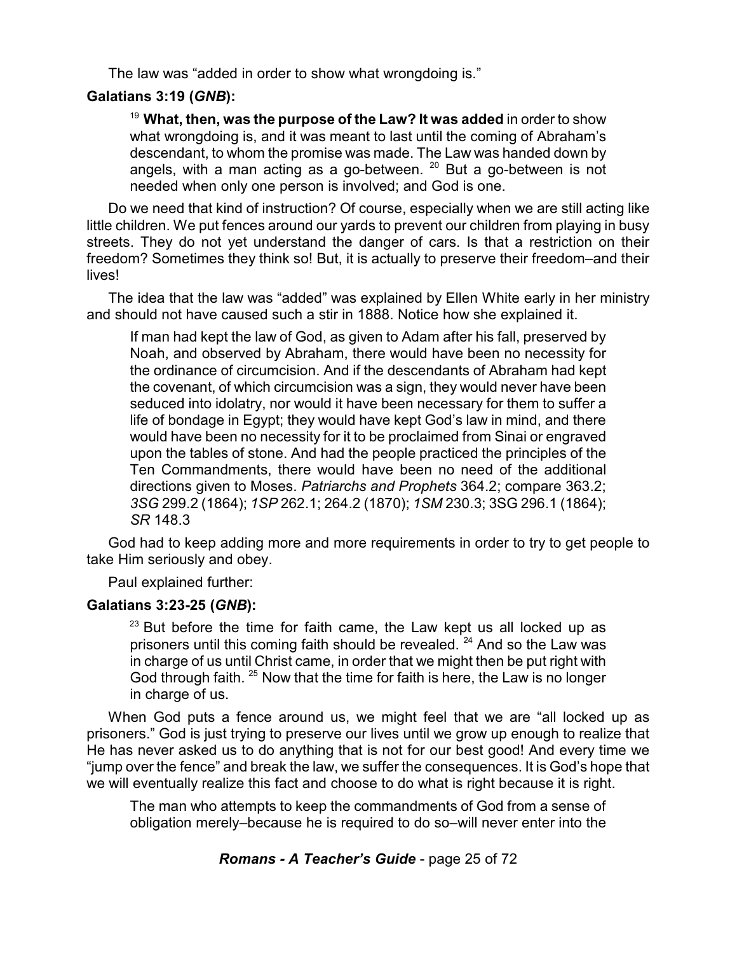The law was "added in order to show what wrongdoing is."

# **Galatians 3:19 (***GNB***):**

<sup>19</sup> What, then, was the purpose of the Law? It was added in order to show what wrongdoing is, and it was meant to last until the coming of Abraham's descendant, to whom the promise was made. The Law was handed down by angels, with a man acting as a go-between.  $20$  But a go-between is not needed when only one person is involved; and God is one.

Do we need that kind of instruction? Of course, especially when we are still acting like little children. We put fences around our yards to prevent our children from playing in busy streets. They do not yet understand the danger of cars. Is that a restriction on their freedom? Sometimes they think so! But, it is actually to preserve their freedom–and their lives!

The idea that the law was "added" was explained by Ellen White early in her ministry and should not have caused such a stir in 1888. Notice how she explained it.

If man had kept the law of God, as given to Adam after his fall, preserved by Noah, and observed by Abraham, there would have been no necessity for the ordinance of circumcision. And if the descendants of Abraham had kept the covenant, of which circumcision was a sign, they would never have been seduced into idolatry, nor would it have been necessary for them to suffer a life of bondage in Egypt; they would have kept God's law in mind, and there would have been no necessity for it to be proclaimed from Sinai or engraved upon the tables of stone. And had the people practiced the principles of the Ten Commandments, there would have been no need of the additional directions given to Moses. *Patriarchs and Prophets* 364.2; compare 363.2; *3SG* 299.2 (1864); *1SP* 262.1; 264.2 (1870); *1SM* 230.3; 3SG 296.1 (1864); *SR* 148.3

God had to keep adding more and more requirements in order to try to get people to take Him seriously and obey.

Paul explained further:

# **Galatians 3:23-25 (***GNB***):**

 $23$  But before the time for faith came, the Law kept us all locked up as prisoners until this coming faith should be revealed.  $24$  And so the Law was in charge of us until Christ came, in order that we might then be put right with God through faith.  $25$  Now that the time for faith is here, the Law is no longer in charge of us.

When God puts a fence around us, we might feel that we are "all locked up as prisoners." God is just trying to preserve our lives until we grow up enough to realize that He has never asked us to do anything that is not for our best good! And every time we "jump over the fence" and break the law, we suffer the consequences. It is God's hope that we will eventually realize this fact and choose to do what is right because it is right.

The man who attempts to keep the commandments of God from a sense of obligation merely–because he is required to do so–will never enter into the

#### *Romans - A Teacher's Guide* - page 25 of 72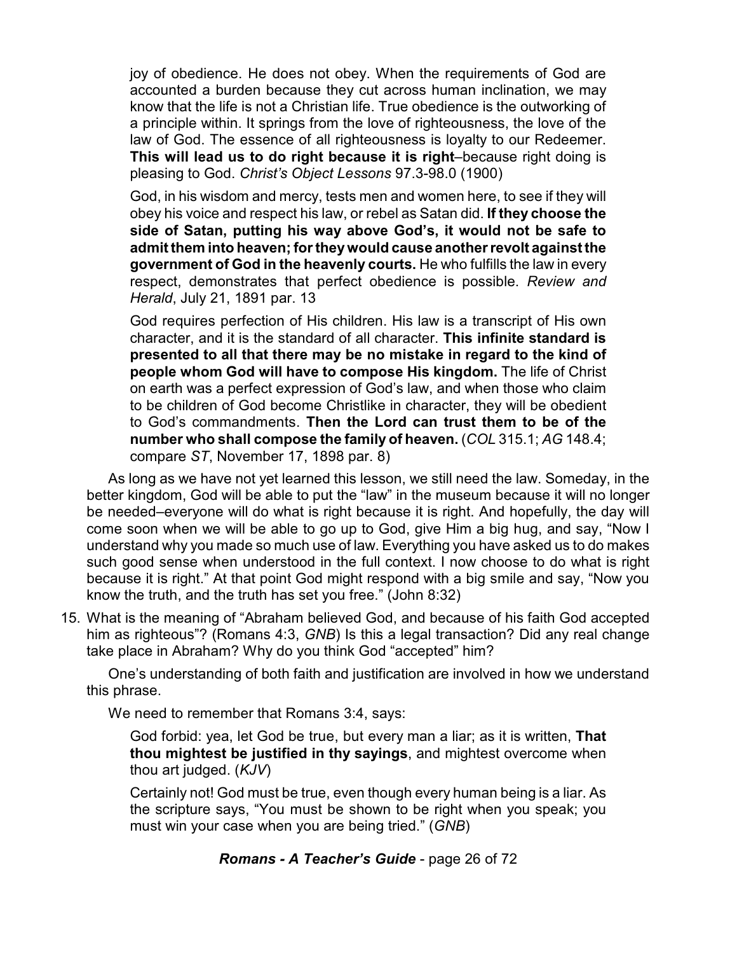joy of obedience. He does not obey. When the requirements of God are accounted a burden because they cut across human inclination, we may know that the life is not a Christian life. True obedience is the outworking of a principle within. It springs from the love of righteousness, the love of the law of God. The essence of all righteousness is loyalty to our Redeemer. **This will lead us to do right because it is right**–because right doing is pleasing to God. *Christ's Object Lessons* 97.3-98.0 (1900)

God, in his wisdom and mercy, tests men and women here, to see if they will obey his voice and respect his law, or rebel as Satan did. **If they choose the side of Satan, putting his way above God's, it would not be safe to admit them into heaven; for theywould cause another revolt against the government of God in the heavenly courts.** He who fulfills the law in every respect, demonstrates that perfect obedience is possible. *Review and Herald*, July 21, 1891 par. 13

God requires perfection of His children. His law is a transcript of His own character, and it is the standard of all character. **This infinite standard is presented to all that there may be no mistake in regard to the kind of people whom God will have to compose His kingdom.** The life of Christ on earth was a perfect expression of God's law, and when those who claim to be children of God become Christlike in character, they will be obedient to God's commandments. **Then the Lord can trust them to be of the number who shall compose the family of heaven.** (*COL* 315.1; *AG* 148.4; compare *ST*, November 17, 1898 par. 8)

As long as we have not yet learned this lesson, we still need the law. Someday, in the better kingdom, God will be able to put the "law" in the museum because it will no longer be needed–everyone will do what is right because it is right. And hopefully, the day will come soon when we will be able to go up to God, give Him a big hug, and say, "Now I understand why you made so much use of law. Everything you have asked us to do makes such good sense when understood in the full context. I now choose to do what is right because it is right." At that point God might respond with a big smile and say, "Now you know the truth, and the truth has set you free." (John 8:32)

15. What is the meaning of "Abraham believed God, and because of his faith God accepted him as righteous"? (Romans 4:3, *GNB*) Is this a legal transaction? Did any real change take place in Abraham? Why do you think God "accepted" him?

One's understanding of both faith and justification are involved in how we understand this phrase.

We need to remember that Romans 3:4, says:

God forbid: yea, let God be true, but every man a liar; as it is written, **That thou mightest be justified in thy sayings**, and mightest overcome when thou art judged. (*KJV*)

Certainly not! God must be true, even though every human being is a liar. As the scripture says, "You must be shown to be right when you speak; you must win your case when you are being tried." (*GNB*)

# *Romans - A Teacher's Guide* - page 26 of 72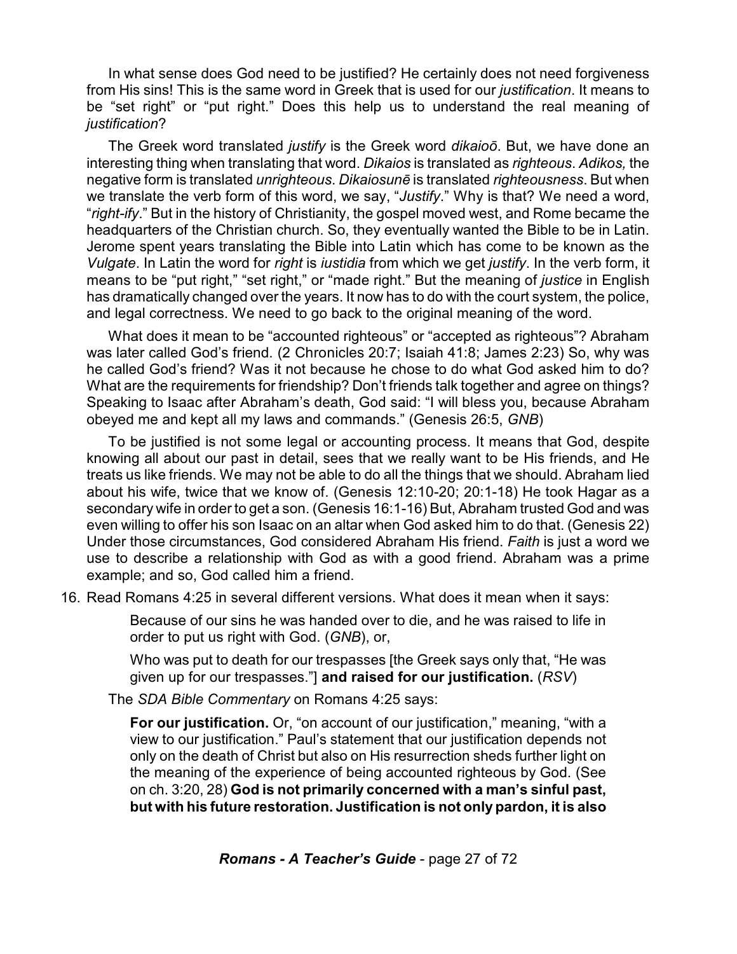In what sense does God need to be justified? He certainly does not need forgiveness from His sins! This is the same word in Greek that is used for our *justification*. It means to be "set right" or "put right." Does this help us to understand the real meaning of *justification*?

The Greek word translated *justify* is the Greek word *dikaioô*. But, we have done an interesting thing when translating that word. *Dikaios* is translated as *righteous*. *Adikos,* the negative form is translated *unrighteous*. *Dikaiosunç* is translated *righteousness*. But when we translate the verb form of this word, we say, "*Justify*." Why is that? We need a word, "*right-ify*." But in the history of Christianity, the gospel moved west, and Rome became the headquarters of the Christian church. So, they eventually wanted the Bible to be in Latin. Jerome spent years translating the Bible into Latin which has come to be known as the *Vulgate*. In Latin the word for *right* is *iustidia* from which we get *justify*. In the verb form, it means to be "put right," "set right," or "made right." But the meaning of *justice* in English has dramatically changed over the years. It now has to do with the court system, the police, and legal correctness. We need to go back to the original meaning of the word.

What does it mean to be "accounted righteous" or "accepted as righteous"? Abraham was later called God's friend. (2 Chronicles 20:7; Isaiah 41:8; James 2:23) So, why was he called God's friend? Was it not because he chose to do what God asked him to do? What are the requirements for friendship? Don't friends talk together and agree on things? Speaking to Isaac after Abraham's death, God said: "I will bless you, because Abraham obeyed me and kept all my laws and commands." (Genesis 26:5, *GNB*)

To be justified is not some legal or accounting process. It means that God, despite knowing all about our past in detail, sees that we really want to be His friends, and He treats us like friends. We may not be able to do all the things that we should. Abraham lied about his wife, twice that we know of. (Genesis 12:10-20; 20:1-18) He took Hagar as a secondary wife in order to get a son. (Genesis 16:1-16) But, Abraham trusted God and was even willing to offer his son Isaac on an altar when God asked him to do that. (Genesis 22) Under those circumstances, God considered Abraham His friend. *Faith* is just a word we use to describe a relationship with God as with a good friend. Abraham was a prime example; and so, God called him a friend.

16. Read Romans 4:25 in several different versions. What does it mean when it says:

Because of our sins he was handed over to die, and he was raised to life in order to put us right with God. (*GNB*), or,

Who was put to death for our trespasses [the Greek says only that, "He was given up for our trespasses."] **and raised for our justification.** (*RSV*)

The *SDA Bible Commentary* on Romans 4:25 says:

**For our justification.** Or, "on account of our justification," meaning, "with a view to our justification." Paul's statement that our justification depends not only on the death of Christ but also on His resurrection sheds further light on the meaning of the experience of being accounted righteous by God. (See on ch. 3:20, 28) **God is not primarily concerned with a man's sinful past, but with his future restoration. Justification is not only pardon, it is also**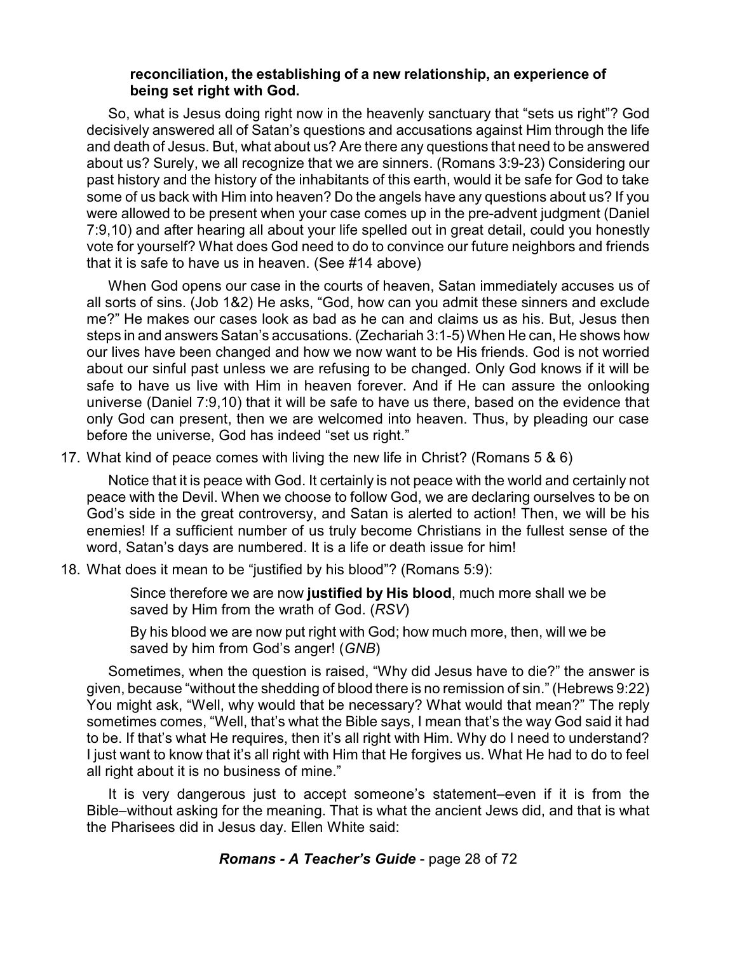#### **reconciliation, the establishing of a new relationship, an experience of being set right with God.**

So, what is Jesus doing right now in the heavenly sanctuary that "sets us right"? God decisively answered all of Satan's questions and accusations against Him through the life and death of Jesus. But, what about us? Are there any questions that need to be answered about us? Surely, we all recognize that we are sinners. (Romans 3:9-23) Considering our past history and the history of the inhabitants of this earth, would it be safe for God to take some of us back with Him into heaven? Do the angels have any questions about us? If you were allowed to be present when your case comes up in the pre-advent judgment (Daniel 7:9,10) and after hearing all about your life spelled out in great detail, could you honestly vote for yourself? What does God need to do to convince our future neighbors and friends that it is safe to have us in heaven. (See #14 above)

When God opens our case in the courts of heaven, Satan immediately accuses us of all sorts of sins. (Job 1&2) He asks, "God, how can you admit these sinners and exclude me?" He makes our cases look as bad as he can and claims us as his. But, Jesus then steps in and answers Satan's accusations. (Zechariah 3:1-5) When He can, He shows how our lives have been changed and how we now want to be His friends. God is not worried about our sinful past unless we are refusing to be changed. Only God knows if it will be safe to have us live with Him in heaven forever. And if He can assure the onlooking universe (Daniel 7:9,10) that it will be safe to have us there, based on the evidence that only God can present, then we are welcomed into heaven. Thus, by pleading our case before the universe, God has indeed "set us right."

17. What kind of peace comes with living the new life in Christ? (Romans 5 & 6)

Notice that it is peace with God. It certainly is not peace with the world and certainly not peace with the Devil. When we choose to follow God, we are declaring ourselves to be on God's side in the great controversy, and Satan is alerted to action! Then, we will be his enemies! If a sufficient number of us truly become Christians in the fullest sense of the word, Satan's days are numbered. It is a life or death issue for him!

18. What does it mean to be "justified by his blood"? (Romans 5:9):

Since therefore we are now **justified by His blood**, much more shall we be saved by Him from the wrath of God. (*RSV*)

By his blood we are now put right with God; how much more, then, will we be saved by him from God's anger! (*GNB*)

Sometimes, when the question is raised, "Why did Jesus have to die?" the answer is given, because "without the shedding of blood there is no remission of sin." (Hebrews 9:22) You might ask, "Well, why would that be necessary? What would that mean?" The reply sometimes comes, "Well, that's what the Bible says, I mean that's the way God said it had to be. If that's what He requires, then it's all right with Him. Why do I need to understand? I just want to know that it's all right with Him that He forgives us. What He had to do to feel all right about it is no business of mine."

It is very dangerous just to accept someone's statement–even if it is from the Bible–without asking for the meaning. That is what the ancient Jews did, and that is what the Pharisees did in Jesus day. Ellen White said:

# *Romans - A Teacher's Guide* - page 28 of 72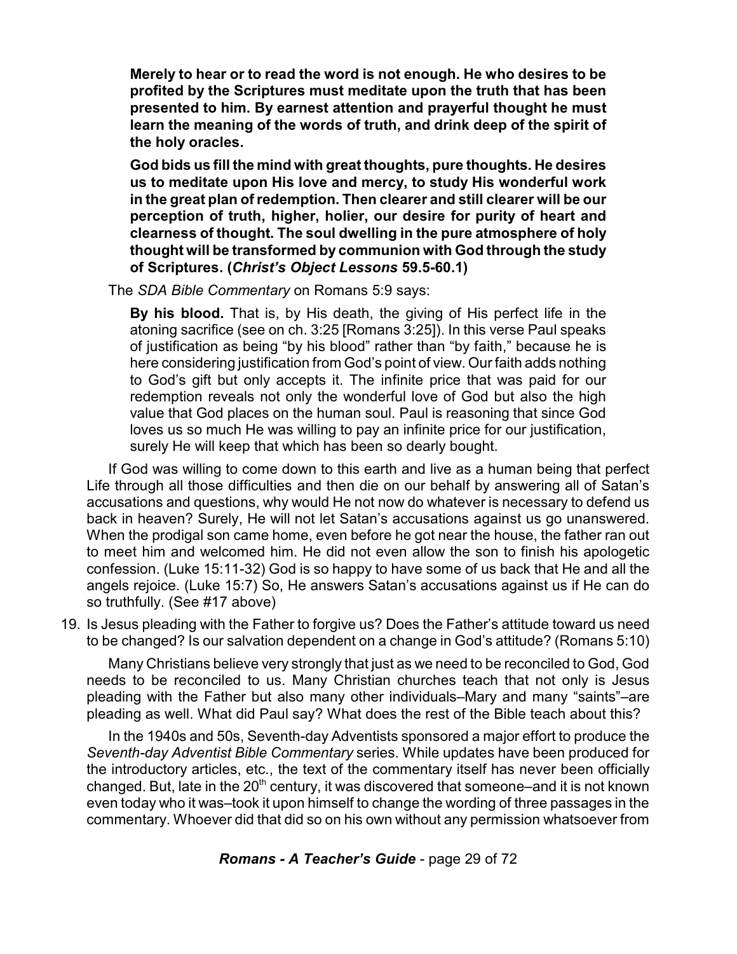**Merely to hear or to read the word is not enough. He who desires to be profited by the Scriptures must meditate upon the truth that has been presented to him. By earnest attention and prayerful thought he must learn the meaning of the words of truth, and drink deep of the spirit of the holy oracles.**

**God bids us fill the mind with great thoughts, pure thoughts. He desires us to meditate upon His love and mercy, to study His wonderful work in the great plan of redemption. Then clearer and still clearer will be our perception of truth, higher, holier, our desire for purity of heart and clearness of thought. The soul dwelling in the pure atmosphere of holy thought will be transformed by communion with God through the study of Scriptures. (***Christ's Object Lessons* **59.5-60.1)**

The *SDA Bible Commentary* on Romans 5:9 says:

**By his blood.** That is, by His death, the giving of His perfect life in the atoning sacrifice (see on ch. 3:25 [Romans 3:25]). In this verse Paul speaks of justification as being "by his blood" rather than "by faith," because he is here considering justification from God's point of view. Our faith adds nothing to God's gift but only accepts it. The infinite price that was paid for our redemption reveals not only the wonderful love of God but also the high value that God places on the human soul. Paul is reasoning that since God loves us so much He was willing to pay an infinite price for our justification, surely He will keep that which has been so dearly bought.

If God was willing to come down to this earth and live as a human being that perfect Life through all those difficulties and then die on our behalf by answering all of Satan's accusations and questions, why would He not now do whatever is necessary to defend us back in heaven? Surely, He will not let Satan's accusations against us go unanswered. When the prodigal son came home, even before he got near the house, the father ran out to meet him and welcomed him. He did not even allow the son to finish his apologetic confession. (Luke 15:11-32) God is so happy to have some of us back that He and all the angels rejoice. (Luke 15:7) So, He answers Satan's accusations against us if He can do so truthfully. (See #17 above)

19. Is Jesus pleading with the Father to forgive us? Does the Father's attitude toward us need to be changed? Is our salvation dependent on a change in God's attitude? (Romans 5:10)

Many Christians believe very strongly that just as we need to be reconciled to God, God needs to be reconciled to us. Many Christian churches teach that not only is Jesus pleading with the Father but also many other individuals–Mary and many "saints"–are pleading as well. What did Paul say? What does the rest of the Bible teach about this?

In the 1940s and 50s, Seventh-day Adventists sponsored a major effort to produce the *Seventh-day Adventist Bible Commentary* series. While updates have been produced for the introductory articles, etc., the text of the commentary itself has never been officially changed. But, late in the  $20<sup>th</sup>$  century, it was discovered that someone–and it is not known even today who it was–took it upon himself to change the wording of three passages in the commentary. Whoever did that did so on his own without any permission whatsoever from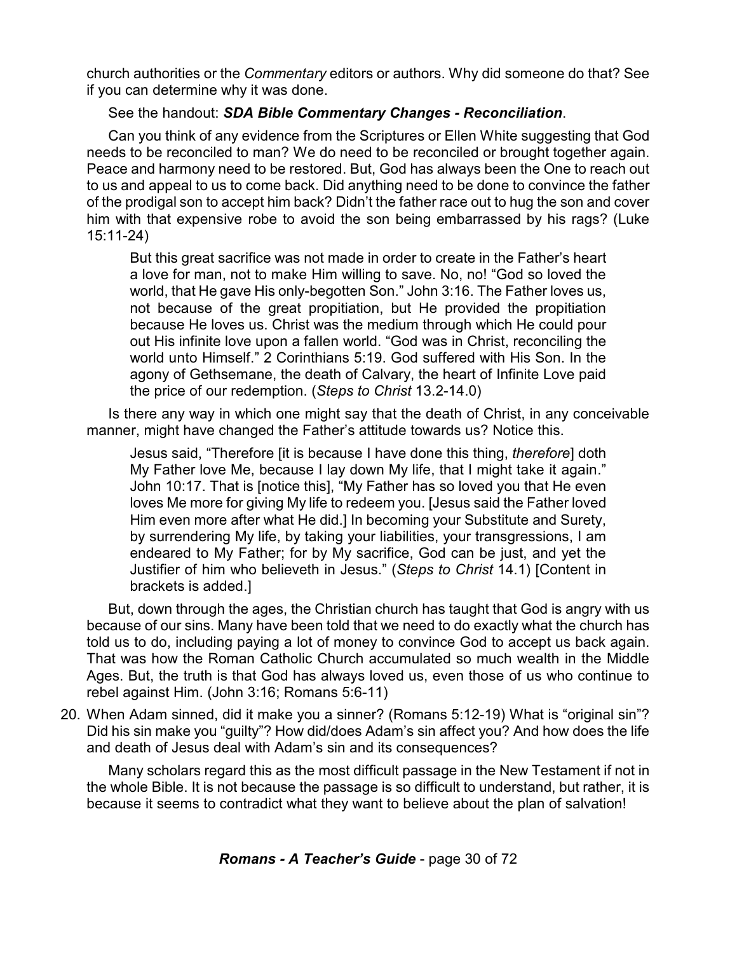church authorities or the *Commentary* editors or authors. Why did someone do that? See if you can determine why it was done.

#### See the handout: *SDA Bible Commentary Changes - Reconciliation*.

Can you think of any evidence from the Scriptures or Ellen White suggesting that God needs to be reconciled to man? We do need to be reconciled or brought together again. Peace and harmony need to be restored. But, God has always been the One to reach out to us and appeal to us to come back. Did anything need to be done to convince the father of the prodigal son to accept him back? Didn't the father race out to hug the son and cover him with that expensive robe to avoid the son being embarrassed by his rags? (Luke 15:11-24)

But this great sacrifice was not made in order to create in the Father's heart a love for man, not to make Him willing to save. No, no! "God so loved the world, that He gave His only-begotten Son." John 3:16. The Father loves us, not because of the great propitiation, but He provided the propitiation because He loves us. Christ was the medium through which He could pour out His infinite love upon a fallen world. "God was in Christ, reconciling the world unto Himself." 2 Corinthians 5:19. God suffered with His Son. In the agony of Gethsemane, the death of Calvary, the heart of Infinite Love paid the price of our redemption. (*Steps to Christ* 13.2-14.0)

Is there any way in which one might say that the death of Christ, in any conceivable manner, might have changed the Father's attitude towards us? Notice this.

Jesus said, "Therefore [it is because I have done this thing, *therefore*] doth My Father love Me, because I lay down My life, that I might take it again." John 10:17. That is [notice this], "My Father has so loved you that He even loves Me more for giving My life to redeem you. [Jesus said the Father loved Him even more after what He did.] In becoming your Substitute and Surety, by surrendering My life, by taking your liabilities, your transgressions, I am endeared to My Father; for by My sacrifice, God can be just, and yet the Justifier of him who believeth in Jesus." (*Steps to Christ* 14.1) [Content in brackets is added.]

But, down through the ages, the Christian church has taught that God is angry with us because of our sins. Many have been told that we need to do exactly what the church has told us to do, including paying a lot of money to convince God to accept us back again. That was how the Roman Catholic Church accumulated so much wealth in the Middle Ages. But, the truth is that God has always loved us, even those of us who continue to rebel against Him. (John 3:16; Romans 5:6-11)

20. When Adam sinned, did it make you a sinner? (Romans 5:12-19) What is "original sin"? Did his sin make you "guilty"? How did/does Adam's sin affect you? And how does the life and death of Jesus deal with Adam's sin and its consequences?

Many scholars regard this as the most difficult passage in the New Testament if not in the whole Bible. It is not because the passage is so difficult to understand, but rather, it is because it seems to contradict what they want to believe about the plan of salvation!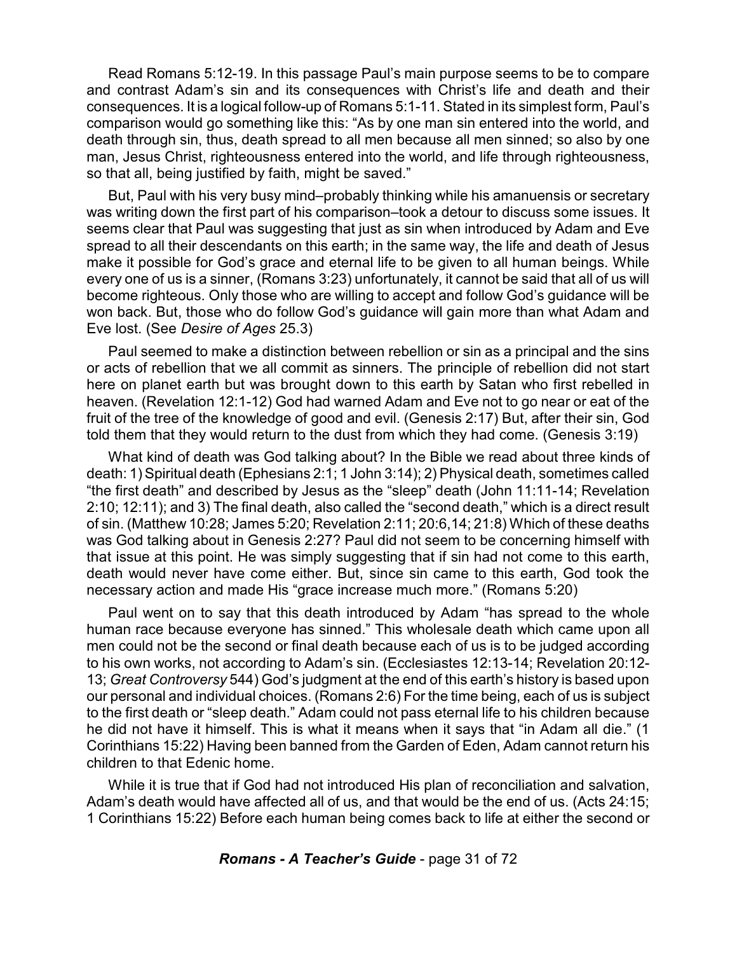Read Romans 5:12-19. In this passage Paul's main purpose seems to be to compare and contrast Adam's sin and its consequences with Christ's life and death and their consequences. It is a logical follow-up of Romans 5:1-11. Stated in its simplest form, Paul's comparison would go something like this: "As by one man sin entered into the world, and death through sin, thus, death spread to all men because all men sinned; so also by one man, Jesus Christ, righteousness entered into the world, and life through righteousness, so that all, being justified by faith, might be saved."

But, Paul with his very busy mind–probably thinking while his amanuensis or secretary was writing down the first part of his comparison–took a detour to discuss some issues. It seems clear that Paul was suggesting that just as sin when introduced by Adam and Eve spread to all their descendants on this earth; in the same way, the life and death of Jesus make it possible for God's grace and eternal life to be given to all human beings. While every one of us is a sinner, (Romans 3:23) unfortunately, it cannot be said that all of us will become righteous. Only those who are willing to accept and follow God's guidance will be won back. But, those who do follow God's guidance will gain more than what Adam and Eve lost. (See *Desire of Ages* 25.3)

Paul seemed to make a distinction between rebellion or sin as a principal and the sins or acts of rebellion that we all commit as sinners. The principle of rebellion did not start here on planet earth but was brought down to this earth by Satan who first rebelled in heaven. (Revelation 12:1-12) God had warned Adam and Eve not to go near or eat of the fruit of the tree of the knowledge of good and evil. (Genesis 2:17) But, after their sin, God told them that they would return to the dust from which they had come. (Genesis 3:19)

What kind of death was God talking about? In the Bible we read about three kinds of death: 1) Spiritual death (Ephesians 2:1; 1 John 3:14); 2) Physical death, sometimes called "the first death" and described by Jesus as the "sleep" death (John 11:11-14; Revelation 2:10; 12:11); and 3) The final death, also called the "second death," which is a direct result of sin. (Matthew 10:28; James 5:20; Revelation 2:11; 20:6,14; 21:8) Which of these deaths was God talking about in Genesis 2:27? Paul did not seem to be concerning himself with that issue at this point. He was simply suggesting that if sin had not come to this earth, death would never have come either. But, since sin came to this earth, God took the necessary action and made His "grace increase much more." (Romans 5:20)

Paul went on to say that this death introduced by Adam "has spread to the whole human race because everyone has sinned." This wholesale death which came upon all men could not be the second or final death because each of us is to be judged according to his own works, not according to Adam's sin. (Ecclesiastes 12:13-14; Revelation 20:12- 13; *Great Controversy* 544) God's judgment at the end of this earth's history is based upon our personal and individual choices. (Romans 2:6) For the time being, each of us is subject to the first death or "sleep death." Adam could not pass eternal life to his children because he did not have it himself. This is what it means when it says that "in Adam all die." (1 Corinthians 15:22) Having been banned from the Garden of Eden, Adam cannot return his children to that Edenic home.

While it is true that if God had not introduced His plan of reconciliation and salvation, Adam's death would have affected all of us, and that would be the end of us. (Acts 24:15; 1 Corinthians 15:22) Before each human being comes back to life at either the second or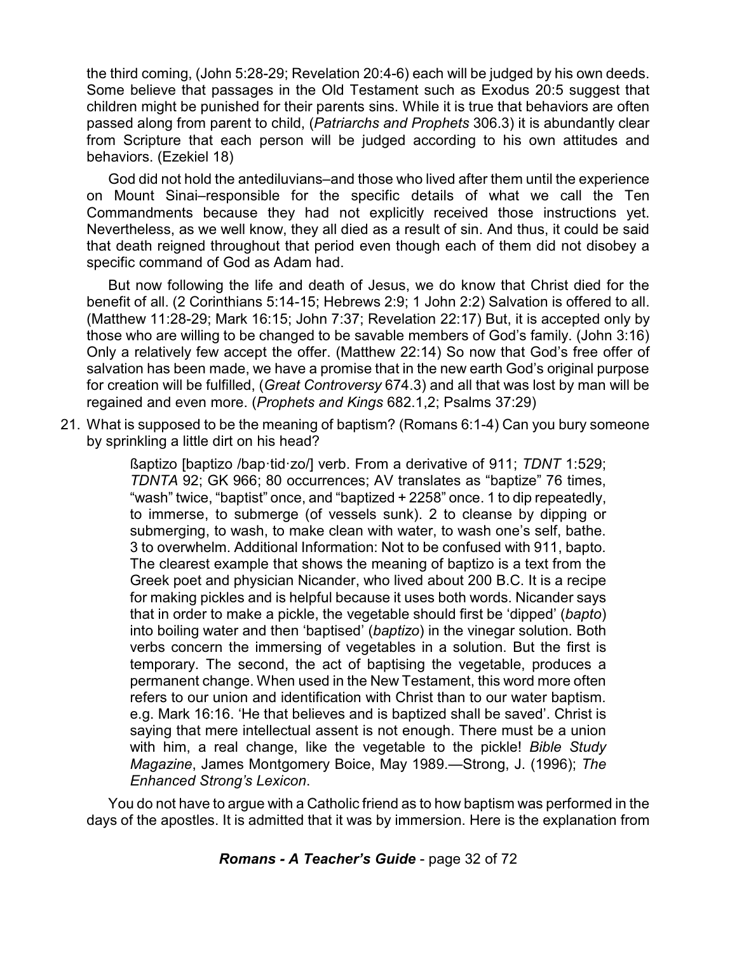the third coming, (John 5:28-29; Revelation 20:4-6) each will be judged by his own deeds. Some believe that passages in the Old Testament such as Exodus 20:5 suggest that children might be punished for their parents sins. While it is true that behaviors are often passed along from parent to child, (*Patriarchs and Prophets* 306.3) it is abundantly clear from Scripture that each person will be judged according to his own attitudes and behaviors. (Ezekiel 18)

God did not hold the antediluvians–and those who lived after them until the experience on Mount Sinai–responsible for the specific details of what we call the Ten Commandments because they had not explicitly received those instructions yet. Nevertheless, as we well know, they all died as a result of sin. And thus, it could be said that death reigned throughout that period even though each of them did not disobey a specific command of God as Adam had.

But now following the life and death of Jesus, we do know that Christ died for the benefit of all. (2 Corinthians 5:14-15; Hebrews 2:9; 1 John 2:2) Salvation is offered to all. (Matthew 11:28-29; Mark 16:15; John 7:37; Revelation 22:17) But, it is accepted only by those who are willing to be changed to be savable members of God's family. (John 3:16) Only a relatively few accept the offer. (Matthew 22:14) So now that God's free offer of salvation has been made, we have a promise that in the new earth God's original purpose for creation will be fulfilled, (*Great Controversy* 674.3) and all that was lost by man will be regained and even more. (*Prophets and Kings* 682.1,2; Psalms 37:29)

21. What is supposed to be the meaning of baptism? (Romans 6:1-4) Can you bury someone by sprinkling a little dirt on his head?

> ßaptizo [baptizo /bap·tid·zo/] verb. From a derivative of 911; *TDNT* 1:529; *TDNTA* 92; GK 966; 80 occurrences; AV translates as "baptize" 76 times, "wash" twice, "baptist" once, and "baptized + 2258" once. 1 to dip repeatedly, to immerse, to submerge (of vessels sunk). 2 to cleanse by dipping or submerging, to wash, to make clean with water, to wash one's self, bathe. 3 to overwhelm. Additional Information: Not to be confused with 911, bapto. The clearest example that shows the meaning of baptizo is a text from the Greek poet and physician Nicander, who lived about 200 B.C. It is a recipe for making pickles and is helpful because it uses both words. Nicander says that in order to make a pickle, the vegetable should first be 'dipped' (*bapto*) into boiling water and then 'baptised' (*baptizo*) in the vinegar solution. Both verbs concern the immersing of vegetables in a solution. But the first is temporary. The second, the act of baptising the vegetable, produces a permanent change. When used in the New Testament, this word more often refers to our union and identification with Christ than to our water baptism. e.g. Mark 16:16. 'He that believes and is baptized shall be saved'. Christ is saying that mere intellectual assent is not enough. There must be a union with him, a real change, like the vegetable to the pickle! *Bible Study Magazine*, James Montgomery Boice, May 1989.—Strong, J. (1996); *The Enhanced Strong's Lexicon*.

You do not have to argue with a Catholic friend as to how baptism was performed in the days of the apostles. It is admitted that it was by immersion. Here is the explanation from

*Romans - A Teacher's Guide* - page 32 of 72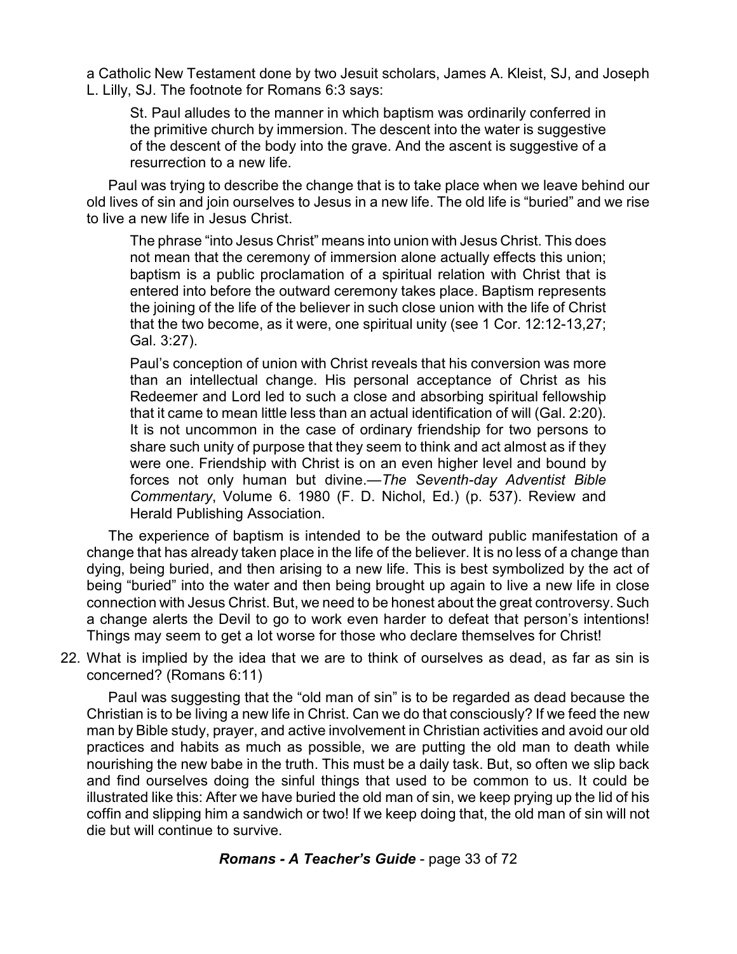a Catholic New Testament done by two Jesuit scholars, James A. Kleist, SJ, and Joseph L. Lilly, SJ. The footnote for Romans 6:3 says:

St. Paul alludes to the manner in which baptism was ordinarily conferred in the primitive church by immersion. The descent into the water is suggestive of the descent of the body into the grave. And the ascent is suggestive of a resurrection to a new life.

Paul was trying to describe the change that is to take place when we leave behind our old lives of sin and join ourselves to Jesus in a new life. The old life is "buried" and we rise to live a new life in Jesus Christ.

The phrase "into Jesus Christ" means into union with Jesus Christ. This does not mean that the ceremony of immersion alone actually effects this union; baptism is a public proclamation of a spiritual relation with Christ that is entered into before the outward ceremony takes place. Baptism represents the joining of the life of the believer in such close union with the life of Christ that the two become, as it were, one spiritual unity (see 1 Cor. 12:12-13,27; Gal. 3:27).

Paul's conception of union with Christ reveals that his conversion was more than an intellectual change. His personal acceptance of Christ as his Redeemer and Lord led to such a close and absorbing spiritual fellowship that it came to mean little less than an actual identification of will (Gal. 2:20). It is not uncommon in the case of ordinary friendship for two persons to share such unity of purpose that they seem to think and act almost as if they were one. Friendship with Christ is on an even higher level and bound by forces not only human but divine.—*The Seventh-day Adventist Bible Commentary*, Volume 6. 1980 (F. D. Nichol, Ed.) (p. 537). Review and Herald Publishing Association.

The experience of baptism is intended to be the outward public manifestation of a change that has already taken place in the life of the believer. It is no less of a change than dying, being buried, and then arising to a new life. This is best symbolized by the act of being "buried" into the water and then being brought up again to live a new life in close connection with Jesus Christ. But, we need to be honest about the great controversy. Such a change alerts the Devil to go to work even harder to defeat that person's intentions! Things may seem to get a lot worse for those who declare themselves for Christ!

22. What is implied by the idea that we are to think of ourselves as dead, as far as sin is concerned? (Romans 6:11)

Paul was suggesting that the "old man of sin" is to be regarded as dead because the Christian is to be living a new life in Christ. Can we do that consciously? If we feed the new man by Bible study, prayer, and active involvement in Christian activities and avoid our old practices and habits as much as possible, we are putting the old man to death while nourishing the new babe in the truth. This must be a daily task. But, so often we slip back and find ourselves doing the sinful things that used to be common to us. It could be illustrated like this: After we have buried the old man of sin, we keep prying up the lid of his coffin and slipping him a sandwich or two! If we keep doing that, the old man of sin will not die but will continue to survive.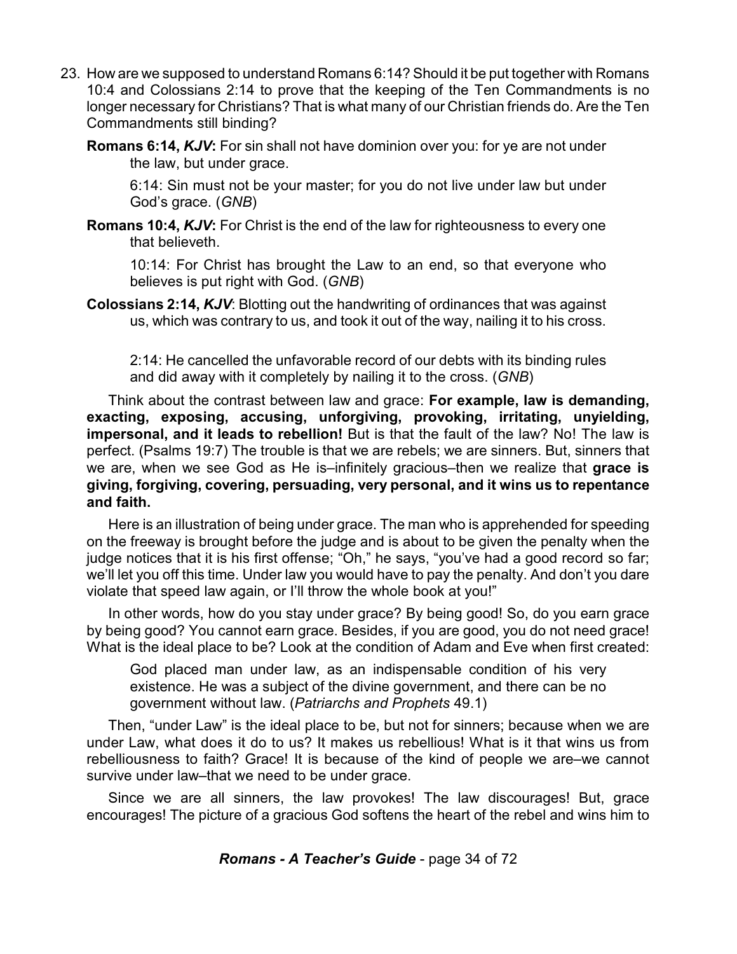- 23. How are we supposed to understand Romans 6:14? Should it be put together with Romans 10:4 and Colossians 2:14 to prove that the keeping of the Ten Commandments is no longer necessary for Christians? That is what many of our Christian friends do. Are the Ten Commandments still binding?
	- **Romans 6:14,** *KJV***:** For sin shall not have dominion over you: for ye are not under the law, but under grace.

6:14: Sin must not be your master; for you do not live under law but under God's grace. (*GNB*)

**Romans 10:4,** *KJV***:** For Christ is the end of the law for righteousness to every one that believeth.

10:14: For Christ has brought the Law to an end, so that everyone who believes is put right with God. (*GNB*)

**Colossians 2:14,** *KJV*: Blotting out the handwriting of ordinances that was against us, which was contrary to us, and took it out of the way, nailing it to his cross.

2:14: He cancelled the unfavorable record of our debts with its binding rules and did away with it completely by nailing it to the cross. (*GNB*)

Think about the contrast between law and grace: **For example, law is demanding, exacting, exposing, accusing, unforgiving, provoking, irritating, unyielding, impersonal, and it leads to rebellion!** But is that the fault of the law? No! The law is perfect. (Psalms 19:7) The trouble is that we are rebels; we are sinners. But, sinners that we are, when we see God as He is–infinitely gracious–then we realize that **grace is giving, forgiving, covering, persuading, very personal, and it wins us to repentance and faith.**

Here is an illustration of being under grace. The man who is apprehended for speeding on the freeway is brought before the judge and is about to be given the penalty when the judge notices that it is his first offense; "Oh," he says, "you've had a good record so far; we'll let you off this time. Under law you would have to pay the penalty. And don't you dare violate that speed law again, or I'll throw the whole book at you!"

In other words, how do you stay under grace? By being good! So, do you earn grace by being good? You cannot earn grace. Besides, if you are good, you do not need grace! What is the ideal place to be? Look at the condition of Adam and Eve when first created:

God placed man under law, as an indispensable condition of his very existence. He was a subject of the divine government, and there can be no government without law. (*Patriarchs and Prophets* 49.1)

Then, "under Law" is the ideal place to be, but not for sinners; because when we are under Law, what does it do to us? It makes us rebellious! What is it that wins us from rebelliousness to faith? Grace! It is because of the kind of people we are–we cannot survive under law–that we need to be under grace.

Since we are all sinners, the law provokes! The law discourages! But, grace encourages! The picture of a gracious God softens the heart of the rebel and wins him to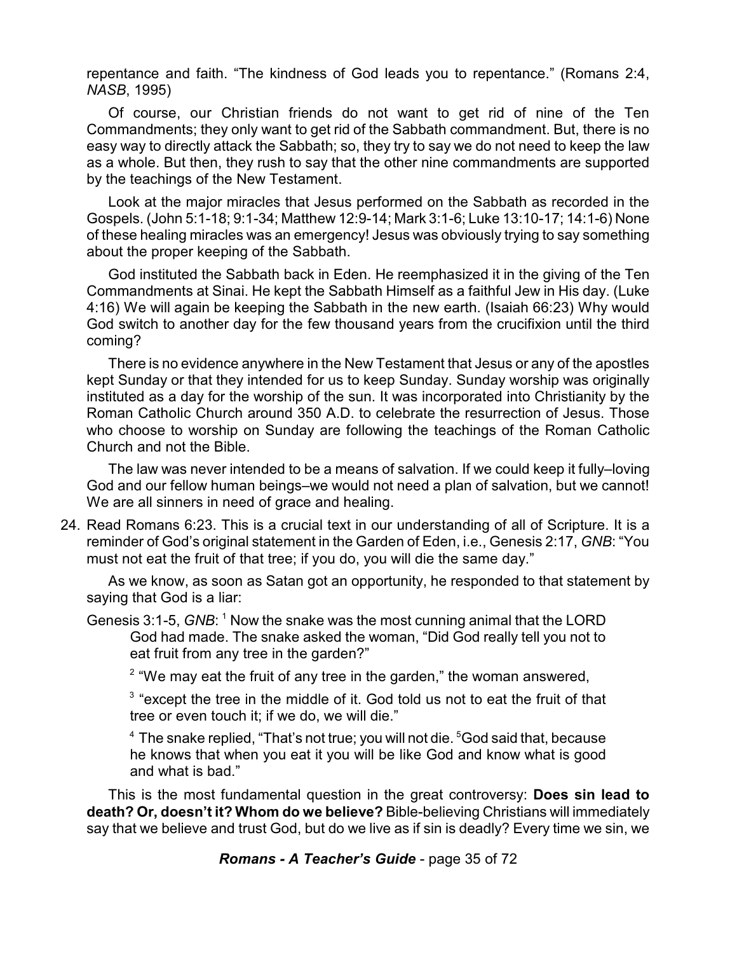repentance and faith. "The kindness of God leads you to repentance." (Romans 2:4, *NASB*, 1995)

Of course, our Christian friends do not want to get rid of nine of the Ten Commandments; they only want to get rid of the Sabbath commandment. But, there is no easy way to directly attack the Sabbath; so, they try to say we do not need to keep the law as a whole. But then, they rush to say that the other nine commandments are supported by the teachings of the New Testament.

Look at the major miracles that Jesus performed on the Sabbath as recorded in the Gospels. (John 5:1-18; 9:1-34; Matthew 12:9-14; Mark 3:1-6; Luke 13:10-17; 14:1-6) None of these healing miracles was an emergency! Jesus was obviously trying to say something about the proper keeping of the Sabbath.

God instituted the Sabbath back in Eden. He reemphasized it in the giving of the Ten Commandments at Sinai. He kept the Sabbath Himself as a faithful Jew in His day. (Luke 4:16) We will again be keeping the Sabbath in the new earth. (Isaiah 66:23) Why would God switch to another day for the few thousand years from the crucifixion until the third coming?

There is no evidence anywhere in the New Testament that Jesus or any of the apostles kept Sunday or that they intended for us to keep Sunday. Sunday worship was originally instituted as a day for the worship of the sun. It was incorporated into Christianity by the Roman Catholic Church around 350 A.D. to celebrate the resurrection of Jesus. Those who choose to worship on Sunday are following the teachings of the Roman Catholic Church and not the Bible.

The law was never intended to be a means of salvation. If we could keep it fully–loving God and our fellow human beings–we would not need a plan of salvation, but we cannot! We are all sinners in need of grace and healing.

24. Read Romans 6:23. This is a crucial text in our understanding of all of Scripture. It is a reminder of God's original statement in the Garden of Eden, i.e., Genesis 2:17, *GNB*: "You must not eat the fruit of that tree; if you do, you will die the same day."

As we know, as soon as Satan got an opportunity, he responded to that statement by saying that God is a liar:

Genesis 3:1-5, *GNB*: <sup>1</sup> Now the snake was the most cunning animal that the LORD God had made. The snake asked the woman, "Did God really tell you not to eat fruit from any tree in the garden?"

 $2$  "We may eat the fruit of any tree in the garden," the woman answered,

 $3$  "except the tree in the middle of it. God told us not to eat the fruit of that tree or even touch it; if we do, we will die."

 $4$  The snake replied, "That's not true; you will not die.  $5$  God said that, because he knows that when you eat it you will be like God and know what is good and what is bad."

This is the most fundamental question in the great controversy: **Does sin lead to death? Or, doesn't it? Whom do we believe?** Bible-believing Christians will immediately say that we believe and trust God, but do we live as if sin is deadly? Every time we sin, we

*Romans - A Teacher's Guide* - page 35 of 72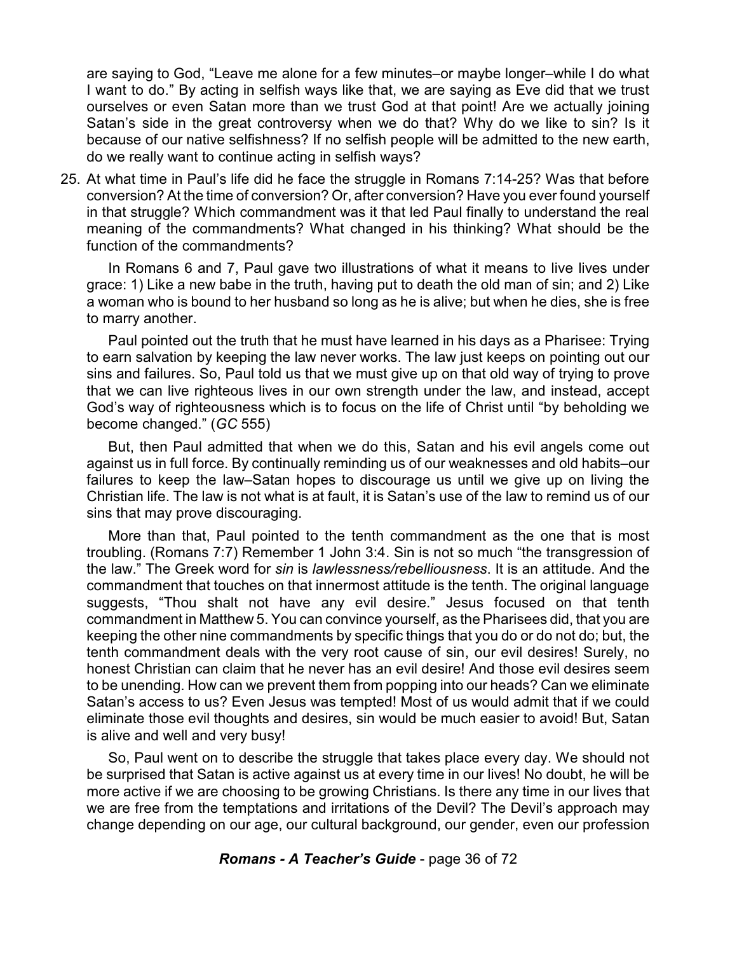are saying to God, "Leave me alone for a few minutes–or maybe longer–while I do what I want to do." By acting in selfish ways like that, we are saying as Eve did that we trust ourselves or even Satan more than we trust God at that point! Are we actually joining Satan's side in the great controversy when we do that? Why do we like to sin? Is it because of our native selfishness? If no selfish people will be admitted to the new earth, do we really want to continue acting in selfish ways?

25. At what time in Paul's life did he face the struggle in Romans 7:14-25? Was that before conversion? At the time of conversion? Or, after conversion? Have you ever found yourself in that struggle? Which commandment was it that led Paul finally to understand the real meaning of the commandments? What changed in his thinking? What should be the function of the commandments?

In Romans 6 and 7, Paul gave two illustrations of what it means to live lives under grace: 1) Like a new babe in the truth, having put to death the old man of sin; and 2) Like a woman who is bound to her husband so long as he is alive; but when he dies, she is free to marry another.

Paul pointed out the truth that he must have learned in his days as a Pharisee: Trying to earn salvation by keeping the law never works. The law just keeps on pointing out our sins and failures. So, Paul told us that we must give up on that old way of trying to prove that we can live righteous lives in our own strength under the law, and instead, accept God's way of righteousness which is to focus on the life of Christ until "by beholding we become changed." (*GC* 555)

But, then Paul admitted that when we do this, Satan and his evil angels come out against us in full force. By continually reminding us of our weaknesses and old habits–our failures to keep the law–Satan hopes to discourage us until we give up on living the Christian life. The law is not what is at fault, it is Satan's use of the law to remind us of our sins that may prove discouraging.

More than that, Paul pointed to the tenth commandment as the one that is most troubling. (Romans 7:7) Remember 1 John 3:4. Sin is not so much "the transgression of the law." The Greek word for *sin* is *lawlessness/rebelliousness*. It is an attitude. And the commandment that touches on that innermost attitude is the tenth. The original language suggests, "Thou shalt not have any evil desire." Jesus focused on that tenth commandment in Matthew 5. You can convince yourself, as the Pharisees did, that you are keeping the other nine commandments by specific things that you do or do not do; but, the tenth commandment deals with the very root cause of sin, our evil desires! Surely, no honest Christian can claim that he never has an evil desire! And those evil desires seem to be unending. How can we prevent them from popping into our heads? Can we eliminate Satan's access to us? Even Jesus was tempted! Most of us would admit that if we could eliminate those evil thoughts and desires, sin would be much easier to avoid! But, Satan is alive and well and very busy!

So, Paul went on to describe the struggle that takes place every day. We should not be surprised that Satan is active against us at every time in our lives! No doubt, he will be more active if we are choosing to be growing Christians. Is there any time in our lives that we are free from the temptations and irritations of the Devil? The Devil's approach may change depending on our age, our cultural background, our gender, even our profession

#### *Romans - A Teacher's Guide* - page 36 of 72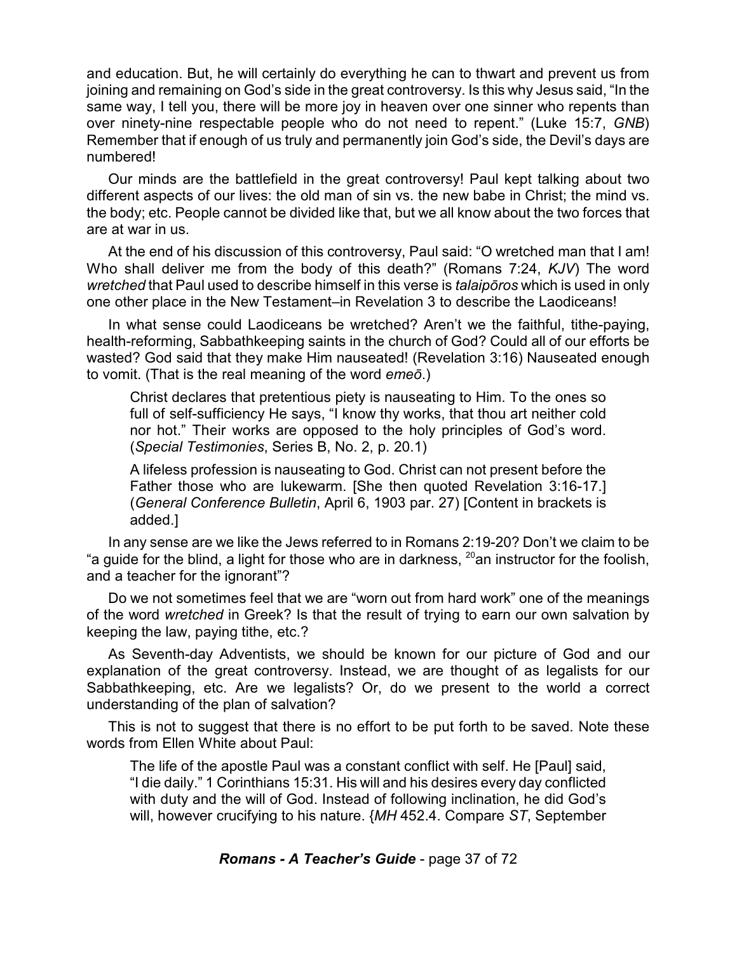and education. But, he will certainly do everything he can to thwart and prevent us from joining and remaining on God's side in the great controversy. Is this why Jesus said, "In the same way, I tell you, there will be more joy in heaven over one sinner who repents than over ninety-nine respectable people who do not need to repent." (Luke 15:7, *GNB*) Remember that if enough of us truly and permanently join God's side, the Devil's days are numbered!

Our minds are the battlefield in the great controversy! Paul kept talking about two different aspects of our lives: the old man of sin vs. the new babe in Christ; the mind vs. the body; etc. People cannot be divided like that, but we all know about the two forces that are at war in us.

At the end of his discussion of this controversy, Paul said: "O wretched man that I am! Who shall deliver me from the body of this death?" (Romans 7:24, *KJV*) The word *wretched* that Paul used to describe himself in this verse is *talaipôros* which is used in only one other place in the New Testament–in Revelation 3 to describe the Laodiceans!

In what sense could Laodiceans be wretched? Aren't we the faithful, tithe-paying, health-reforming, Sabbathkeeping saints in the church of God? Could all of our efforts be wasted? God said that they make Him nauseated! (Revelation 3:16) Nauseated enough to vomit. (That is the real meaning of the word *emeô*.)

Christ declares that pretentious piety is nauseating to Him. To the ones so full of self-sufficiency He says, "I know thy works, that thou art neither cold nor hot." Their works are opposed to the holy principles of God's word. (*Special Testimonies*, Series B, No. 2, p. 20.1)

A lifeless profession is nauseating to God. Christ can not present before the Father those who are lukewarm. [She then quoted Revelation 3:16-17.] (*General Conference Bulletin*, April 6, 1903 par. 27) [Content in brackets is added.]

In any sense are we like the Jews referred to in Romans 2:19-20? Don't we claim to be "a guide for the blind, a light for those who are in darkness,  $^{20}$ an instructor for the foolish, and a teacher for the ignorant"?

Do we not sometimes feel that we are "worn out from hard work" one of the meanings of the word *wretched* in Greek? Is that the result of trying to earn our own salvation by keeping the law, paying tithe, etc.?

As Seventh-day Adventists, we should be known for our picture of God and our explanation of the great controversy. Instead, we are thought of as legalists for our Sabbathkeeping, etc. Are we legalists? Or, do we present to the world a correct understanding of the plan of salvation?

This is not to suggest that there is no effort to be put forth to be saved. Note these words from Ellen White about Paul:

The life of the apostle Paul was a constant conflict with self. He [Paul] said, "I die daily." 1 Corinthians 15:31. His will and his desires every day conflicted with duty and the will of God. Instead of following inclination, he did God's will, however crucifying to his nature. {*MH* 452.4. Compare *ST*, September

#### *Romans - A Teacher's Guide* - page 37 of 72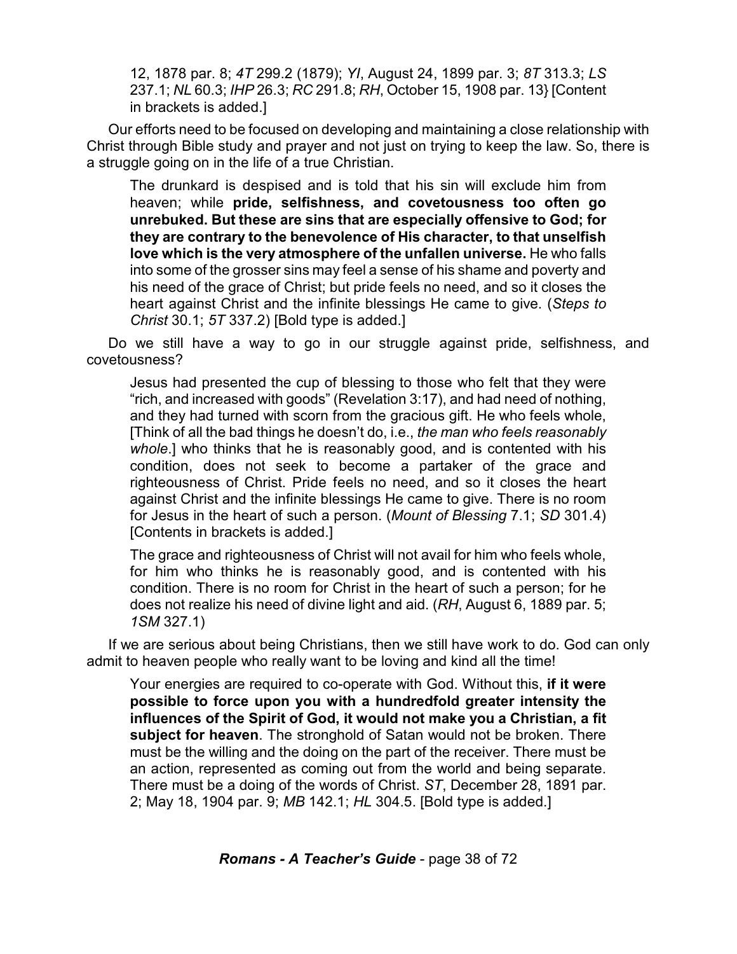12, 1878 par. 8; *4T* 299.2 (1879); *YI*, August 24, 1899 par. 3; *8T* 313.3; *LS* 237.1; *NL* 60.3; *IHP* 26.3; *RC* 291.8; *RH*, October 15, 1908 par. 13} [Content in brackets is added.]

Our efforts need to be focused on developing and maintaining a close relationship with Christ through Bible study and prayer and not just on trying to keep the law. So, there is a struggle going on in the life of a true Christian.

The drunkard is despised and is told that his sin will exclude him from heaven; while **pride, selfishness, and covetousness too often go unrebuked. But these are sins that are especially offensive to God; for they are contrary to the benevolence of His character, to that unselfish love which is the very atmosphere of the unfallen universe.** He who falls into some of the grosser sins may feel a sense of his shame and poverty and his need of the grace of Christ; but pride feels no need, and so it closes the heart against Christ and the infinite blessings He came to give. (*Steps to Christ* 30.1; *5T* 337.2) [Bold type is added.]

Do we still have a way to go in our struggle against pride, selfishness, and covetousness?

Jesus had presented the cup of blessing to those who felt that they were "rich, and increased with goods" (Revelation 3:17), and had need of nothing, and they had turned with scorn from the gracious gift. He who feels whole, [Think of all the bad things he doesn't do, i.e., *the man who feels reasonably whole*.] who thinks that he is reasonably good, and is contented with his condition, does not seek to become a partaker of the grace and righteousness of Christ. Pride feels no need, and so it closes the heart against Christ and the infinite blessings He came to give. There is no room for Jesus in the heart of such a person. (*Mount of Blessing* 7.1; *SD* 301.4) [Contents in brackets is added.]

The grace and righteousness of Christ will not avail for him who feels whole, for him who thinks he is reasonably good, and is contented with his condition. There is no room for Christ in the heart of such a person; for he does not realize his need of divine light and aid. (*RH*, August 6, 1889 par. 5; *1SM* 327.1)

If we are serious about being Christians, then we still have work to do. God can only admit to heaven people who really want to be loving and kind all the time!

Your energies are required to co-operate with God. Without this, **if it were possible to force upon you with a hundredfold greater intensity the influences of the Spirit of God, it would not make you a Christian, a fit subject for heaven**. The stronghold of Satan would not be broken. There must be the willing and the doing on the part of the receiver. There must be an action, represented as coming out from the world and being separate. There must be a doing of the words of Christ. *ST*, December 28, 1891 par. 2; May 18, 1904 par. 9; *MB* 142.1; *HL* 304.5. [Bold type is added.]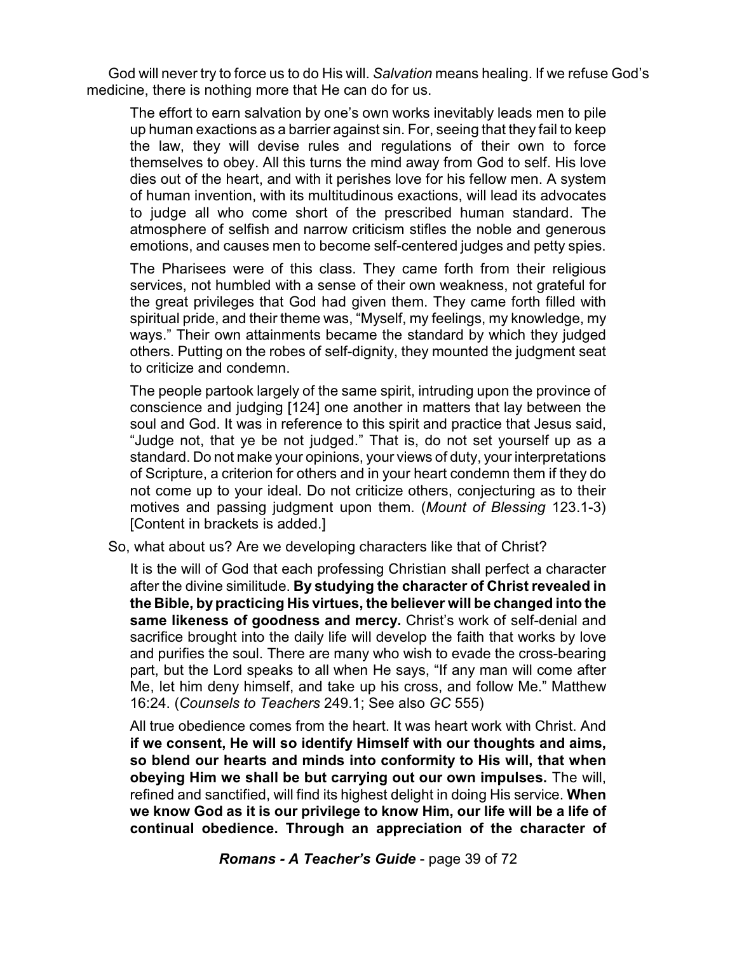God will never try to force us to do His will. *Salvation* means healing. If we refuse God's medicine, there is nothing more that He can do for us.

The effort to earn salvation by one's own works inevitably leads men to pile up human exactions as a barrier against sin. For, seeing that they fail to keep the law, they will devise rules and regulations of their own to force themselves to obey. All this turns the mind away from God to self. His love dies out of the heart, and with it perishes love for his fellow men. A system of human invention, with its multitudinous exactions, will lead its advocates to judge all who come short of the prescribed human standard. The atmosphere of selfish and narrow criticism stifles the noble and generous emotions, and causes men to become self-centered judges and petty spies.

The Pharisees were of this class. They came forth from their religious services, not humbled with a sense of their own weakness, not grateful for the great privileges that God had given them. They came forth filled with spiritual pride, and their theme was, "Myself, my feelings, my knowledge, my ways." Their own attainments became the standard by which they judged others. Putting on the robes of self-dignity, they mounted the judgment seat to criticize and condemn.

The people partook largely of the same spirit, intruding upon the province of conscience and judging [124] one another in matters that lay between the soul and God. It was in reference to this spirit and practice that Jesus said, "Judge not, that ye be not judged." That is, do not set yourself up as a standard. Do not make your opinions, your views of duty, your interpretations of Scripture, a criterion for others and in your heart condemn them if they do not come up to your ideal. Do not criticize others, conjecturing as to their motives and passing judgment upon them. (*Mount of Blessing* 123.1-3) [Content in brackets is added.]

So, what about us? Are we developing characters like that of Christ?

It is the will of God that each professing Christian shall perfect a character after the divine similitude. **By studying the character of Christ revealed in the Bible, by practicing His virtues, the believer will be changed into the same likeness of goodness and mercy.** Christ's work of self-denial and sacrifice brought into the daily life will develop the faith that works by love and purifies the soul. There are many who wish to evade the cross-bearing part, but the Lord speaks to all when He says, "If any man will come after Me, let him deny himself, and take up his cross, and follow Me." Matthew 16:24. (*Counsels to Teachers* 249.1; See also *GC* 555)

All true obedience comes from the heart. It was heart work with Christ. And **if we consent, He will so identify Himself with our thoughts and aims, so blend our hearts and minds into conformity to His will, that when obeying Him we shall be but carrying out our own impulses.** The will, refined and sanctified, will find its highest delight in doing His service. **When we know God as it is our privilege to know Him, our life will be a life of continual obedience. Through an appreciation of the character of**

*Romans - A Teacher's Guide* - page 39 of 72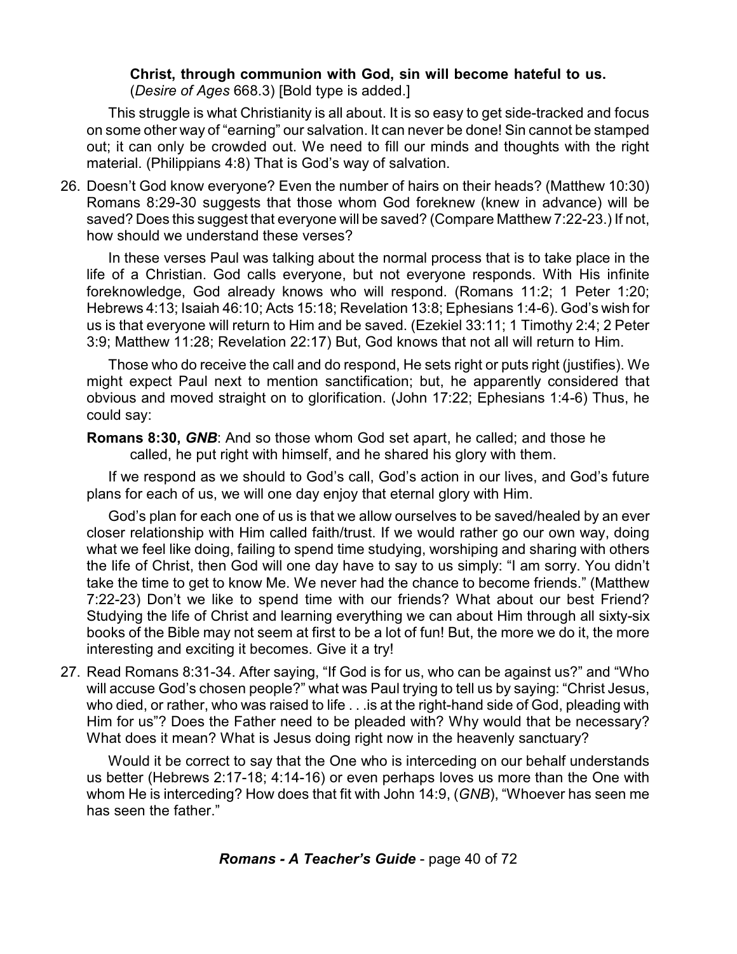# **Christ, through communion with God, sin will become hateful to us.**

(*Desire of Ages* 668.3) [Bold type is added.]

This struggle is what Christianity is all about. It is so easy to get side-tracked and focus on some other way of "earning" our salvation. It can never be done! Sin cannot be stamped out; it can only be crowded out. We need to fill our minds and thoughts with the right material. (Philippians 4:8) That is God's way of salvation.

26. Doesn't God know everyone? Even the number of hairs on their heads? (Matthew 10:30) Romans 8:29-30 suggests that those whom God foreknew (knew in advance) will be saved? Does this suggest that everyone will be saved? (Compare Matthew 7:22-23.) If not, how should we understand these verses?

In these verses Paul was talking about the normal process that is to take place in the life of a Christian. God calls everyone, but not everyone responds. With His infinite foreknowledge, God already knows who will respond. (Romans 11:2; 1 Peter 1:20; Hebrews 4:13; Isaiah 46:10; Acts 15:18; Revelation 13:8; Ephesians 1:4-6). God's wish for us is that everyone will return to Him and be saved. (Ezekiel 33:11; 1 Timothy 2:4; 2 Peter 3:9; Matthew 11:28; Revelation 22:17) But, God knows that not all will return to Him.

Those who do receive the call and do respond, He sets right or puts right (justifies). We might expect Paul next to mention sanctification; but, he apparently considered that obvious and moved straight on to glorification. (John 17:22; Ephesians 1:4-6) Thus, he could say:

**Romans 8:30,** *GNB*: And so those whom God set apart, he called; and those he called, he put right with himself, and he shared his glory with them.

If we respond as we should to God's call, God's action in our lives, and God's future plans for each of us, we will one day enjoy that eternal glory with Him.

God's plan for each one of us is that we allow ourselves to be saved/healed by an ever closer relationship with Him called faith/trust. If we would rather go our own way, doing what we feel like doing, failing to spend time studying, worshiping and sharing with others the life of Christ, then God will one day have to say to us simply: "I am sorry. You didn't take the time to get to know Me. We never had the chance to become friends." (Matthew 7:22-23) Don't we like to spend time with our friends? What about our best Friend? Studying the life of Christ and learning everything we can about Him through all sixty-six books of the Bible may not seem at first to be a lot of fun! But, the more we do it, the more interesting and exciting it becomes. Give it a try!

27. Read Romans 8:31-34. After saying, "If God is for us, who can be against us?" and "Who will accuse God's chosen people?" what was Paul trying to tell us by saying: "Christ Jesus, who died, or rather, who was raised to life . . .is at the right-hand side of God, pleading with Him for us"? Does the Father need to be pleaded with? Why would that be necessary? What does it mean? What is Jesus doing right now in the heavenly sanctuary?

Would it be correct to say that the One who is interceding on our behalf understands us better (Hebrews 2:17-18; 4:14-16) or even perhaps loves us more than the One with whom He is interceding? How does that fit with John 14:9, (*GNB*), "Whoever has seen me has seen the father."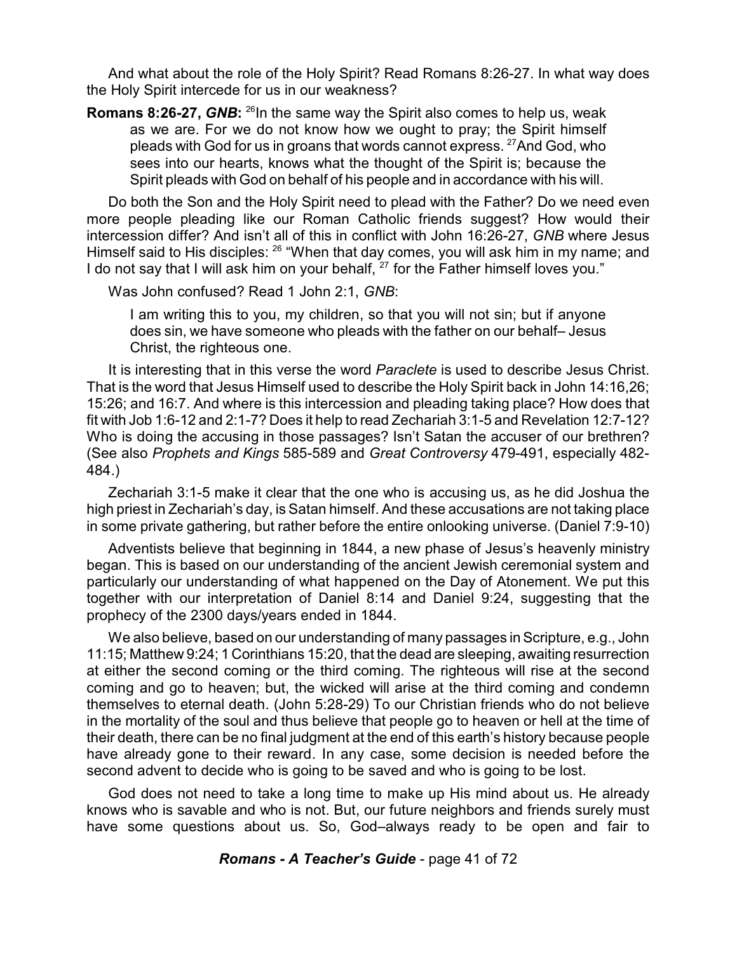And what about the role of the Holy Spirit? Read Romans 8:26-27. In what way does the Holy Spirit intercede for us in our weakness?

**Romans 8:26-27, GNB:** <sup>26</sup>In the same way the Spirit also comes to help us, weak as we are. For we do not know how we ought to pray; the Spirit himself pleads with God for us in groans that words cannot express.  $27$  And God, who sees into our hearts, knows what the thought of the Spirit is; because the Spirit pleads with God on behalf of his people and in accordance with his will.

Do both the Son and the Holy Spirit need to plead with the Father? Do we need even more people pleading like our Roman Catholic friends suggest? How would their intercession differ? And isn't all of this in conflict with John 16:26-27, *GNB* where Jesus Himself said to His disciples: <sup>26</sup> "When that day comes, you will ask him in my name; and I do not say that I will ask him on your behalf,  $^{27}$  for the Father himself loves you."

Was John confused? Read 1 John 2:1, *GNB*:

I am writing this to you, my children, so that you will not sin; but if anyone does sin, we have someone who pleads with the father on our behalf– Jesus Christ, the righteous one.

It is interesting that in this verse the word *Paraclete* is used to describe Jesus Christ. That is the word that Jesus Himself used to describe the Holy Spirit back in John 14:16,26; 15:26; and 16:7. And where is this intercession and pleading taking place? How does that fit with Job 1:6-12 and 2:1-7? Does it help to read Zechariah 3:1-5 and Revelation 12:7-12? Who is doing the accusing in those passages? Isn't Satan the accuser of our brethren? (See also *Prophets and Kings* 585-589 and *Great Controversy* 479-491, especially 482- 484.)

Zechariah 3:1-5 make it clear that the one who is accusing us, as he did Joshua the high priest in Zechariah's day, is Satan himself. And these accusations are not taking place in some private gathering, but rather before the entire onlooking universe. (Daniel 7:9-10)

Adventists believe that beginning in 1844, a new phase of Jesus's heavenly ministry began. This is based on our understanding of the ancient Jewish ceremonial system and particularly our understanding of what happened on the Day of Atonement. We put this together with our interpretation of Daniel 8:14 and Daniel 9:24, suggesting that the prophecy of the 2300 days/years ended in 1844.

We also believe, based on our understanding of many passages in Scripture, e.g., John 11:15; Matthew 9:24; 1 Corinthians 15:20, that the dead are sleeping, awaiting resurrection at either the second coming or the third coming. The righteous will rise at the second coming and go to heaven; but, the wicked will arise at the third coming and condemn themselves to eternal death. (John 5:28-29) To our Christian friends who do not believe in the mortality of the soul and thus believe that people go to heaven or hell at the time of their death, there can be no final judgment at the end of this earth's history because people have already gone to their reward. In any case, some decision is needed before the second advent to decide who is going to be saved and who is going to be lost.

God does not need to take a long time to make up His mind about us. He already knows who is savable and who is not. But, our future neighbors and friends surely must have some questions about us. So, God–always ready to be open and fair to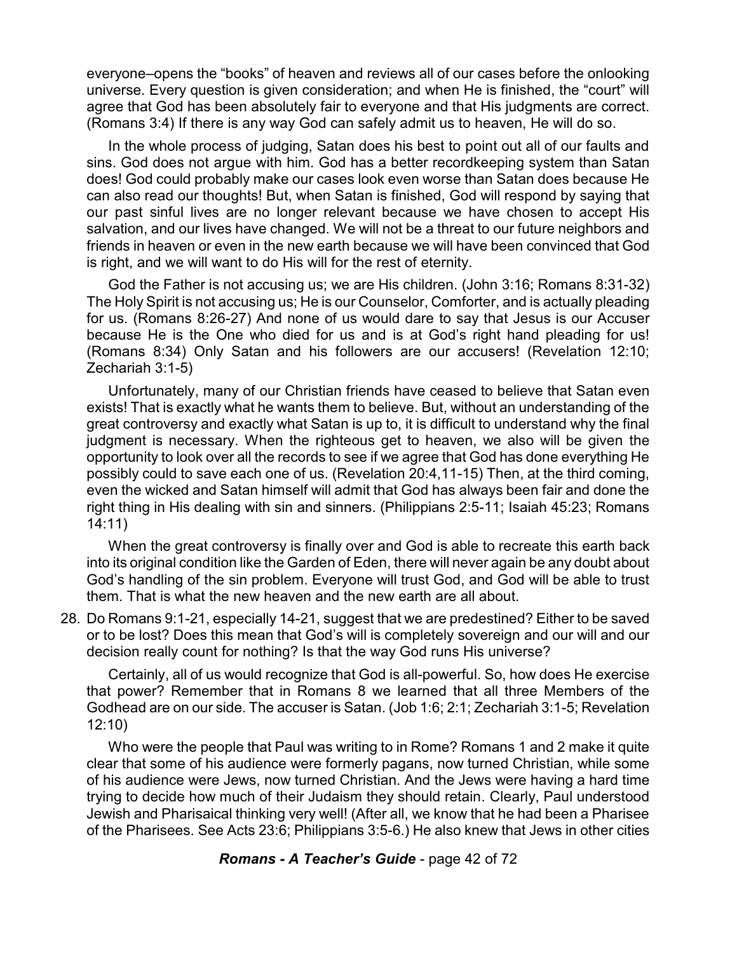everyone–opens the "books" of heaven and reviews all of our cases before the onlooking universe. Every question is given consideration; and when He is finished, the "court" will agree that God has been absolutely fair to everyone and that His judgments are correct. (Romans 3:4) If there is any way God can safely admit us to heaven, He will do so.

In the whole process of judging, Satan does his best to point out all of our faults and sins. God does not argue with him. God has a better recordkeeping system than Satan does! God could probably make our cases look even worse than Satan does because He can also read our thoughts! But, when Satan is finished, God will respond by saying that our past sinful lives are no longer relevant because we have chosen to accept His salvation, and our lives have changed. We will not be a threat to our future neighbors and friends in heaven or even in the new earth because we will have been convinced that God is right, and we will want to do His will for the rest of eternity.

God the Father is not accusing us; we are His children. (John 3:16; Romans 8:31-32) The Holy Spirit is not accusing us; He is our Counselor, Comforter, and is actually pleading for us. (Romans 8:26-27) And none of us would dare to say that Jesus is our Accuser because He is the One who died for us and is at God's right hand pleading for us! (Romans 8:34) Only Satan and his followers are our accusers! (Revelation 12:10; Zechariah 3:1-5)

Unfortunately, many of our Christian friends have ceased to believe that Satan even exists! That is exactly what he wants them to believe. But, without an understanding of the great controversy and exactly what Satan is up to, it is difficult to understand why the final judgment is necessary. When the righteous get to heaven, we also will be given the opportunity to look over all the records to see if we agree that God has done everything He possibly could to save each one of us. (Revelation 20:4,11-15) Then, at the third coming, even the wicked and Satan himself will admit that God has always been fair and done the right thing in His dealing with sin and sinners. (Philippians 2:5-11; Isaiah 45:23; Romans 14:11)

When the great controversy is finally over and God is able to recreate this earth back into its original condition like the Garden of Eden, there will never again be any doubt about God's handling of the sin problem. Everyone will trust God, and God will be able to trust them. That is what the new heaven and the new earth are all about.

28. Do Romans 9:1-21, especially 14-21, suggest that we are predestined? Either to be saved or to be lost? Does this mean that God's will is completely sovereign and our will and our decision really count for nothing? Is that the way God runs His universe?

Certainly, all of us would recognize that God is all-powerful. So, how does He exercise that power? Remember that in Romans 8 we learned that all three Members of the Godhead are on our side. The accuser is Satan. (Job 1:6; 2:1; Zechariah 3:1-5; Revelation 12:10)

Who were the people that Paul was writing to in Rome? Romans 1 and 2 make it quite clear that some of his audience were formerly pagans, now turned Christian, while some of his audience were Jews, now turned Christian. And the Jews were having a hard time trying to decide how much of their Judaism they should retain. Clearly, Paul understood Jewish and Pharisaical thinking very well! (After all, we know that he had been a Pharisee of the Pharisees. See Acts 23:6; Philippians 3:5-6.) He also knew that Jews in other cities

#### *Romans - A Teacher's Guide* - page 42 of 72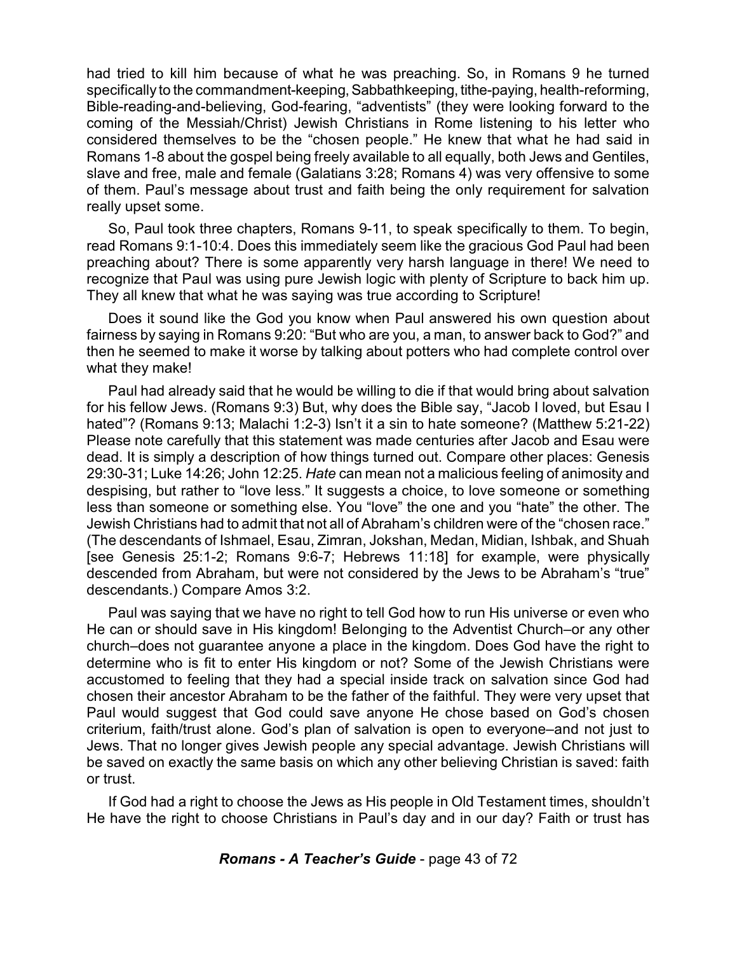had tried to kill him because of what he was preaching. So, in Romans 9 he turned specifically to the commandment-keeping, Sabbathkeeping, tithe-paying, health-reforming, Bible-reading-and-believing, God-fearing, "adventists" (they were looking forward to the coming of the Messiah/Christ) Jewish Christians in Rome listening to his letter who considered themselves to be the "chosen people." He knew that what he had said in Romans 1-8 about the gospel being freely available to all equally, both Jews and Gentiles, slave and free, male and female (Galatians 3:28; Romans 4) was very offensive to some of them. Paul's message about trust and faith being the only requirement for salvation really upset some.

So, Paul took three chapters, Romans 9-11, to speak specifically to them. To begin, read Romans 9:1-10:4. Does this immediately seem like the gracious God Paul had been preaching about? There is some apparently very harsh language in there! We need to recognize that Paul was using pure Jewish logic with plenty of Scripture to back him up. They all knew that what he was saying was true according to Scripture!

Does it sound like the God you know when Paul answered his own question about fairness by saying in Romans 9:20: "But who are you, a man, to answer back to God?" and then he seemed to make it worse by talking about potters who had complete control over what they make!

Paul had already said that he would be willing to die if that would bring about salvation for his fellow Jews. (Romans 9:3) But, why does the Bible say, "Jacob I loved, but Esau I hated"? (Romans 9:13; Malachi 1:2-3) Isn't it a sin to hate someone? (Matthew 5:21-22) Please note carefully that this statement was made centuries after Jacob and Esau were dead. It is simply a description of how things turned out. Compare other places: Genesis 29:30-31; Luke 14:26; John 12:25. *Hate* can mean not a malicious feeling of animosity and despising, but rather to "love less." It suggests a choice, to love someone or something less than someone or something else. You "love" the one and you "hate" the other. The Jewish Christians had to admit that not all of Abraham's children were of the "chosen race." (The descendants of Ishmael, Esau, Zimran, Jokshan, Medan, Midian, Ishbak, and Shuah [see Genesis 25:1-2; Romans 9:6-7; Hebrews 11:18] for example, were physically descended from Abraham, but were not considered by the Jews to be Abraham's "true" descendants.) Compare Amos 3:2.

Paul was saying that we have no right to tell God how to run His universe or even who He can or should save in His kingdom! Belonging to the Adventist Church–or any other church–does not guarantee anyone a place in the kingdom. Does God have the right to determine who is fit to enter His kingdom or not? Some of the Jewish Christians were accustomed to feeling that they had a special inside track on salvation since God had chosen their ancestor Abraham to be the father of the faithful. They were very upset that Paul would suggest that God could save anyone He chose based on God's chosen criterium, faith/trust alone. God's plan of salvation is open to everyone–and not just to Jews. That no longer gives Jewish people any special advantage. Jewish Christians will be saved on exactly the same basis on which any other believing Christian is saved: faith or trust.

If God had a right to choose the Jews as His people in Old Testament times, shouldn't He have the right to choose Christians in Paul's day and in our day? Faith or trust has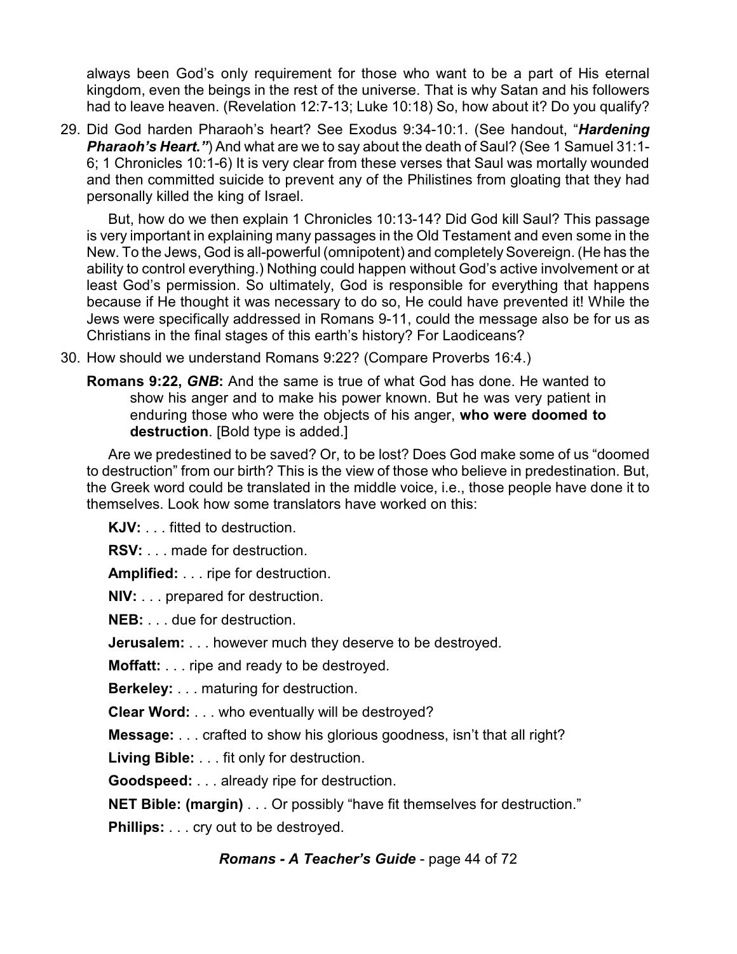always been God's only requirement for those who want to be a part of His eternal kingdom, even the beings in the rest of the universe. That is why Satan and his followers had to leave heaven. (Revelation 12:7-13; Luke 10:18) So, how about it? Do you qualify?

29. Did God harden Pharaoh's heart? See Exodus 9:34-10:1. (See handout, "*Hardening* **Pharaoh's Heart."**) And what are we to say about the death of Saul? (See 1 Samuel 31:1-6; 1 Chronicles 10:1-6) It is very clear from these verses that Saul was mortally wounded and then committed suicide to prevent any of the Philistines from gloating that they had personally killed the king of Israel.

But, how do we then explain 1 Chronicles 10:13-14? Did God kill Saul? This passage is very important in explaining many passages in the Old Testament and even some in the New. To the Jews, God is all-powerful (omnipotent) and completely Sovereign. (He has the ability to control everything.) Nothing could happen without God's active involvement or at least God's permission. So ultimately, God is responsible for everything that happens because if He thought it was necessary to do so, He could have prevented it! While the Jews were specifically addressed in Romans 9-11, could the message also be for us as Christians in the final stages of this earth's history? For Laodiceans?

- 30. How should we understand Romans 9:22? (Compare Proverbs 16:4.)
	- **Romans 9:22,** *GNB***:** And the same is true of what God has done. He wanted to show his anger and to make his power known. But he was very patient in enduring those who were the objects of his anger, **who were doomed to destruction**. [Bold type is added.]

Are we predestined to be saved? Or, to be lost? Does God make some of us "doomed to destruction" from our birth? This is the view of those who believe in predestination. But, the Greek word could be translated in the middle voice, i.e., those people have done it to themselves. Look how some translators have worked on this:

**KJV:** . . . fitted to destruction.

**RSV:** . . . made for destruction.

**Amplified:** . . . ripe for destruction.

**NIV:** . . . prepared for destruction.

**NEB:** . . . due for destruction.

**Jerusalem:** . . . however much they deserve to be destroyed.

**Moffatt:** . . . ripe and ready to be destroyed.

**Berkeley:** . . . maturing for destruction.

**Clear Word:** . . . who eventually will be destroyed?

**Message:** . . . crafted to show his glorious goodness, isn't that all right?

**Living Bible:** . . . fit only for destruction.

**Goodspeed:** . . . already ripe for destruction.

**NET Bible: (margin)** . . . Or possibly "have fit themselves for destruction." **Phillips:** . . . cry out to be destroyed.

## *Romans - A Teacher's Guide* - page 44 of 72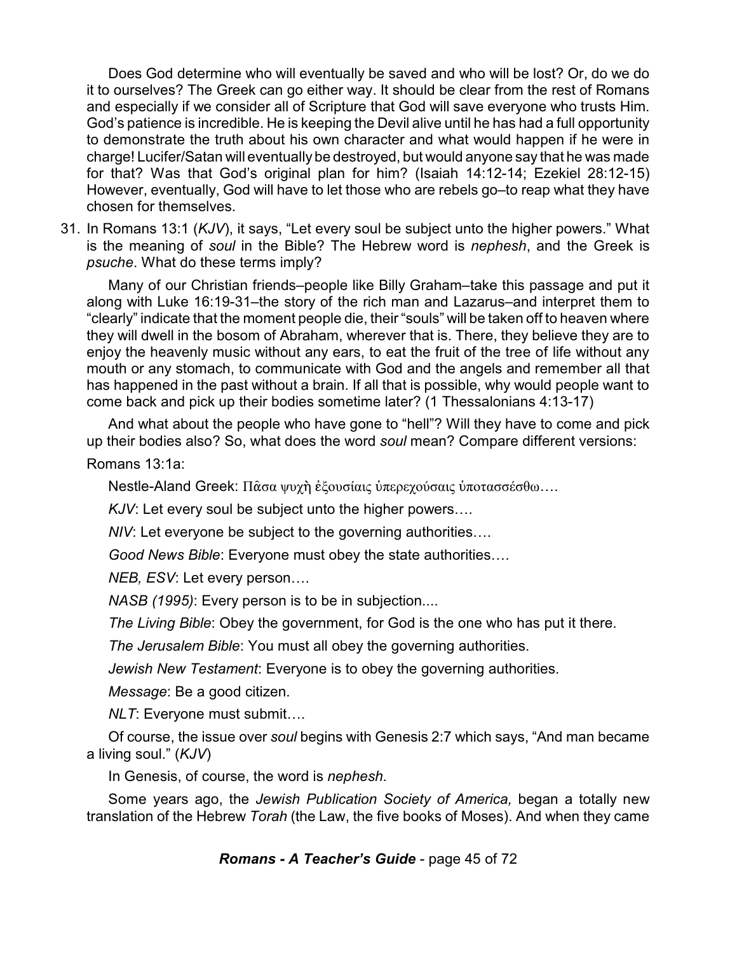Does God determine who will eventually be saved and who will be lost? Or, do we do it to ourselves? The Greek can go either way. It should be clear from the rest of Romans and especially if we consider all of Scripture that God will save everyone who trusts Him. God's patience is incredible. He is keeping the Devil alive until he has had a full opportunity to demonstrate the truth about his own character and what would happen if he were in charge! Lucifer/Satan will eventually be destroyed, but would anyone say that he was made for that? Was that God's original plan for him? (Isaiah 14:12-14; Ezekiel 28:12-15) However, eventually, God will have to let those who are rebels go–to reap what they have chosen for themselves.

31. In Romans 13:1 (*KJV*), it says, "Let every soul be subject unto the higher powers." What is the meaning of *soul* in the Bible? The Hebrew word is *nephesh*, and the Greek is *psuche*. What do these terms imply?

Many of our Christian friends–people like Billy Graham–take this passage and put it along with Luke 16:19-31–the story of the rich man and Lazarus–and interpret them to "clearly" indicate that the moment people die, their "souls" will be taken off to heaven where they will dwell in the bosom of Abraham, wherever that is. There, they believe they are to enjoy the heavenly music without any ears, to eat the fruit of the tree of life without any mouth or any stomach, to communicate with God and the angels and remember all that has happened in the past without a brain. If all that is possible, why would people want to come back and pick up their bodies sometime later? (1 Thessalonians 4:13-17)

And what about the people who have gone to "hell"? Will they have to come and pick up their bodies also? So, what does the word *soul* mean? Compare different versions:

### Romans 13:1a:

Nestle-Aland Greek: Πάσα ψυχὴ ἐξουσίαις ὑπερεχούσαις ὑποτασσέσθω....

*KJV*: Let every soul be subject unto the higher powers….

*NIV*: Let everyone be subject to the governing authorities….

*Good News Bible*: Everyone must obey the state authorities….

*NEB, ESV*: Let every person….

*NASB (1995)*: Every person is to be in subjection....

*The Living Bible*: Obey the government, for God is the one who has put it there.

*The Jerusalem Bible*: You must all obey the governing authorities.

*Jewish New Testament*: Everyone is to obey the governing authorities.

*Message*: Be a good citizen.

*NLT*: Everyone must submit….

Of course, the issue over *soul* begins with Genesis 2:7 which says, "And man became a living soul." (*KJV*)

In Genesis, of course, the word is *nephesh.*

Some years ago, the *Jewish Publication Society of America,* began a totally new translation of the Hebrew *Torah* (the Law, the five books of Moses). And when they came

*Romans - A Teacher's Guide* - page 45 of 72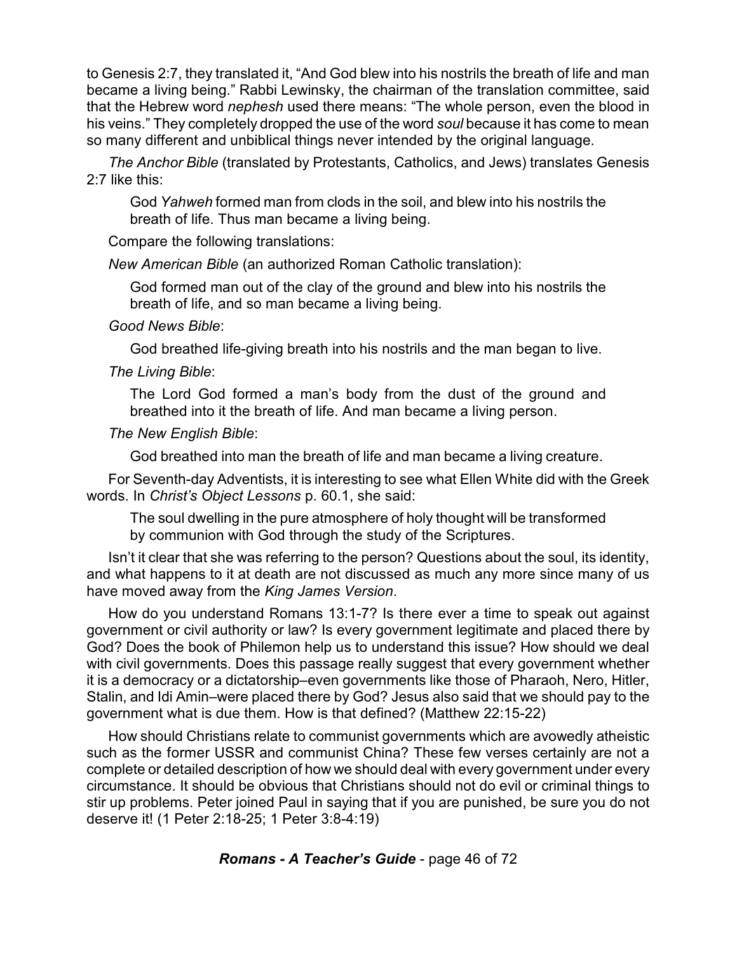to Genesis 2:7, they translated it, "And God blew into his nostrils the breath of life and man became a living being." Rabbi Lewinsky, the chairman of the translation committee, said that the Hebrew word *nephesh* used there means: "The whole person, even the blood in his veins." They completely dropped the use of the word *soul* because it has come to mean so many different and unbiblical things never intended by the original language.

*The Anchor Bible* (translated by Protestants, Catholics, and Jews) translates Genesis 2:7 like this:

God *Yahweh* formed man from clods in the soil, and blew into his nostrils the breath of life. Thus man became a living being.

Compare the following translations:

*New American Bible* (an authorized Roman Catholic translation):

God formed man out of the clay of the ground and blew into his nostrils the breath of life, and so man became a living being.

### *Good News Bible*:

God breathed life-giving breath into his nostrils and the man began to live.

*The Living Bible*:

The Lord God formed a man's body from the dust of the ground and breathed into it the breath of life. And man became a living person.

### *The New English Bible*:

God breathed into man the breath of life and man became a living creature.

For Seventh-day Adventists, it is interesting to see what Ellen White did with the Greek words. In *Christ's Object Lessons* p. 60.1, she said:

The soul dwelling in the pure atmosphere of holy thought will be transformed by communion with God through the study of the Scriptures.

Isn't it clear that she was referring to the person? Questions about the soul, its identity, and what happens to it at death are not discussed as much any more since many of us have moved away from the *King James Version*.

How do you understand Romans 13:1-7? Is there ever a time to speak out against government or civil authority or law? Is every government legitimate and placed there by God? Does the book of Philemon help us to understand this issue? How should we deal with civil governments. Does this passage really suggest that every government whether it is a democracy or a dictatorship–even governments like those of Pharaoh, Nero, Hitler, Stalin, and Idi Amin–were placed there by God? Jesus also said that we should pay to the government what is due them. How is that defined? (Matthew 22:15-22)

How should Christians relate to communist governments which are avowedly atheistic such as the former USSR and communist China? These few verses certainly are not a complete or detailed description of how we should deal with every government under every circumstance. It should be obvious that Christians should not do evil or criminal things to stir up problems. Peter joined Paul in saying that if you are punished, be sure you do not deserve it! (1 Peter 2:18-25; 1 Peter 3:8-4:19)

### *Romans - A Teacher's Guide* - page 46 of 72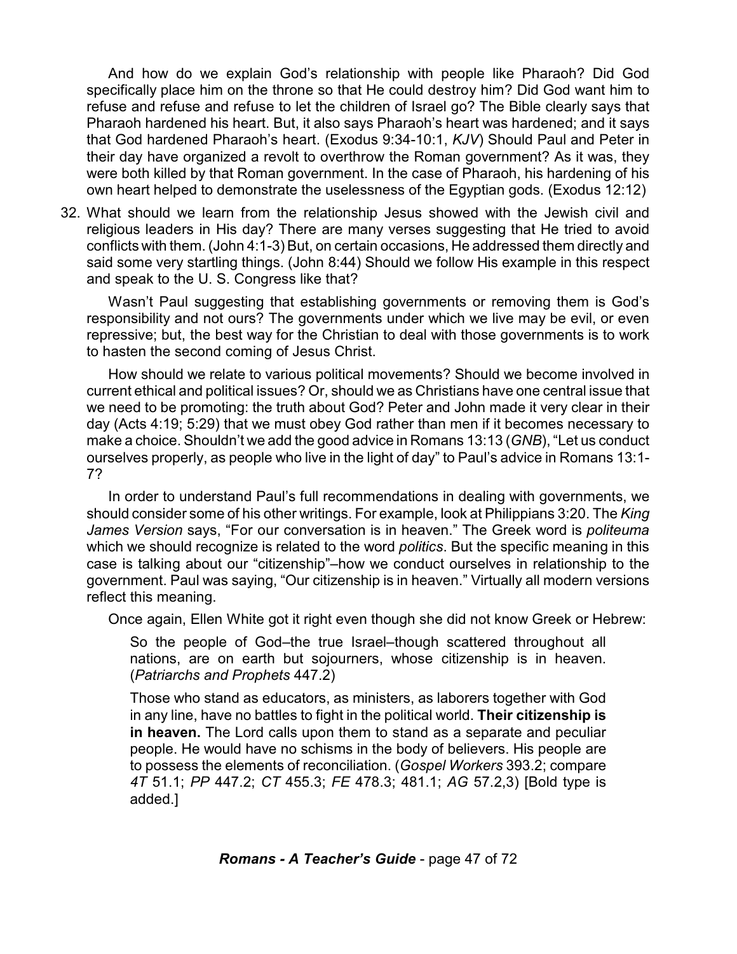And how do we explain God's relationship with people like Pharaoh? Did God specifically place him on the throne so that He could destroy him? Did God want him to refuse and refuse and refuse to let the children of Israel go? The Bible clearly says that Pharaoh hardened his heart. But, it also says Pharaoh's heart was hardened; and it says that God hardened Pharaoh's heart. (Exodus 9:34-10:1, *KJV*) Should Paul and Peter in their day have organized a revolt to overthrow the Roman government? As it was, they were both killed by that Roman government. In the case of Pharaoh, his hardening of his own heart helped to demonstrate the uselessness of the Egyptian gods. (Exodus 12:12)

32. What should we learn from the relationship Jesus showed with the Jewish civil and religious leaders in His day? There are many verses suggesting that He tried to avoid conflicts with them. (John 4:1-3) But, on certain occasions, He addressed them directly and said some very startling things. (John 8:44) Should we follow His example in this respect and speak to the U. S. Congress like that?

Wasn't Paul suggesting that establishing governments or removing them is God's responsibility and not ours? The governments under which we live may be evil, or even repressive; but, the best way for the Christian to deal with those governments is to work to hasten the second coming of Jesus Christ.

How should we relate to various political movements? Should we become involved in current ethical and political issues? Or, should we as Christians have one central issue that we need to be promoting: the truth about God? Peter and John made it very clear in their day (Acts 4:19; 5:29) that we must obey God rather than men if it becomes necessary to make a choice. Shouldn't we add the good advice in Romans 13:13 (*GNB*), "Let us conduct ourselves properly, as people who live in the light of day" to Paul's advice in Romans 13:1- 7?

In order to understand Paul's full recommendations in dealing with governments, we should consider some of his other writings. For example, look at Philippians 3:20. The *King James Version* says, "For our conversation is in heaven." The Greek word is *politeuma* which we should recognize is related to the word *politics*. But the specific meaning in this case is talking about our "citizenship"–how we conduct ourselves in relationship to the government. Paul was saying, "Our citizenship is in heaven." Virtually all modern versions reflect this meaning.

Once again, Ellen White got it right even though she did not know Greek or Hebrew:

So the people of God–the true Israel–though scattered throughout all nations, are on earth but sojourners, whose citizenship is in heaven. (*Patriarchs and Prophets* 447.2)

Those who stand as educators, as ministers, as laborers together with God in any line, have no battles to fight in the political world. **Their citizenship is in heaven.** The Lord calls upon them to stand as a separate and peculiar people. He would have no schisms in the body of believers. His people are to possess the elements of reconciliation. (*Gospel Workers* 393.2; compare *4T* 51.1; *PP* 447.2; *CT* 455.3; *FE* 478.3; 481.1; *AG* 57.2,3) [Bold type is added.]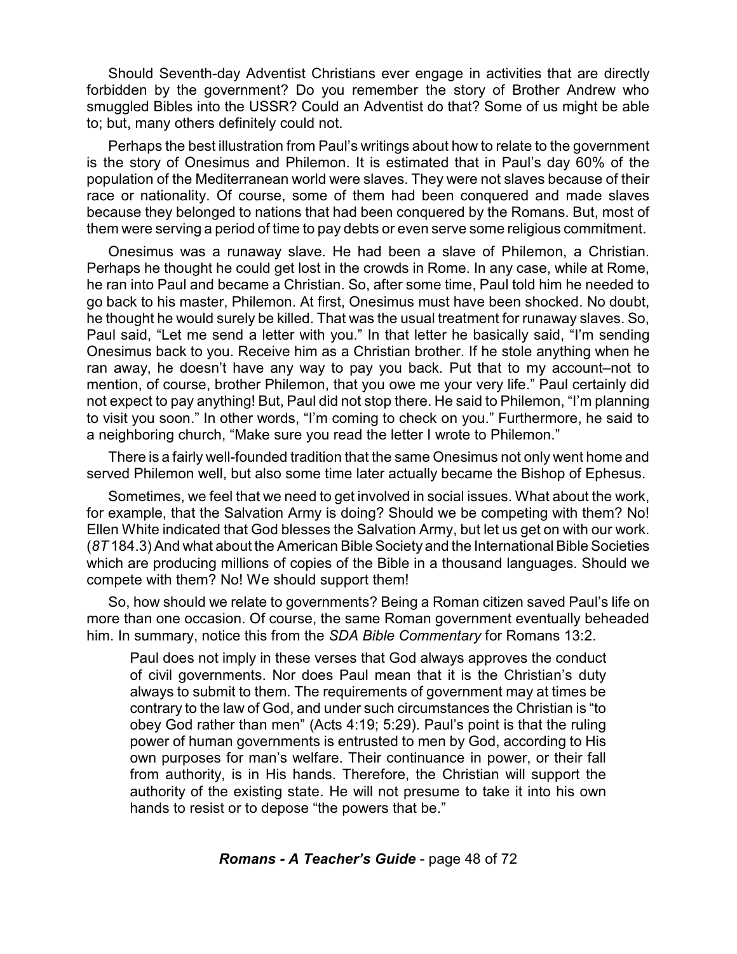Should Seventh-day Adventist Christians ever engage in activities that are directly forbidden by the government? Do you remember the story of Brother Andrew who smuggled Bibles into the USSR? Could an Adventist do that? Some of us might be able to; but, many others definitely could not.

Perhaps the best illustration from Paul's writings about how to relate to the government is the story of Onesimus and Philemon. It is estimated that in Paul's day 60% of the population of the Mediterranean world were slaves. They were not slaves because of their race or nationality. Of course, some of them had been conquered and made slaves because they belonged to nations that had been conquered by the Romans. But, most of them were serving a period of time to pay debts or even serve some religious commitment.

Onesimus was a runaway slave. He had been a slave of Philemon, a Christian. Perhaps he thought he could get lost in the crowds in Rome. In any case, while at Rome, he ran into Paul and became a Christian. So, after some time, Paul told him he needed to go back to his master, Philemon. At first, Onesimus must have been shocked. No doubt, he thought he would surely be killed. That was the usual treatment for runaway slaves. So, Paul said, "Let me send a letter with you." In that letter he basically said, "I'm sending Onesimus back to you. Receive him as a Christian brother. If he stole anything when he ran away, he doesn't have any way to pay you back. Put that to my account–not to mention, of course, brother Philemon, that you owe me your very life." Paul certainly did not expect to pay anything! But, Paul did not stop there. He said to Philemon, "I'm planning to visit you soon." In other words, "I'm coming to check on you." Furthermore, he said to a neighboring church, "Make sure you read the letter I wrote to Philemon."

There is a fairly well-founded tradition that the same Onesimus not only went home and served Philemon well, but also some time later actually became the Bishop of Ephesus.

Sometimes, we feel that we need to get involved in social issues. What about the work, for example, that the Salvation Army is doing? Should we be competing with them? No! Ellen White indicated that God blesses the Salvation Army, but let us get on with our work. (*8T* 184.3) And what about the American Bible Society and the International Bible Societies which are producing millions of copies of the Bible in a thousand languages. Should we compete with them? No! We should support them!

So, how should we relate to governments? Being a Roman citizen saved Paul's life on more than one occasion. Of course, the same Roman government eventually beheaded him. In summary, notice this from the *SDA Bible Commentary* for Romans 13:2.

Paul does not imply in these verses that God always approves the conduct of civil governments. Nor does Paul mean that it is the Christian's duty always to submit to them. The requirements of government may at times be contrary to the law of God, and under such circumstances the Christian is "to obey God rather than men" (Acts 4:19; 5:29). Paul's point is that the ruling power of human governments is entrusted to men by God, according to His own purposes for man's welfare. Their continuance in power, or their fall from authority, is in His hands. Therefore, the Christian will support the authority of the existing state. He will not presume to take it into his own hands to resist or to depose "the powers that be."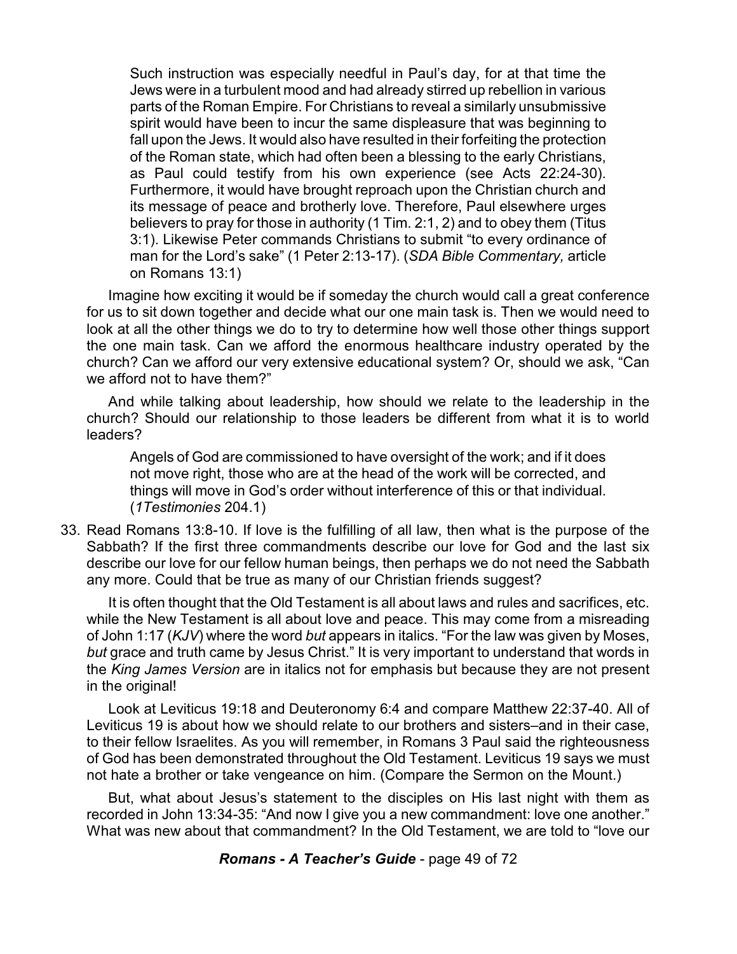Such instruction was especially needful in Paul's day, for at that time the Jews were in a turbulent mood and had already stirred up rebellion in various parts of the Roman Empire. For Christians to reveal a similarly unsubmissive spirit would have been to incur the same displeasure that was beginning to fall upon the Jews. It would also have resulted in their forfeiting the protection of the Roman state, which had often been a blessing to the early Christians, as Paul could testify from his own experience (see Acts 22:24-30). Furthermore, it would have brought reproach upon the Christian church and its message of peace and brotherly love. Therefore, Paul elsewhere urges believers to pray for those in authority (1 Tim. 2:1, 2) and to obey them (Titus 3:1). Likewise Peter commands Christians to submit "to every ordinance of man for the Lord's sake" (1 Peter 2:13-17). (*SDA Bible Commentary,* article on Romans 13:1)

Imagine how exciting it would be if someday the church would call a great conference for us to sit down together and decide what our one main task is. Then we would need to look at all the other things we do to try to determine how well those other things support the one main task. Can we afford the enormous healthcare industry operated by the church? Can we afford our very extensive educational system? Or, should we ask, "Can we afford not to have them?"

And while talking about leadership, how should we relate to the leadership in the church? Should our relationship to those leaders be different from what it is to world leaders?

Angels of God are commissioned to have oversight of the work; and if it does not move right, those who are at the head of the work will be corrected, and things will move in God's order without interference of this or that individual. (*1Testimonies* 204.1)

33. Read Romans 13:8-10. If love is the fulfilling of all law, then what is the purpose of the Sabbath? If the first three commandments describe our love for God and the last six describe our love for our fellow human beings, then perhaps we do not need the Sabbath any more. Could that be true as many of our Christian friends suggest?

It is often thought that the Old Testament is all about laws and rules and sacrifices, etc. while the New Testament is all about love and peace. This may come from a misreading of John 1:17 (*KJV*) where the word *but* appears in italics. "For the law was given by Moses, *but* grace and truth came by Jesus Christ." It is very important to understand that words in the *King James Version* are in italics not for emphasis but because they are not present in the original!

Look at Leviticus 19:18 and Deuteronomy 6:4 and compare Matthew 22:37-40. All of Leviticus 19 is about how we should relate to our brothers and sisters–and in their case, to their fellow Israelites. As you will remember, in Romans 3 Paul said the righteousness of God has been demonstrated throughout the Old Testament. Leviticus 19 says we must not hate a brother or take vengeance on him. (Compare the Sermon on the Mount.)

But, what about Jesus's statement to the disciples on His last night with them as recorded in John 13:34-35: "And now I give you a new commandment: love one another." What was new about that commandment? In the Old Testament, we are told to "love our

*Romans - A Teacher's Guide* - page 49 of 72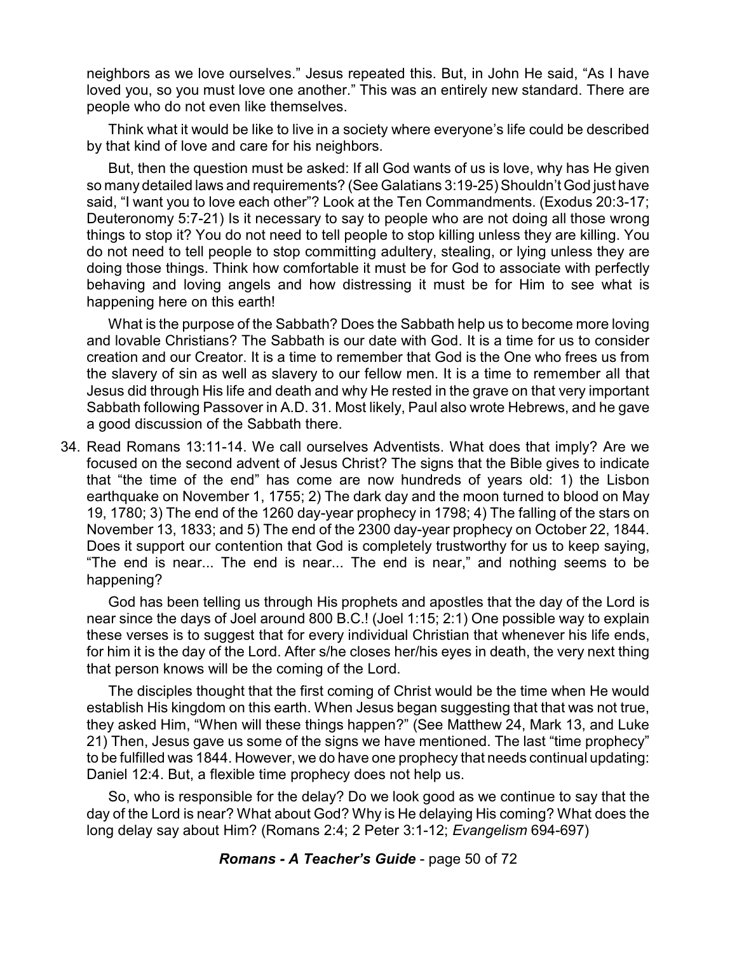neighbors as we love ourselves." Jesus repeated this. But, in John He said, "As I have loved you, so you must love one another." This was an entirely new standard. There are people who do not even like themselves.

Think what it would be like to live in a society where everyone's life could be described by that kind of love and care for his neighbors.

But, then the question must be asked: If all God wants of us is love, why has He given so many detailed laws and requirements? (See Galatians 3:19-25) Shouldn't God just have said, "I want you to love each other"? Look at the Ten Commandments. (Exodus 20:3-17; Deuteronomy 5:7-21) Is it necessary to say to people who are not doing all those wrong things to stop it? You do not need to tell people to stop killing unless they are killing. You do not need to tell people to stop committing adultery, stealing, or lying unless they are doing those things. Think how comfortable it must be for God to associate with perfectly behaving and loving angels and how distressing it must be for Him to see what is happening here on this earth!

What is the purpose of the Sabbath? Does the Sabbath help us to become more loving and lovable Christians? The Sabbath is our date with God. It is a time for us to consider creation and our Creator. It is a time to remember that God is the One who frees us from the slavery of sin as well as slavery to our fellow men. It is a time to remember all that Jesus did through His life and death and why He rested in the grave on that very important Sabbath following Passover in A.D. 31. Most likely, Paul also wrote Hebrews, and he gave a good discussion of the Sabbath there.

34. Read Romans 13:11-14. We call ourselves Adventists. What does that imply? Are we focused on the second advent of Jesus Christ? The signs that the Bible gives to indicate that "the time of the end" has come are now hundreds of years old: 1) the Lisbon earthquake on November 1, 1755; 2) The dark day and the moon turned to blood on May 19, 1780; 3) The end of the 1260 day-year prophecy in 1798; 4) The falling of the stars on November 13, 1833; and 5) The end of the 2300 day-year prophecy on October 22, 1844. Does it support our contention that God is completely trustworthy for us to keep saying, "The end is near... The end is near... The end is near," and nothing seems to be happening?

God has been telling us through His prophets and apostles that the day of the Lord is near since the days of Joel around 800 B.C.! (Joel 1:15; 2:1) One possible way to explain these verses is to suggest that for every individual Christian that whenever his life ends, for him it is the day of the Lord. After s/he closes her/his eyes in death, the very next thing that person knows will be the coming of the Lord.

The disciples thought that the first coming of Christ would be the time when He would establish His kingdom on this earth. When Jesus began suggesting that that was not true, they asked Him, "When will these things happen?" (See Matthew 24, Mark 13, and Luke 21) Then, Jesus gave us some of the signs we have mentioned. The last "time prophecy" to be fulfilled was 1844. However, we do have one prophecy that needs continual updating: Daniel 12:4. But, a flexible time prophecy does not help us.

So, who is responsible for the delay? Do we look good as we continue to say that the day of the Lord is near? What about God? Why is He delaying His coming? What does the long delay say about Him? (Romans 2:4; 2 Peter 3:1-12; *Evangelism* 694-697)

#### *Romans - A Teacher's Guide* - page 50 of 72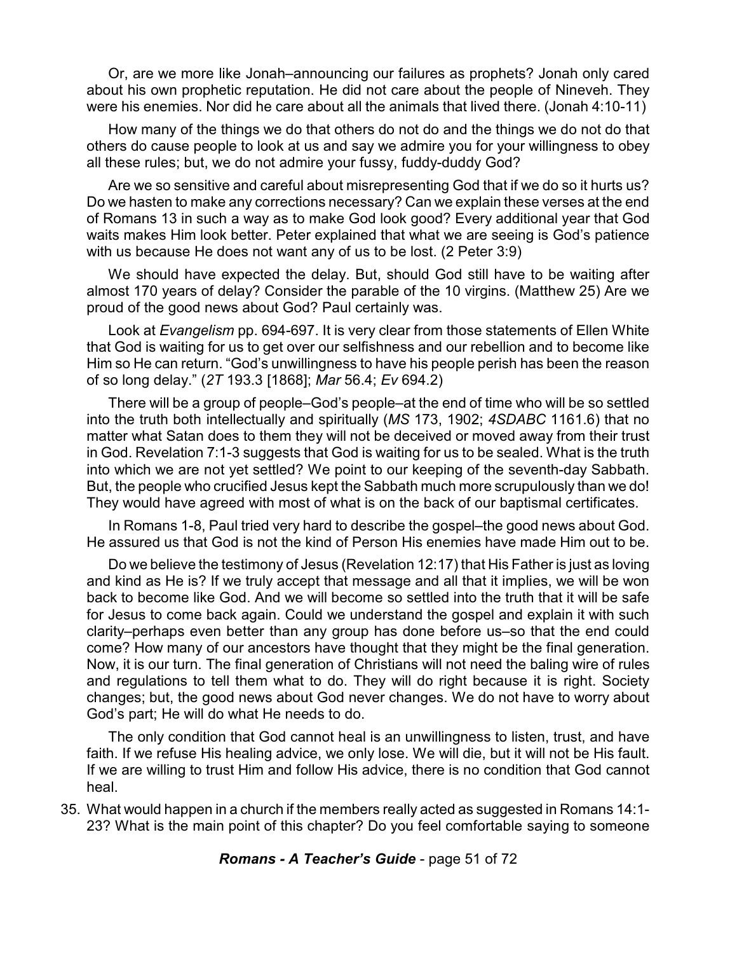Or, are we more like Jonah–announcing our failures as prophets? Jonah only cared about his own prophetic reputation. He did not care about the people of Nineveh. They were his enemies. Nor did he care about all the animals that lived there. (Jonah 4:10-11)

How many of the things we do that others do not do and the things we do not do that others do cause people to look at us and say we admire you for your willingness to obey all these rules; but, we do not admire your fussy, fuddy-duddy God?

Are we so sensitive and careful about misrepresenting God that if we do so it hurts us? Do we hasten to make any corrections necessary? Can we explain these verses at the end of Romans 13 in such a way as to make God look good? Every additional year that God waits makes Him look better. Peter explained that what we are seeing is God's patience with us because He does not want any of us to be lost. (2 Peter 3:9)

We should have expected the delay. But, should God still have to be waiting after almost 170 years of delay? Consider the parable of the 10 virgins. (Matthew 25) Are we proud of the good news about God? Paul certainly was.

Look at *Evangelism* pp. 694-697. It is very clear from those statements of Ellen White that God is waiting for us to get over our selfishness and our rebellion and to become like Him so He can return. "God's unwillingness to have his people perish has been the reason of so long delay." (*2T* 193.3 [1868]; *Mar* 56.4; *Ev* 694.2)

There will be a group of people–God's people–at the end of time who will be so settled into the truth both intellectually and spiritually (*MS* 173, 1902; *4SDABC* 1161.6) that no matter what Satan does to them they will not be deceived or moved away from their trust in God. Revelation 7:1-3 suggests that God is waiting for us to be sealed. What is the truth into which we are not yet settled? We point to our keeping of the seventh-day Sabbath. But, the people who crucified Jesus kept the Sabbath much more scrupulously than we do! They would have agreed with most of what is on the back of our baptismal certificates.

In Romans 1-8, Paul tried very hard to describe the gospel–the good news about God. He assured us that God is not the kind of Person His enemies have made Him out to be.

Do we believe the testimony of Jesus (Revelation 12:17) that His Father is just as loving and kind as He is? If we truly accept that message and all that it implies, we will be won back to become like God. And we will become so settled into the truth that it will be safe for Jesus to come back again. Could we understand the gospel and explain it with such clarity–perhaps even better than any group has done before us–so that the end could come? How many of our ancestors have thought that they might be the final generation. Now, it is our turn. The final generation of Christians will not need the baling wire of rules and regulations to tell them what to do. They will do right because it is right. Society changes; but, the good news about God never changes. We do not have to worry about God's part; He will do what He needs to do.

The only condition that God cannot heal is an unwillingness to listen, trust, and have faith. If we refuse His healing advice, we only lose. We will die, but it will not be His fault. If we are willing to trust Him and follow His advice, there is no condition that God cannot heal.

35. What would happen in a church if the members really acted as suggested in Romans 14:1- 23? What is the main point of this chapter? Do you feel comfortable saying to someone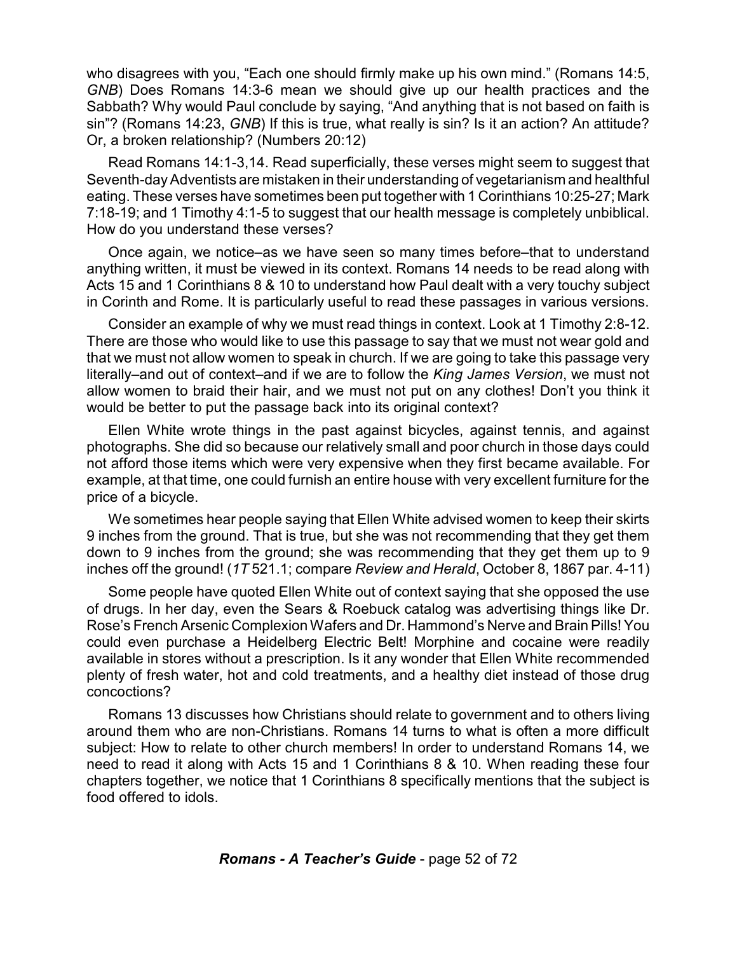who disagrees with you, "Each one should firmly make up his own mind." (Romans 14:5, *GNB*) Does Romans 14:3-6 mean we should give up our health practices and the Sabbath? Why would Paul conclude by saying, "And anything that is not based on faith is sin"? (Romans 14:23, *GNB*) If this is true, what really is sin? Is it an action? An attitude? Or, a broken relationship? (Numbers 20:12)

Read Romans 14:1-3,14. Read superficially, these verses might seem to suggest that Seventh-day Adventists are mistaken in their understanding of vegetarianism and healthful eating. These verses have sometimes been put together with 1 Corinthians 10:25-27; Mark 7:18-19; and 1 Timothy 4:1-5 to suggest that our health message is completely unbiblical. How do you understand these verses?

Once again, we notice–as we have seen so many times before–that to understand anything written, it must be viewed in its context. Romans 14 needs to be read along with Acts 15 and 1 Corinthians 8 & 10 to understand how Paul dealt with a very touchy subject in Corinth and Rome. It is particularly useful to read these passages in various versions.

Consider an example of why we must read things in context. Look at 1 Timothy 2:8-12. There are those who would like to use this passage to say that we must not wear gold and that we must not allow women to speak in church. If we are going to take this passage very literally–and out of context–and if we are to follow the *King James Version*, we must not allow women to braid their hair, and we must not put on any clothes! Don't you think it would be better to put the passage back into its original context?

Ellen White wrote things in the past against bicycles, against tennis, and against photographs. She did so because our relatively small and poor church in those days could not afford those items which were very expensive when they first became available. For example, at that time, one could furnish an entire house with very excellent furniture for the price of a bicycle.

We sometimes hear people saying that Ellen White advised women to keep their skirts 9 inches from the ground. That is true, but she was not recommending that they get them down to 9 inches from the ground; she was recommending that they get them up to 9 inches off the ground! (*1T* 521.1; compare *Review and Herald*, October 8, 1867 par. 4-11)

Some people have quoted Ellen White out of context saying that she opposed the use of drugs. In her day, even the Sears & Roebuck catalog was advertising things like Dr. Rose's French Arsenic Complexion Wafers and Dr. Hammond's Nerve and Brain Pills! You could even purchase a Heidelberg Electric Belt! Morphine and cocaine were readily available in stores without a prescription. Is it any wonder that Ellen White recommended plenty of fresh water, hot and cold treatments, and a healthy diet instead of those drug concoctions?

Romans 13 discusses how Christians should relate to government and to others living around them who are non-Christians. Romans 14 turns to what is often a more difficult subject: How to relate to other church members! In order to understand Romans 14, we need to read it along with Acts 15 and 1 Corinthians 8 & 10. When reading these four chapters together, we notice that 1 Corinthians 8 specifically mentions that the subject is food offered to idols.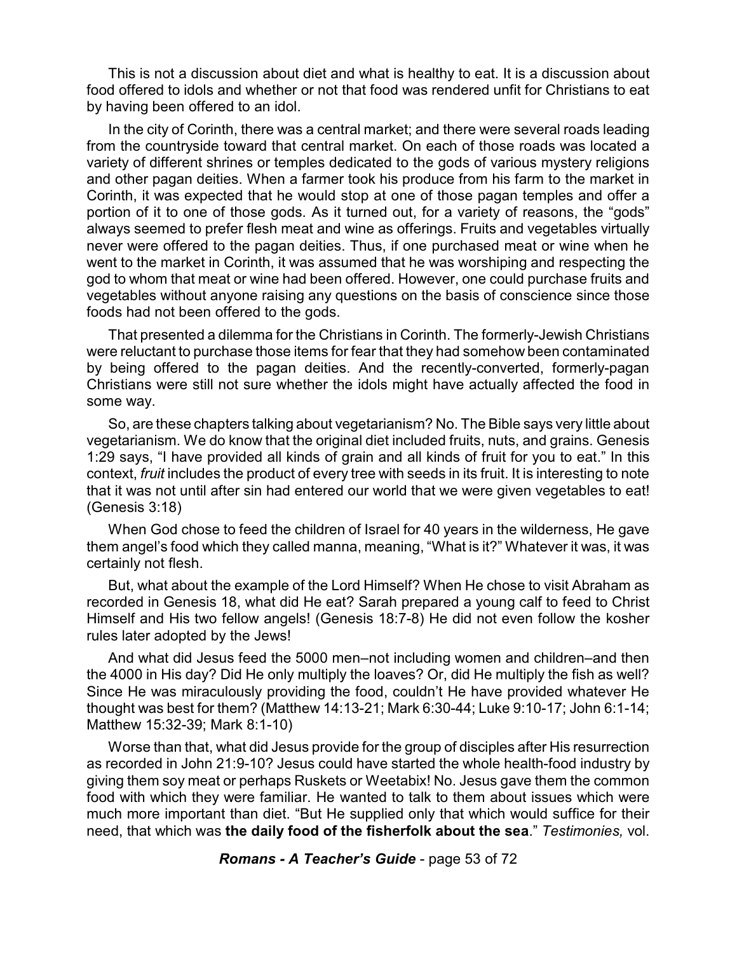This is not a discussion about diet and what is healthy to eat. It is a discussion about food offered to idols and whether or not that food was rendered unfit for Christians to eat by having been offered to an idol.

In the city of Corinth, there was a central market; and there were several roads leading from the countryside toward that central market. On each of those roads was located a variety of different shrines or temples dedicated to the gods of various mystery religions and other pagan deities. When a farmer took his produce from his farm to the market in Corinth, it was expected that he would stop at one of those pagan temples and offer a portion of it to one of those gods. As it turned out, for a variety of reasons, the "gods" always seemed to prefer flesh meat and wine as offerings. Fruits and vegetables virtually never were offered to the pagan deities. Thus, if one purchased meat or wine when he went to the market in Corinth, it was assumed that he was worshiping and respecting the god to whom that meat or wine had been offered. However, one could purchase fruits and vegetables without anyone raising any questions on the basis of conscience since those foods had not been offered to the gods.

That presented a dilemma for the Christians in Corinth. The formerly-Jewish Christians were reluctant to purchase those items for fear that they had somehow been contaminated by being offered to the pagan deities. And the recently-converted, formerly-pagan Christians were still not sure whether the idols might have actually affected the food in some way.

So, are these chapters talking about vegetarianism? No. The Bible says very little about vegetarianism. We do know that the original diet included fruits, nuts, and grains. Genesis 1:29 says, "I have provided all kinds of grain and all kinds of fruit for you to eat." In this context, *fruit* includes the product of every tree with seeds in its fruit. It is interesting to note that it was not until after sin had entered our world that we were given vegetables to eat! (Genesis 3:18)

When God chose to feed the children of Israel for 40 years in the wilderness, He gave them angel's food which they called manna, meaning, "What is it?" Whatever it was, it was certainly not flesh.

But, what about the example of the Lord Himself? When He chose to visit Abraham as recorded in Genesis 18, what did He eat? Sarah prepared a young calf to feed to Christ Himself and His two fellow angels! (Genesis 18:7-8) He did not even follow the kosher rules later adopted by the Jews!

And what did Jesus feed the 5000 men–not including women and children–and then the 4000 in His day? Did He only multiply the loaves? Or, did He multiply the fish as well? Since He was miraculously providing the food, couldn't He have provided whatever He thought was best for them? (Matthew 14:13-21; Mark 6:30-44; Luke 9:10-17; John 6:1-14; Matthew 15:32-39; Mark 8:1-10)

Worse than that, what did Jesus provide for the group of disciples after His resurrection as recorded in John 21:9-10? Jesus could have started the whole health-food industry by giving them soy meat or perhaps Ruskets or Weetabix! No. Jesus gave them the common food with which they were familiar. He wanted to talk to them about issues which were much more important than diet. "But He supplied only that which would suffice for their need, that which was **the daily food of the fisherfolk about the sea**." *Testimonies,* vol.

*Romans - A Teacher's Guide* - page 53 of 72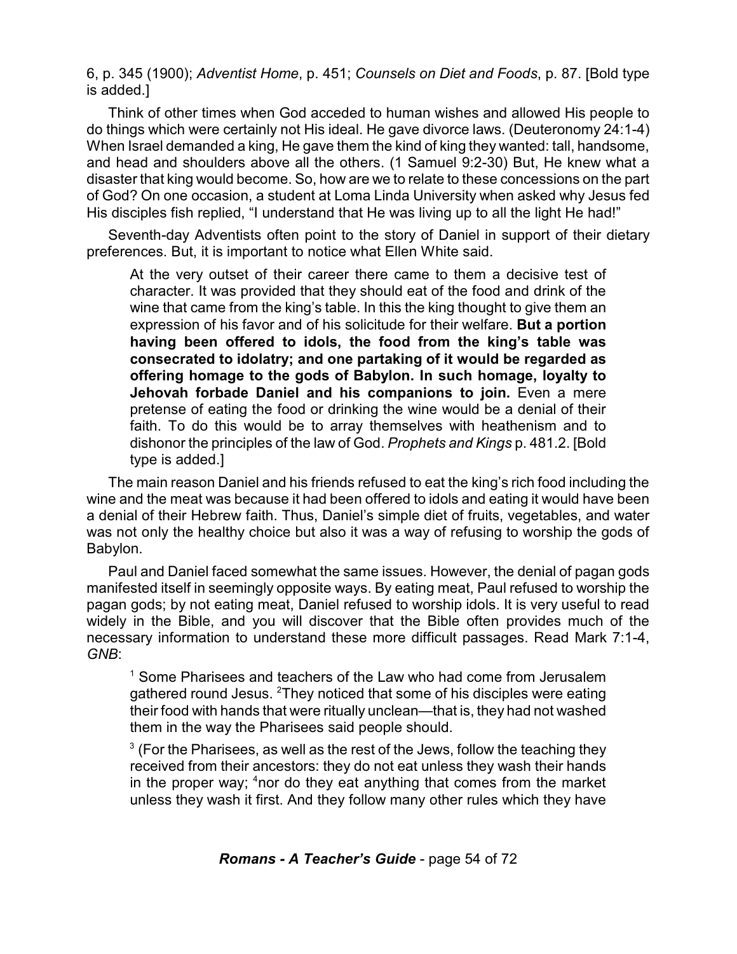6, p. 345 (1900); *Adventist Home*, p. 451; *Counsels on Diet and Foods*, p. 87. [Bold type is added.]

Think of other times when God acceded to human wishes and allowed His people to do things which were certainly not His ideal. He gave divorce laws. (Deuteronomy 24:1-4) When Israel demanded a king, He gave them the kind of king they wanted: tall, handsome, and head and shoulders above all the others. (1 Samuel 9:2-30) But, He knew what a disaster that king would become. So, how are we to relate to these concessions on the part of God? On one occasion, a student at Loma Linda University when asked why Jesus fed His disciples fish replied, "I understand that He was living up to all the light He had!"

Seventh-day Adventists often point to the story of Daniel in support of their dietary preferences. But, it is important to notice what Ellen White said.

At the very outset of their career there came to them a decisive test of character. It was provided that they should eat of the food and drink of the wine that came from the king's table. In this the king thought to give them an expression of his favor and of his solicitude for their welfare. **But a portion having been offered to idols, the food from the king's table was consecrated to idolatry; and one partaking of it would be regarded as offering homage to the gods of Babylon. In such homage, loyalty to Jehovah forbade Daniel and his companions to join.** Even a mere pretense of eating the food or drinking the wine would be a denial of their faith. To do this would be to array themselves with heathenism and to dishonor the principles of the law of God. *Prophets and Kings* p. 481.2. [Bold type is added.]

The main reason Daniel and his friends refused to eat the king's rich food including the wine and the meat was because it had been offered to idols and eating it would have been a denial of their Hebrew faith. Thus, Daniel's simple diet of fruits, vegetables, and water was not only the healthy choice but also it was a way of refusing to worship the gods of Babylon.

Paul and Daniel faced somewhat the same issues. However, the denial of pagan gods manifested itself in seemingly opposite ways. By eating meat, Paul refused to worship the pagan gods; by not eating meat, Daniel refused to worship idols. It is very useful to read widely in the Bible, and you will discover that the Bible often provides much of the necessary information to understand these more difficult passages. Read Mark 7:1-4, *GNB*:

 $1$  Some Pharisees and teachers of the Law who had come from Jerusalem gathered round Jesus.  $2$ They noticed that some of his disciples were eating their food with hands that were ritually unclean—that is, they had not washed them in the way the Pharisees said people should.

 $^3$  (For the Pharisees, as well as the rest of the Jews, follow the teaching they received from their ancestors: they do not eat unless they wash their hands in the proper way;  $4\pi$  do they eat anything that comes from the market unless they wash it first. And they follow many other rules which they have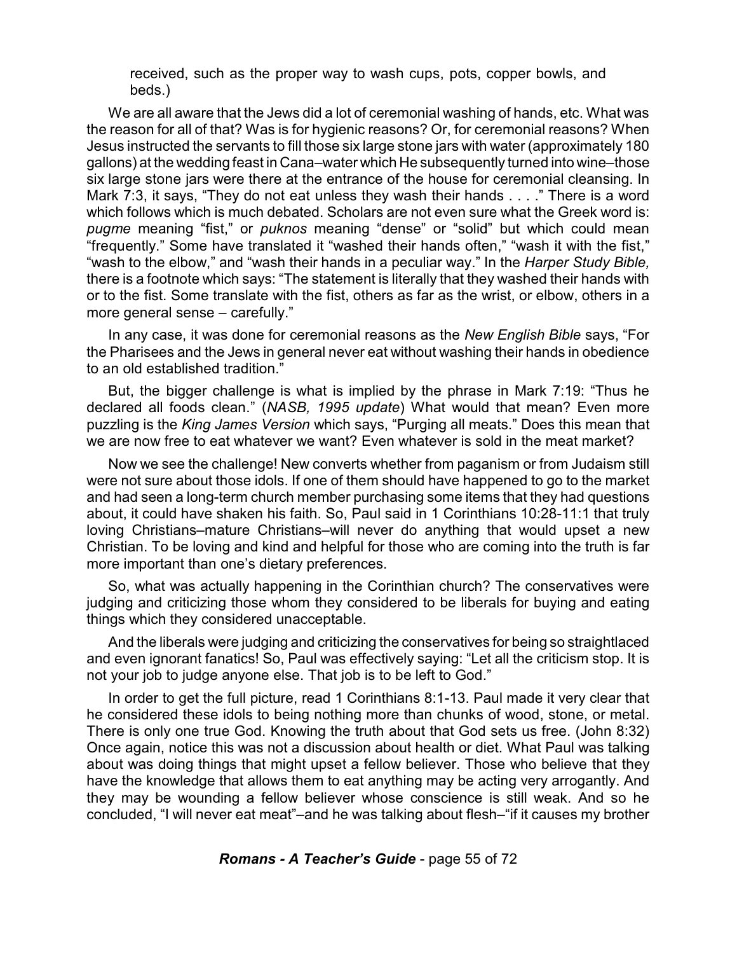received, such as the proper way to wash cups, pots, copper bowls, and beds.)

We are all aware that the Jews did a lot of ceremonial washing of hands, etc. What was the reason for all of that? Was is for hygienic reasons? Or, for ceremonial reasons? When Jesus instructed the servants to fill those six large stone jars with water (approximately 180 gallons) at the wedding feast in Cana–water which He subsequently turned into wine–those six large stone jars were there at the entrance of the house for ceremonial cleansing. In Mark 7:3, it says, "They do not eat unless they wash their hands . . . ." There is a word which follows which is much debated. Scholars are not even sure what the Greek word is: *pugme* meaning "fist," or *puknos* meaning "dense" or "solid" but which could mean "frequently." Some have translated it "washed their hands often," "wash it with the fist," "wash to the elbow," and "wash their hands in a peculiar way." In the *Harper Study Bible,* there is a footnote which says: "The statement is literally that they washed their hands with or to the fist. Some translate with the fist, others as far as the wrist, or elbow, others in a more general sense – carefully."

In any case, it was done for ceremonial reasons as the *New English Bible* says, "For the Pharisees and the Jews in general never eat without washing their hands in obedience to an old established tradition."

But, the bigger challenge is what is implied by the phrase in Mark 7:19: "Thus he declared all foods clean." (*NASB, 1995 update*) What would that mean? Even more puzzling is the *King James Version* which says, "Purging all meats." Does this mean that we are now free to eat whatever we want? Even whatever is sold in the meat market?

Now we see the challenge! New converts whether from paganism or from Judaism still were not sure about those idols. If one of them should have happened to go to the market and had seen a long-term church member purchasing some items that they had questions about, it could have shaken his faith. So, Paul said in 1 Corinthians 10:28-11:1 that truly loving Christians–mature Christians–will never do anything that would upset a new Christian. To be loving and kind and helpful for those who are coming into the truth is far more important than one's dietary preferences.

So, what was actually happening in the Corinthian church? The conservatives were judging and criticizing those whom they considered to be liberals for buying and eating things which they considered unacceptable.

And the liberals were judging and criticizing the conservatives for being so straightlaced and even ignorant fanatics! So, Paul was effectively saying: "Let all the criticism stop. It is not your job to judge anyone else. That job is to be left to God."

In order to get the full picture, read 1 Corinthians 8:1-13. Paul made it very clear that he considered these idols to being nothing more than chunks of wood, stone, or metal. There is only one true God. Knowing the truth about that God sets us free. (John 8:32) Once again, notice this was not a discussion about health or diet. What Paul was talking about was doing things that might upset a fellow believer. Those who believe that they have the knowledge that allows them to eat anything may be acting very arrogantly. And they may be wounding a fellow believer whose conscience is still weak. And so he concluded, "I will never eat meat"–and he was talking about flesh–"if it causes my brother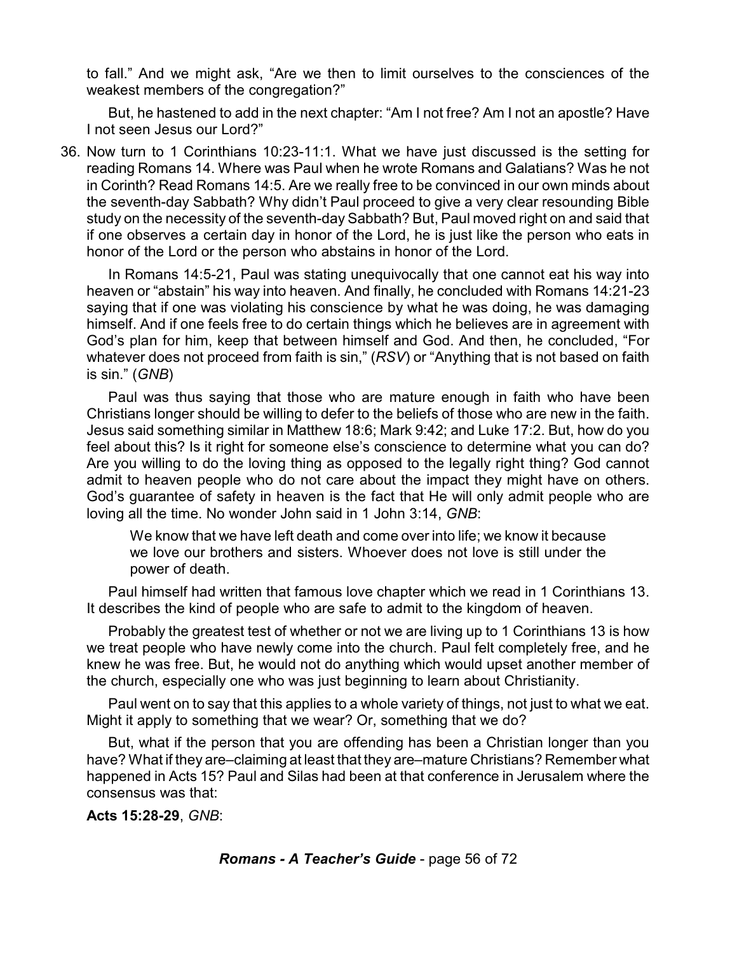to fall." And we might ask, "Are we then to limit ourselves to the consciences of the weakest members of the congregation?"

But, he hastened to add in the next chapter: "Am I not free? Am I not an apostle? Have I not seen Jesus our Lord?"

36. Now turn to 1 Corinthians 10:23-11:1. What we have just discussed is the setting for reading Romans 14. Where was Paul when he wrote Romans and Galatians? Was he not in Corinth? Read Romans 14:5. Are we really free to be convinced in our own minds about the seventh-day Sabbath? Why didn't Paul proceed to give a very clear resounding Bible study on the necessity of the seventh-day Sabbath? But, Paul moved right on and said that if one observes a certain day in honor of the Lord, he is just like the person who eats in honor of the Lord or the person who abstains in honor of the Lord.

In Romans 14:5-21, Paul was stating unequivocally that one cannot eat his way into heaven or "abstain" his way into heaven. And finally, he concluded with Romans 14:21-23 saying that if one was violating his conscience by what he was doing, he was damaging himself. And if one feels free to do certain things which he believes are in agreement with God's plan for him, keep that between himself and God. And then, he concluded, "For whatever does not proceed from faith is sin," (*RSV*) or "Anything that is not based on faith is sin." (*GNB*)

Paul was thus saying that those who are mature enough in faith who have been Christians longer should be willing to defer to the beliefs of those who are new in the faith. Jesus said something similar in Matthew 18:6; Mark 9:42; and Luke 17:2. But, how do you feel about this? Is it right for someone else's conscience to determine what you can do? Are you willing to do the loving thing as opposed to the legally right thing? God cannot admit to heaven people who do not care about the impact they might have on others. God's guarantee of safety in heaven is the fact that He will only admit people who are loving all the time. No wonder John said in 1 John 3:14, *GNB*:

We know that we have left death and come over into life; we know it because we love our brothers and sisters. Whoever does not love is still under the power of death.

Paul himself had written that famous love chapter which we read in 1 Corinthians 13. It describes the kind of people who are safe to admit to the kingdom of heaven.

Probably the greatest test of whether or not we are living up to 1 Corinthians 13 is how we treat people who have newly come into the church. Paul felt completely free, and he knew he was free. But, he would not do anything which would upset another member of the church, especially one who was just beginning to learn about Christianity.

Paul went on to say that this applies to a whole variety of things, not just to what we eat. Might it apply to something that we wear? Or, something that we do?

But, what if the person that you are offending has been a Christian longer than you have? What if they are–claiming at least that they are–mature Christians? Remember what happened in Acts 15? Paul and Silas had been at that conference in Jerusalem where the consensus was that:

**Acts 15:28-29**, *GNB*: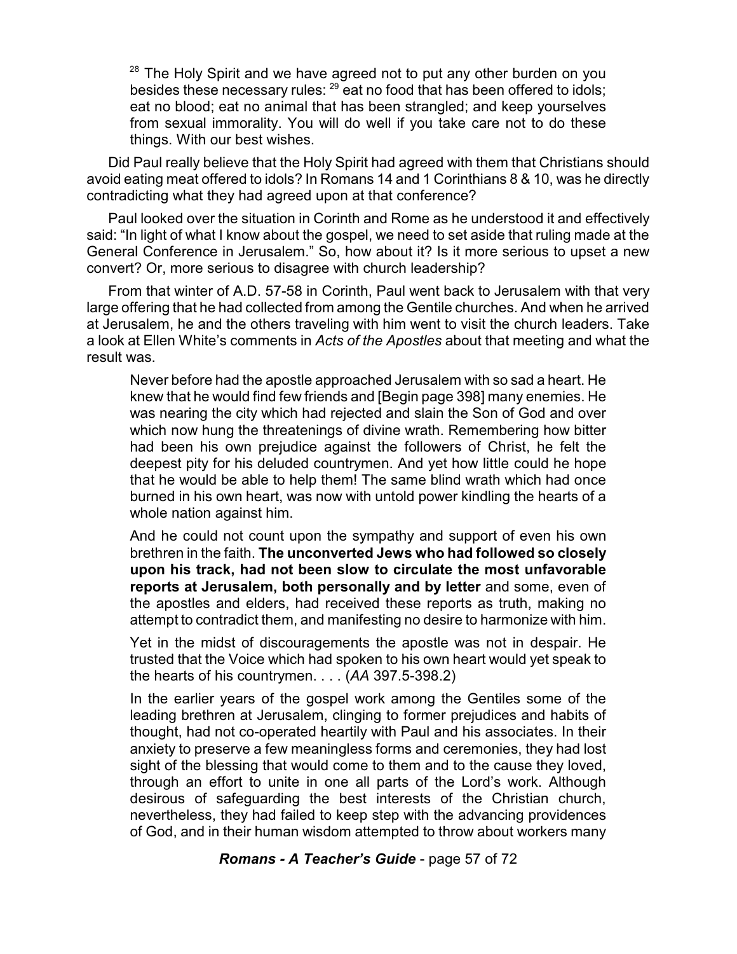$28$  The Holy Spirit and we have agreed not to put any other burden on you besides these necessary rules:  $^{29}$  eat no food that has been offered to idols; eat no blood; eat no animal that has been strangled; and keep yourselves from sexual immorality. You will do well if you take care not to do these things. With our best wishes.

Did Paul really believe that the Holy Spirit had agreed with them that Christians should avoid eating meat offered to idols? In Romans 14 and 1 Corinthians 8 & 10, was he directly contradicting what they had agreed upon at that conference?

Paul looked over the situation in Corinth and Rome as he understood it and effectively said: "In light of what I know about the gospel, we need to set aside that ruling made at the General Conference in Jerusalem." So, how about it? Is it more serious to upset a new convert? Or, more serious to disagree with church leadership?

From that winter of A.D. 57-58 in Corinth, Paul went back to Jerusalem with that very large offering that he had collected from among the Gentile churches. And when he arrived at Jerusalem, he and the others traveling with him went to visit the church leaders. Take a look at Ellen White's comments in *Acts of the Apostles* about that meeting and what the result was.

Never before had the apostle approached Jerusalem with so sad a heart. He knew that he would find few friends and [Begin page 398] many enemies. He was nearing the city which had rejected and slain the Son of God and over which now hung the threatenings of divine wrath. Remembering how bitter had been his own prejudice against the followers of Christ, he felt the deepest pity for his deluded countrymen. And yet how little could he hope that he would be able to help them! The same blind wrath which had once burned in his own heart, was now with untold power kindling the hearts of a whole nation against him.

And he could not count upon the sympathy and support of even his own brethren in the faith. **The unconverted Jews who had followed so closely upon his track, had not been slow to circulate the most unfavorable reports at Jerusalem, both personally and by letter** and some, even of the apostles and elders, had received these reports as truth, making no attempt to contradict them, and manifesting no desire to harmonize with him.

Yet in the midst of discouragements the apostle was not in despair. He trusted that the Voice which had spoken to his own heart would yet speak to the hearts of his countrymen. . . . (*AA* 397.5-398.2)

In the earlier years of the gospel work among the Gentiles some of the leading brethren at Jerusalem, clinging to former prejudices and habits of thought, had not co-operated heartily with Paul and his associates. In their anxiety to preserve a few meaningless forms and ceremonies, they had lost sight of the blessing that would come to them and to the cause they loved, through an effort to unite in one all parts of the Lord's work. Although desirous of safeguarding the best interests of the Christian church, nevertheless, they had failed to keep step with the advancing providences of God, and in their human wisdom attempted to throw about workers many

*Romans - A Teacher's Guide* - page 57 of 72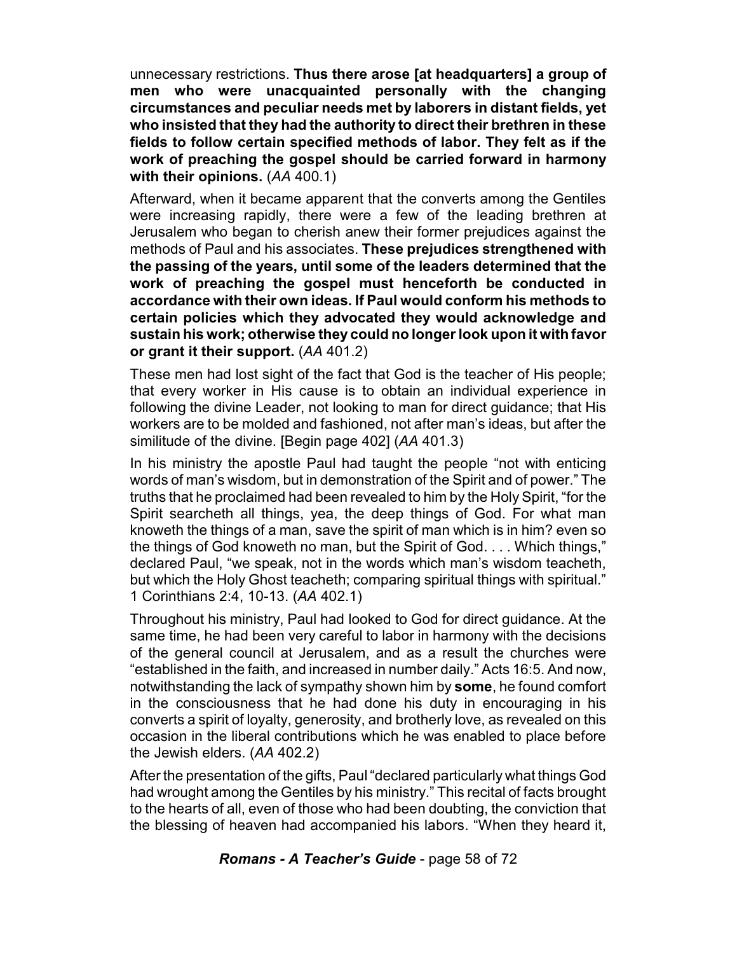unnecessary restrictions. **Thus there arose [at headquarters] a group of men who were unacquainted personally with the changing circumstances and peculiar needs met by laborers in distant fields, yet who insisted that they had the authority to direct their brethren in these fields to follow certain specified methods of labor. They felt as if the work of preaching the gospel should be carried forward in harmony with their opinions.** (*AA* 400.1)

Afterward, when it became apparent that the converts among the Gentiles were increasing rapidly, there were a few of the leading brethren at Jerusalem who began to cherish anew their former prejudices against the methods of Paul and his associates. **These prejudices strengthened with the passing of the years, until some of the leaders determined that the work of preaching the gospel must henceforth be conducted in accordance with their own ideas. If Paul would conform his methods to certain policies which they advocated they would acknowledge and sustain his work; otherwise they could no longer look upon it with favor or grant it their support.** (*AA* 401.2)

These men had lost sight of the fact that God is the teacher of His people: that every worker in His cause is to obtain an individual experience in following the divine Leader, not looking to man for direct guidance; that His workers are to be molded and fashioned, not after man's ideas, but after the similitude of the divine. [Begin page 402] (*AA* 401.3)

In his ministry the apostle Paul had taught the people "not with enticing words of man's wisdom, but in demonstration of the Spirit and of power." The truths that he proclaimed had been revealed to him by the Holy Spirit, "for the Spirit searcheth all things, yea, the deep things of God. For what man knoweth the things of a man, save the spirit of man which is in him? even so the things of God knoweth no man, but the Spirit of God. . . . Which things," declared Paul, "we speak, not in the words which man's wisdom teacheth, but which the Holy Ghost teacheth; comparing spiritual things with spiritual." 1 Corinthians 2:4, 10-13. (*AA* 402.1)

Throughout his ministry, Paul had looked to God for direct guidance. At the same time, he had been very careful to labor in harmony with the decisions of the general council at Jerusalem, and as a result the churches were "established in the faith, and increased in number daily." Acts 16:5. And now, notwithstanding the lack of sympathy shown him by **some**, he found comfort in the consciousness that he had done his duty in encouraging in his converts a spirit of loyalty, generosity, and brotherly love, as revealed on this occasion in the liberal contributions which he was enabled to place before the Jewish elders. (*AA* 402.2)

After the presentation of the gifts, Paul "declared particularly what things God had wrought among the Gentiles by his ministry." This recital of facts brought to the hearts of all, even of those who had been doubting, the conviction that the blessing of heaven had accompanied his labors. "When they heard it,

### *Romans - A Teacher's Guide* - page 58 of 72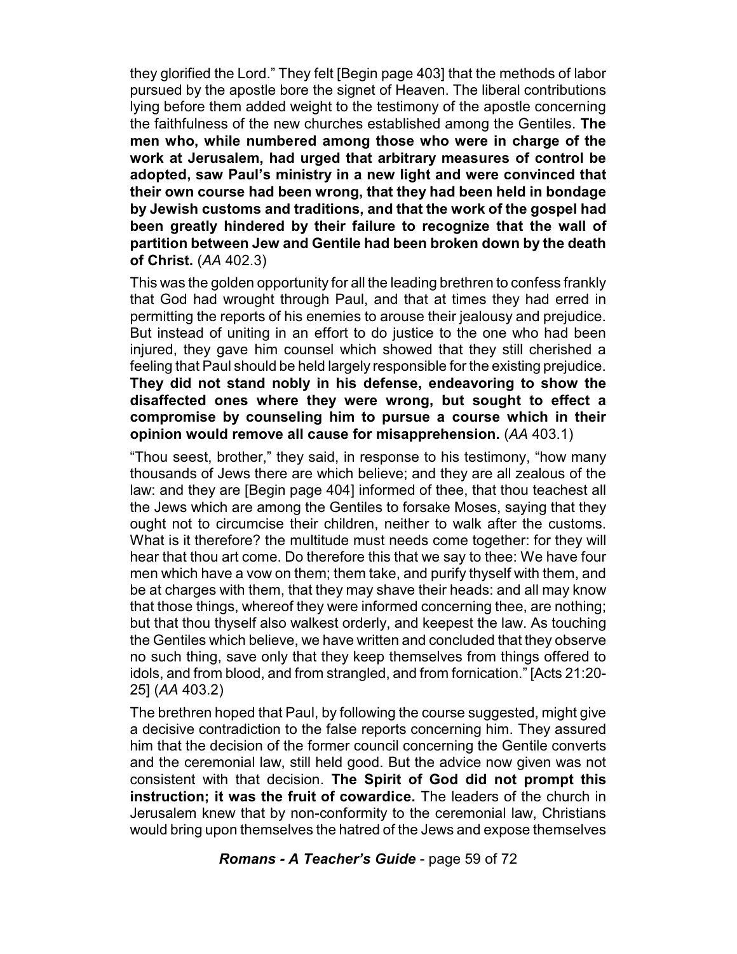they glorified the Lord." They felt [Begin page 403] that the methods of labor pursued by the apostle bore the signet of Heaven. The liberal contributions lying before them added weight to the testimony of the apostle concerning the faithfulness of the new churches established among the Gentiles. **The men who, while numbered among those who were in charge of the work at Jerusalem, had urged that arbitrary measures of control be adopted, saw Paul's ministry in a new light and were convinced that their own course had been wrong, that they had been held in bondage by Jewish customs and traditions, and that the work of the gospel had been greatly hindered by their failure to recognize that the wall of partition between Jew and Gentile had been broken down by the death of Christ.** (*AA* 402.3)

This was the golden opportunity for all the leading brethren to confess frankly that God had wrought through Paul, and that at times they had erred in permitting the reports of his enemies to arouse their jealousy and prejudice. But instead of uniting in an effort to do justice to the one who had been injured, they gave him counsel which showed that they still cherished a feeling that Paul should be held largely responsible for the existing prejudice. **They did not stand nobly in his defense, endeavoring to show the disaffected ones where they were wrong, but sought to effect a compromise by counseling him to pursue a course which in their opinion would remove all cause for misapprehension.** (*AA* 403.1)

"Thou seest, brother," they said, in response to his testimony, "how many thousands of Jews there are which believe; and they are all zealous of the law: and they are [Begin page 404] informed of thee, that thou teachest all the Jews which are among the Gentiles to forsake Moses, saying that they ought not to circumcise their children, neither to walk after the customs. What is it therefore? the multitude must needs come together: for they will hear that thou art come. Do therefore this that we say to thee: We have four men which have a vow on them; them take, and purify thyself with them, and be at charges with them, that they may shave their heads: and all may know that those things, whereof they were informed concerning thee, are nothing; but that thou thyself also walkest orderly, and keepest the law. As touching the Gentiles which believe, we have written and concluded that they observe no such thing, save only that they keep themselves from things offered to idols, and from blood, and from strangled, and from fornication." [Acts 21:20- 25] (*AA* 403.2)

The brethren hoped that Paul, by following the course suggested, might give a decisive contradiction to the false reports concerning him. They assured him that the decision of the former council concerning the Gentile converts and the ceremonial law, still held good. But the advice now given was not consistent with that decision. **The Spirit of God did not prompt this instruction; it was the fruit of cowardice.** The leaders of the church in Jerusalem knew that by non-conformity to the ceremonial law, Christians would bring upon themselves the hatred of the Jews and expose themselves

*Romans - A Teacher's Guide* - page 59 of 72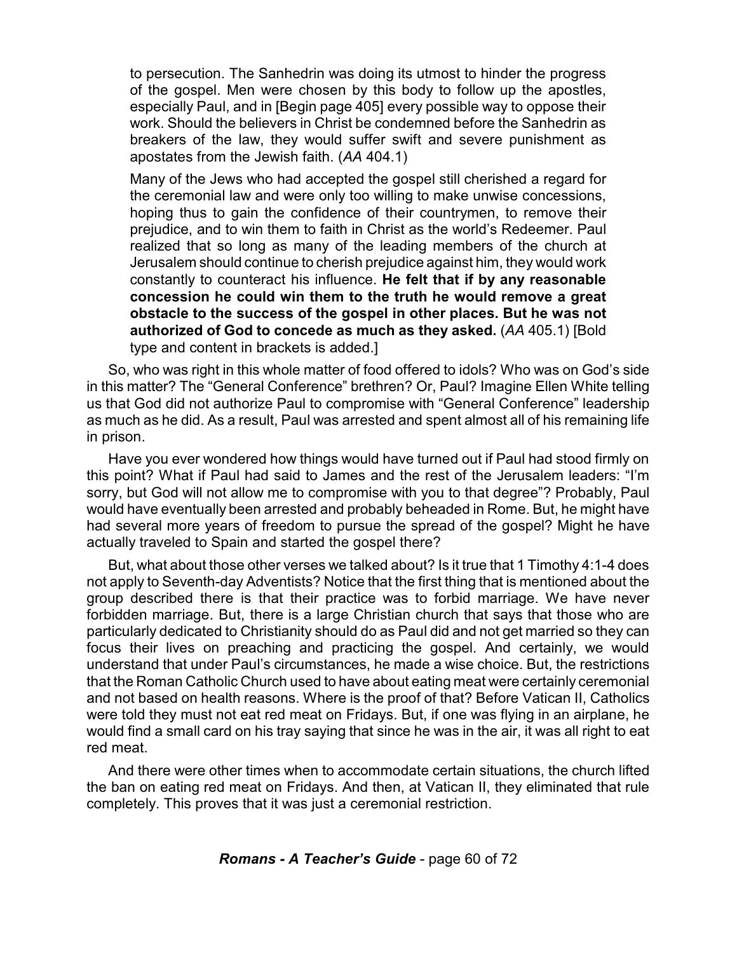to persecution. The Sanhedrin was doing its utmost to hinder the progress of the gospel. Men were chosen by this body to follow up the apostles, especially Paul, and in [Begin page 405] every possible way to oppose their work. Should the believers in Christ be condemned before the Sanhedrin as breakers of the law, they would suffer swift and severe punishment as apostates from the Jewish faith. (*AA* 404.1)

Many of the Jews who had accepted the gospel still cherished a regard for the ceremonial law and were only too willing to make unwise concessions, hoping thus to gain the confidence of their countrymen, to remove their prejudice, and to win them to faith in Christ as the world's Redeemer. Paul realized that so long as many of the leading members of the church at Jerusalem should continue to cherish prejudice against him, they would work constantly to counteract his influence. **He felt that if by any reasonable concession he could win them to the truth he would remove a great obstacle to the success of the gospel in other places. But he was not authorized of God to concede as much as they asked.** (*AA* 405.1) [Bold type and content in brackets is added.]

So, who was right in this whole matter of food offered to idols? Who was on God's side in this matter? The "General Conference" brethren? Or, Paul? Imagine Ellen White telling us that God did not authorize Paul to compromise with "General Conference" leadership as much as he did. As a result, Paul was arrested and spent almost all of his remaining life in prison.

Have you ever wondered how things would have turned out if Paul had stood firmly on this point? What if Paul had said to James and the rest of the Jerusalem leaders: "I'm sorry, but God will not allow me to compromise with you to that degree"? Probably, Paul would have eventually been arrested and probably beheaded in Rome. But, he might have had several more years of freedom to pursue the spread of the gospel? Might he have actually traveled to Spain and started the gospel there?

But, what about those other verses we talked about? Is it true that 1 Timothy 4:1-4 does not apply to Seventh-day Adventists? Notice that the first thing that is mentioned about the group described there is that their practice was to forbid marriage. We have never forbidden marriage. But, there is a large Christian church that says that those who are particularly dedicated to Christianity should do as Paul did and not get married so they can focus their lives on preaching and practicing the gospel. And certainly, we would understand that under Paul's circumstances, he made a wise choice. But, the restrictions that the Roman Catholic Church used to have about eating meat were certainly ceremonial and not based on health reasons. Where is the proof of that? Before Vatican II, Catholics were told they must not eat red meat on Fridays. But, if one was flying in an airplane, he would find a small card on his tray saying that since he was in the air, it was all right to eat red meat.

And there were other times when to accommodate certain situations, the church lifted the ban on eating red meat on Fridays. And then, at Vatican II, they eliminated that rule completely. This proves that it was just a ceremonial restriction.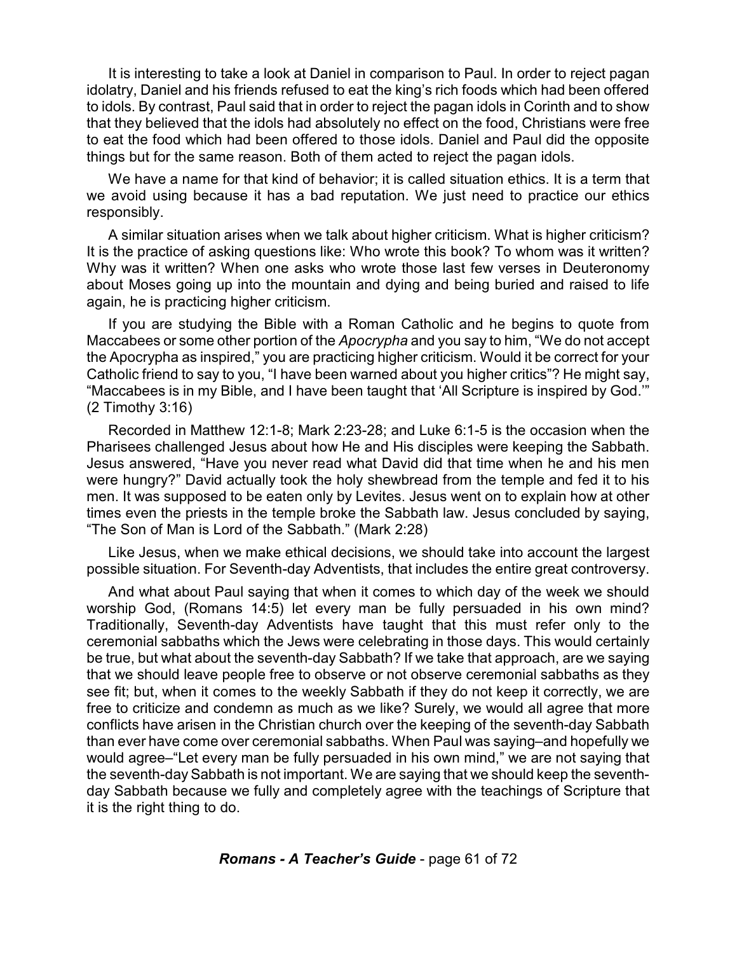It is interesting to take a look at Daniel in comparison to Paul. In order to reject pagan idolatry, Daniel and his friends refused to eat the king's rich foods which had been offered to idols. By contrast, Paul said that in order to reject the pagan idols in Corinth and to show that they believed that the idols had absolutely no effect on the food, Christians were free to eat the food which had been offered to those idols. Daniel and Paul did the opposite things but for the same reason. Both of them acted to reject the pagan idols.

We have a name for that kind of behavior; it is called situation ethics. It is a term that we avoid using because it has a bad reputation. We just need to practice our ethics responsibly.

A similar situation arises when we talk about higher criticism. What is higher criticism? It is the practice of asking questions like: Who wrote this book? To whom was it written? Why was it written? When one asks who wrote those last few verses in Deuteronomy about Moses going up into the mountain and dying and being buried and raised to life again, he is practicing higher criticism.

If you are studying the Bible with a Roman Catholic and he begins to quote from Maccabees or some other portion of the *Apocrypha* and you say to him, "We do not accept the Apocrypha as inspired," you are practicing higher criticism. Would it be correct for your Catholic friend to say to you, "I have been warned about you higher critics"? He might say, "Maccabees is in my Bible, and I have been taught that 'All Scripture is inspired by God.'" (2 Timothy 3:16)

Recorded in Matthew 12:1-8; Mark 2:23-28; and Luke 6:1-5 is the occasion when the Pharisees challenged Jesus about how He and His disciples were keeping the Sabbath. Jesus answered, "Have you never read what David did that time when he and his men were hungry?" David actually took the holy shewbread from the temple and fed it to his men. It was supposed to be eaten only by Levites. Jesus went on to explain how at other times even the priests in the temple broke the Sabbath law. Jesus concluded by saying, "The Son of Man is Lord of the Sabbath." (Mark 2:28)

Like Jesus, when we make ethical decisions, we should take into account the largest possible situation. For Seventh-day Adventists, that includes the entire great controversy.

And what about Paul saying that when it comes to which day of the week we should worship God, (Romans 14:5) let every man be fully persuaded in his own mind? Traditionally, Seventh-day Adventists have taught that this must refer only to the ceremonial sabbaths which the Jews were celebrating in those days. This would certainly be true, but what about the seventh-day Sabbath? If we take that approach, are we saying that we should leave people free to observe or not observe ceremonial sabbaths as they see fit; but, when it comes to the weekly Sabbath if they do not keep it correctly, we are free to criticize and condemn as much as we like? Surely, we would all agree that more conflicts have arisen in the Christian church over the keeping of the seventh-day Sabbath than ever have come over ceremonial sabbaths. When Paul was saying–and hopefully we would agree–"Let every man be fully persuaded in his own mind," we are not saying that the seventh-day Sabbath is not important. We are saying that we should keep the seventhday Sabbath because we fully and completely agree with the teachings of Scripture that it is the right thing to do.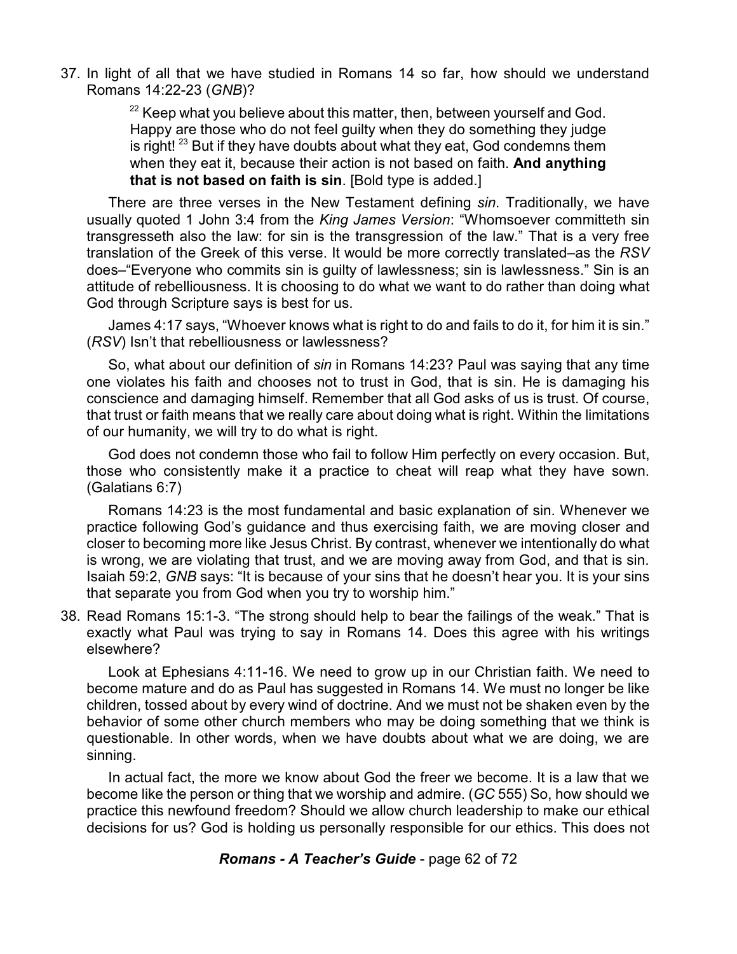37. In light of all that we have studied in Romans 14 so far, how should we understand Romans 14:22-23 (*GNB*)?

> $22$  Keep what you believe about this matter, then, between yourself and God. Happy are those who do not feel guilty when they do something they judge is right!  $^{23}$  But if they have doubts about what they eat, God condemns them when they eat it, because their action is not based on faith. **And anything that is not based on faith is sin**. [Bold type is added.]

There are three verses in the New Testament defining *sin*. Traditionally, we have usually quoted 1 John 3:4 from the *King James Version*: "Whomsoever committeth sin transgresseth also the law: for sin is the transgression of the law." That is a very free translation of the Greek of this verse. It would be more correctly translated–as the *RSV* does–"Everyone who commits sin is guilty of lawlessness; sin is lawlessness." Sin is an attitude of rebelliousness. It is choosing to do what we want to do rather than doing what God through Scripture says is best for us.

James 4:17 says, "Whoever knows what is right to do and fails to do it, for him it is sin." (*RSV*) Isn't that rebelliousness or lawlessness?

So, what about our definition of *sin* in Romans 14:23? Paul was saying that any time one violates his faith and chooses not to trust in God, that is sin. He is damaging his conscience and damaging himself. Remember that all God asks of us is trust. Of course, that trust or faith means that we really care about doing what is right. Within the limitations of our humanity, we will try to do what is right.

God does not condemn those who fail to follow Him perfectly on every occasion. But, those who consistently make it a practice to cheat will reap what they have sown. (Galatians 6:7)

Romans 14:23 is the most fundamental and basic explanation of sin. Whenever we practice following God's guidance and thus exercising faith, we are moving closer and closer to becoming more like Jesus Christ. By contrast, whenever we intentionally do what is wrong, we are violating that trust, and we are moving away from God, and that is sin. Isaiah 59:2, *GNB* says: "It is because of your sins that he doesn't hear you. It is your sins that separate you from God when you try to worship him."

38. Read Romans 15:1-3. "The strong should help to bear the failings of the weak." That is exactly what Paul was trying to say in Romans 14. Does this agree with his writings elsewhere?

Look at Ephesians 4:11-16. We need to grow up in our Christian faith. We need to become mature and do as Paul has suggested in Romans 14. We must no longer be like children, tossed about by every wind of doctrine. And we must not be shaken even by the behavior of some other church members who may be doing something that we think is questionable. In other words, when we have doubts about what we are doing, we are sinning.

In actual fact, the more we know about God the freer we become. It is a law that we become like the person or thing that we worship and admire. (*GC* 555) So, how should we practice this newfound freedom? Should we allow church leadership to make our ethical decisions for us? God is holding us personally responsible for our ethics. This does not

### *Romans - A Teacher's Guide* - page 62 of 72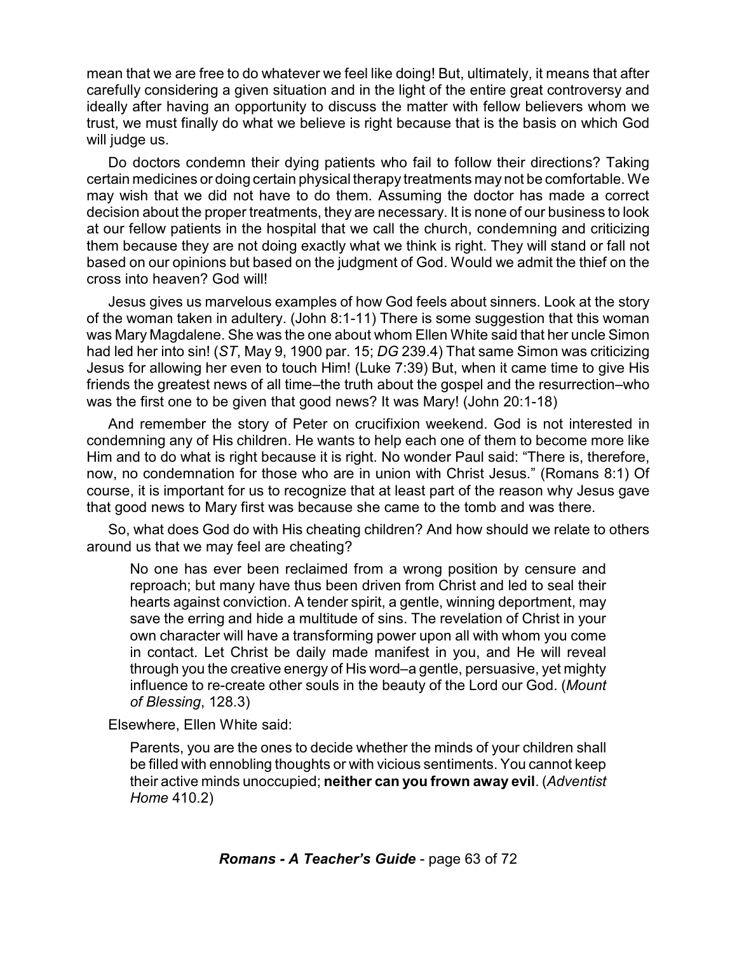mean that we are free to do whatever we feel like doing! But, ultimately, it means that after carefully considering a given situation and in the light of the entire great controversy and ideally after having an opportunity to discuss the matter with fellow believers whom we trust, we must finally do what we believe is right because that is the basis on which God will judge us.

Do doctors condemn their dying patients who fail to follow their directions? Taking certain medicines or doing certain physical therapy treatments may not be comfortable. We may wish that we did not have to do them. Assuming the doctor has made a correct decision about the proper treatments, they are necessary. It is none of our business to look at our fellow patients in the hospital that we call the church, condemning and criticizing them because they are not doing exactly what we think is right. They will stand or fall not based on our opinions but based on the judgment of God. Would we admit the thief on the cross into heaven? God will!

Jesus gives us marvelous examples of how God feels about sinners. Look at the story of the woman taken in adultery. (John 8:1-11) There is some suggestion that this woman was Mary Magdalene. She was the one about whom Ellen White said that her uncle Simon had led her into sin! (*ST*, May 9, 1900 par. 15; *DG* 239.4) That same Simon was criticizing Jesus for allowing her even to touch Him! (Luke 7:39) But, when it came time to give His friends the greatest news of all time–the truth about the gospel and the resurrection–who was the first one to be given that good news? It was Mary! (John 20:1-18)

And remember the story of Peter on crucifixion weekend. God is not interested in condemning any of His children. He wants to help each one of them to become more like Him and to do what is right because it is right. No wonder Paul said: "There is, therefore, now, no condemnation for those who are in union with Christ Jesus." (Romans 8:1) Of course, it is important for us to recognize that at least part of the reason why Jesus gave that good news to Mary first was because she came to the tomb and was there.

So, what does God do with His cheating children? And how should we relate to others around us that we may feel are cheating?

No one has ever been reclaimed from a wrong position by censure and reproach; but many have thus been driven from Christ and led to seal their hearts against conviction. A tender spirit, a gentle, winning deportment, may save the erring and hide a multitude of sins. The revelation of Christ in your own character will have a transforming power upon all with whom you come in contact. Let Christ be daily made manifest in you, and He will reveal through you the creative energy of His word–a gentle, persuasive, yet mighty influence to re-create other souls in the beauty of the Lord our God. (*Mount of Blessing*, 128.3)

Elsewhere, Ellen White said:

Parents, you are the ones to decide whether the minds of your children shall be filled with ennobling thoughts or with vicious sentiments. You cannot keep their active minds unoccupied; **neither can you frown away evil**. (*Adventist Home* 410.2)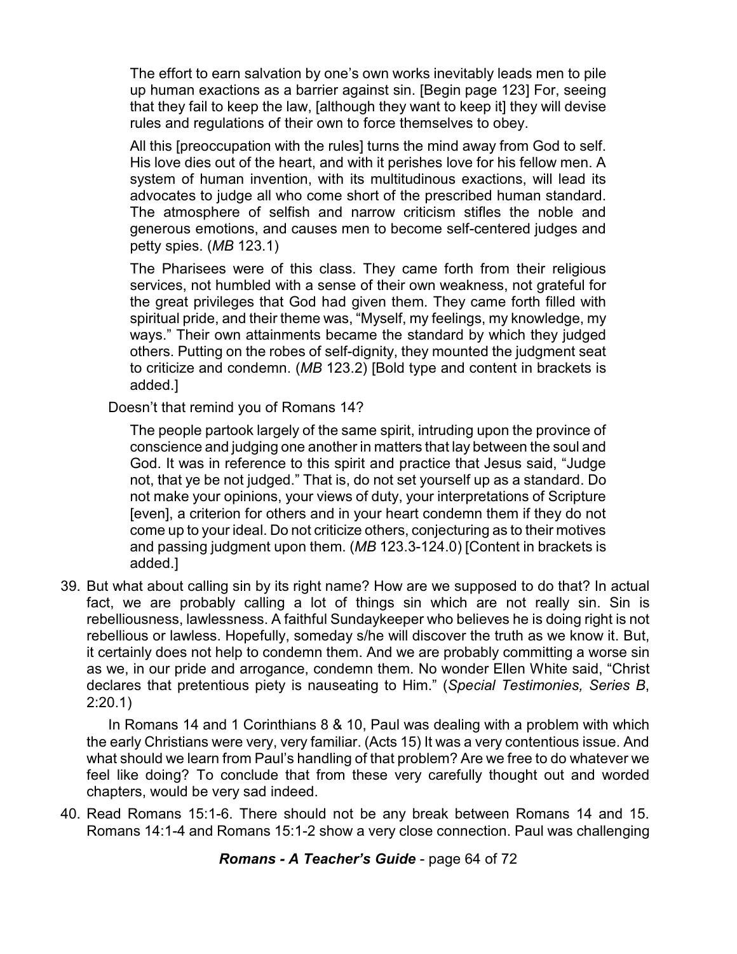The effort to earn salvation by one's own works inevitably leads men to pile up human exactions as a barrier against sin. [Begin page 123] For, seeing that they fail to keep the law, [although they want to keep it] they will devise rules and regulations of their own to force themselves to obey.

All this [preoccupation with the rules] turns the mind away from God to self. His love dies out of the heart, and with it perishes love for his fellow men. A system of human invention, with its multitudinous exactions, will lead its advocates to judge all who come short of the prescribed human standard. The atmosphere of selfish and narrow criticism stifles the noble and generous emotions, and causes men to become self-centered judges and petty spies. (*MB* 123.1)

The Pharisees were of this class. They came forth from their religious services, not humbled with a sense of their own weakness, not grateful for the great privileges that God had given them. They came forth filled with spiritual pride, and their theme was, "Myself, my feelings, my knowledge, my ways." Their own attainments became the standard by which they judged others. Putting on the robes of self-dignity, they mounted the judgment seat to criticize and condemn. (*MB* 123.2) [Bold type and content in brackets is added.]

Doesn't that remind you of Romans 14?

The people partook largely of the same spirit, intruding upon the province of conscience and judging one another in matters that lay between the soul and God. It was in reference to this spirit and practice that Jesus said, "Judge not, that ye be not judged." That is, do not set yourself up as a standard. Do not make your opinions, your views of duty, your interpretations of Scripture [even], a criterion for others and in your heart condemn them if they do not come up to your ideal. Do not criticize others, conjecturing as to their motives and passing judgment upon them. (*MB* 123.3-124.0) [Content in brackets is added.]

39. But what about calling sin by its right name? How are we supposed to do that? In actual fact, we are probably calling a lot of things sin which are not really sin. Sin is rebelliousness, lawlessness. A faithful Sundaykeeper who believes he is doing right is not rebellious or lawless. Hopefully, someday s/he will discover the truth as we know it. But, it certainly does not help to condemn them. And we are probably committing a worse sin as we, in our pride and arrogance, condemn them. No wonder Ellen White said, "Christ declares that pretentious piety is nauseating to Him." (*Special Testimonies, Series B*, 2:20.1)

In Romans 14 and 1 Corinthians 8 & 10, Paul was dealing with a problem with which the early Christians were very, very familiar. (Acts 15) It was a very contentious issue. And what should we learn from Paul's handling of that problem? Are we free to do whatever we feel like doing? To conclude that from these very carefully thought out and worded chapters, would be very sad indeed.

40. Read Romans 15:1-6. There should not be any break between Romans 14 and 15. Romans 14:1-4 and Romans 15:1-2 show a very close connection. Paul was challenging

*Romans - A Teacher's Guide* - page 64 of 72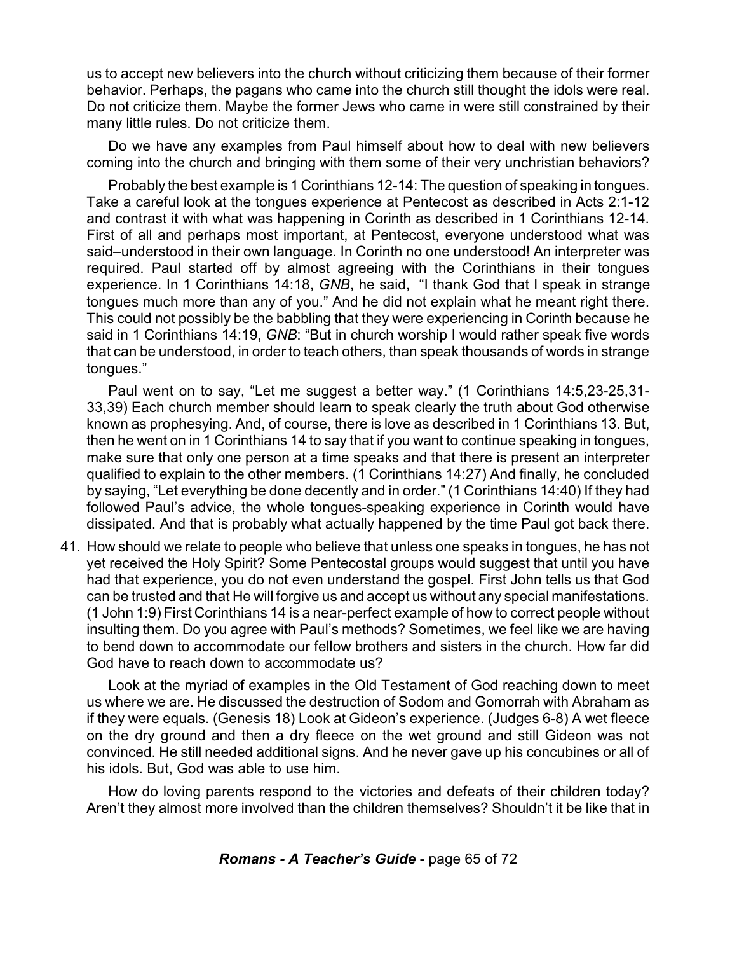us to accept new believers into the church without criticizing them because of their former behavior. Perhaps, the pagans who came into the church still thought the idols were real. Do not criticize them. Maybe the former Jews who came in were still constrained by their many little rules. Do not criticize them.

Do we have any examples from Paul himself about how to deal with new believers coming into the church and bringing with them some of their very unchristian behaviors?

Probably the best example is 1 Corinthians 12-14: The question of speaking in tongues. Take a careful look at the tongues experience at Pentecost as described in Acts 2:1-12 and contrast it with what was happening in Corinth as described in 1 Corinthians 12-14. First of all and perhaps most important, at Pentecost, everyone understood what was said–understood in their own language. In Corinth no one understood! An interpreter was required. Paul started off by almost agreeing with the Corinthians in their tongues experience. In 1 Corinthians 14:18, *GNB*, he said, "I thank God that I speak in strange tongues much more than any of you." And he did not explain what he meant right there. This could not possibly be the babbling that they were experiencing in Corinth because he said in 1 Corinthians 14:19, *GNB*: "But in church worship I would rather speak five words that can be understood, in order to teach others, than speak thousands of words in strange tongues."

Paul went on to say, "Let me suggest a better way." (1 Corinthians 14:5,23-25,31- 33,39) Each church member should learn to speak clearly the truth about God otherwise known as prophesying. And, of course, there is love as described in 1 Corinthians 13. But, then he went on in 1 Corinthians 14 to say that if you want to continue speaking in tongues, make sure that only one person at a time speaks and that there is present an interpreter qualified to explain to the other members. (1 Corinthians 14:27) And finally, he concluded by saying, "Let everything be done decently and in order." (1 Corinthians 14:40) If they had followed Paul's advice, the whole tongues-speaking experience in Corinth would have dissipated. And that is probably what actually happened by the time Paul got back there.

41. How should we relate to people who believe that unless one speaks in tongues, he has not yet received the Holy Spirit? Some Pentecostal groups would suggest that until you have had that experience, you do not even understand the gospel. First John tells us that God can be trusted and that He will forgive us and accept us without any special manifestations. (1 John 1:9) First Corinthians 14 is a near-perfect example of how to correct people without insulting them. Do you agree with Paul's methods? Sometimes, we feel like we are having to bend down to accommodate our fellow brothers and sisters in the church. How far did God have to reach down to accommodate us?

Look at the myriad of examples in the Old Testament of God reaching down to meet us where we are. He discussed the destruction of Sodom and Gomorrah with Abraham as if they were equals. (Genesis 18) Look at Gideon's experience. (Judges 6-8) A wet fleece on the dry ground and then a dry fleece on the wet ground and still Gideon was not convinced. He still needed additional signs. And he never gave up his concubines or all of his idols. But, God was able to use him.

How do loving parents respond to the victories and defeats of their children today? Aren't they almost more involved than the children themselves? Shouldn't it be like that in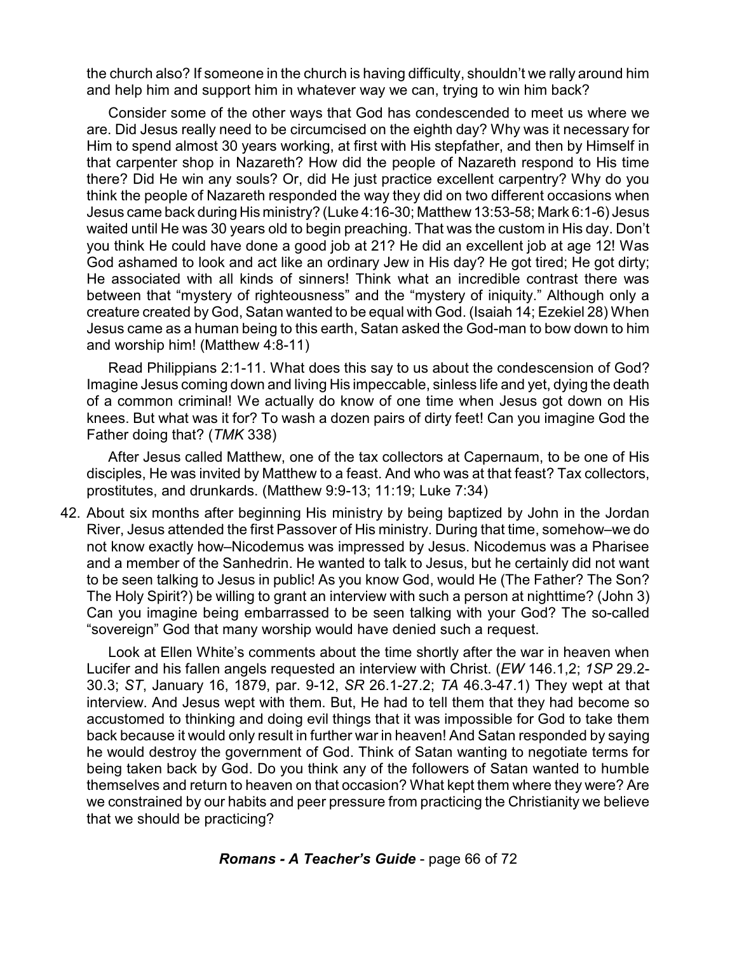the church also? If someone in the church is having difficulty, shouldn't we rally around him and help him and support him in whatever way we can, trying to win him back?

Consider some of the other ways that God has condescended to meet us where we are. Did Jesus really need to be circumcised on the eighth day? Why was it necessary for Him to spend almost 30 years working, at first with His stepfather, and then by Himself in that carpenter shop in Nazareth? How did the people of Nazareth respond to His time there? Did He win any souls? Or, did He just practice excellent carpentry? Why do you think the people of Nazareth responded the way they did on two different occasions when Jesus came back during His ministry? (Luke 4:16-30; Matthew 13:53-58; Mark 6:1-6) Jesus waited until He was 30 years old to begin preaching. That was the custom in His day. Don't you think He could have done a good job at 21? He did an excellent job at age 12! Was God ashamed to look and act like an ordinary Jew in His day? He got tired; He got dirty; He associated with all kinds of sinners! Think what an incredible contrast there was between that "mystery of righteousness" and the "mystery of iniquity." Although only a creature created by God, Satan wanted to be equal with God. (Isaiah 14; Ezekiel 28) When Jesus came as a human being to this earth, Satan asked the God-man to bow down to him and worship him! (Matthew 4:8-11)

Read Philippians 2:1-11. What does this say to us about the condescension of God? Imagine Jesus coming down and living His impeccable, sinless life and yet, dying the death of a common criminal! We actually do know of one time when Jesus got down on His knees. But what was it for? To wash a dozen pairs of dirty feet! Can you imagine God the Father doing that? (*TMK* 338)

After Jesus called Matthew, one of the tax collectors at Capernaum, to be one of His disciples, He was invited by Matthew to a feast. And who was at that feast? Tax collectors, prostitutes, and drunkards. (Matthew 9:9-13; 11:19; Luke 7:34)

42. About six months after beginning His ministry by being baptized by John in the Jordan River, Jesus attended the first Passover of His ministry. During that time, somehow–we do not know exactly how–Nicodemus was impressed by Jesus. Nicodemus was a Pharisee and a member of the Sanhedrin. He wanted to talk to Jesus, but he certainly did not want to be seen talking to Jesus in public! As you know God, would He (The Father? The Son? The Holy Spirit?) be willing to grant an interview with such a person at nighttime? (John 3) Can you imagine being embarrassed to be seen talking with your God? The so-called "sovereign" God that many worship would have denied such a request.

Look at Ellen White's comments about the time shortly after the war in heaven when Lucifer and his fallen angels requested an interview with Christ. (*EW* 146.1,2; *1SP* 29.2- 30.3; *ST*, January 16, 1879, par. 9-12, *SR* 26.1-27.2; *TA* 46.3-47.1) They wept at that interview. And Jesus wept with them. But, He had to tell them that they had become so accustomed to thinking and doing evil things that it was impossible for God to take them back because it would only result in further war in heaven! And Satan responded by saying he would destroy the government of God. Think of Satan wanting to negotiate terms for being taken back by God. Do you think any of the followers of Satan wanted to humble themselves and return to heaven on that occasion? What kept them where they were? Are we constrained by our habits and peer pressure from practicing the Christianity we believe that we should be practicing?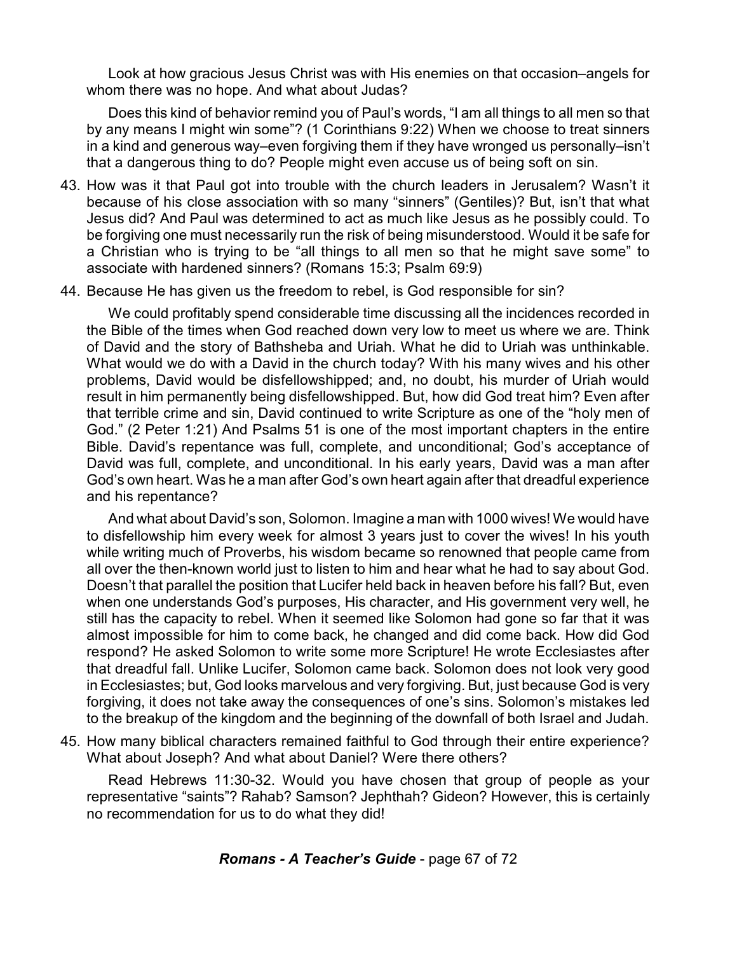Look at how gracious Jesus Christ was with His enemies on that occasion–angels for whom there was no hope. And what about Judas?

Does this kind of behavior remind you of Paul's words, "I am all things to all men so that by any means I might win some"? (1 Corinthians 9:22) When we choose to treat sinners in a kind and generous way–even forgiving them if they have wronged us personally–isn't that a dangerous thing to do? People might even accuse us of being soft on sin.

- 43. How was it that Paul got into trouble with the church leaders in Jerusalem? Wasn't it because of his close association with so many "sinners" (Gentiles)? But, isn't that what Jesus did? And Paul was determined to act as much like Jesus as he possibly could. To be forgiving one must necessarily run the risk of being misunderstood. Would it be safe for a Christian who is trying to be "all things to all men so that he might save some" to associate with hardened sinners? (Romans 15:3; Psalm 69:9)
- 44. Because He has given us the freedom to rebel, is God responsible for sin?

We could profitably spend considerable time discussing all the incidences recorded in the Bible of the times when God reached down very low to meet us where we are. Think of David and the story of Bathsheba and Uriah. What he did to Uriah was unthinkable. What would we do with a David in the church today? With his many wives and his other problems, David would be disfellowshipped; and, no doubt, his murder of Uriah would result in him permanently being disfellowshipped. But, how did God treat him? Even after that terrible crime and sin, David continued to write Scripture as one of the "holy men of God." (2 Peter 1:21) And Psalms 51 is one of the most important chapters in the entire Bible. David's repentance was full, complete, and unconditional; God's acceptance of David was full, complete, and unconditional. In his early years, David was a man after God's own heart. Was he a man after God's own heart again after that dreadful experience and his repentance?

And what about David's son, Solomon. Imagine a man with 1000 wives! We would have to disfellowship him every week for almost 3 years just to cover the wives! In his youth while writing much of Proverbs, his wisdom became so renowned that people came from all over the then-known world just to listen to him and hear what he had to say about God. Doesn't that parallel the position that Lucifer held back in heaven before his fall? But, even when one understands God's purposes, His character, and His government very well, he still has the capacity to rebel. When it seemed like Solomon had gone so far that it was almost impossible for him to come back, he changed and did come back. How did God respond? He asked Solomon to write some more Scripture! He wrote Ecclesiastes after that dreadful fall. Unlike Lucifer, Solomon came back. Solomon does not look very good in Ecclesiastes; but, God looks marvelous and very forgiving. But, just because God is very forgiving, it does not take away the consequences of one's sins. Solomon's mistakes led to the breakup of the kingdom and the beginning of the downfall of both Israel and Judah.

45. How many biblical characters remained faithful to God through their entire experience? What about Joseph? And what about Daniel? Were there others?

Read Hebrews 11:30-32. Would you have chosen that group of people as your representative "saints"? Rahab? Samson? Jephthah? Gideon? However, this is certainly no recommendation for us to do what they did!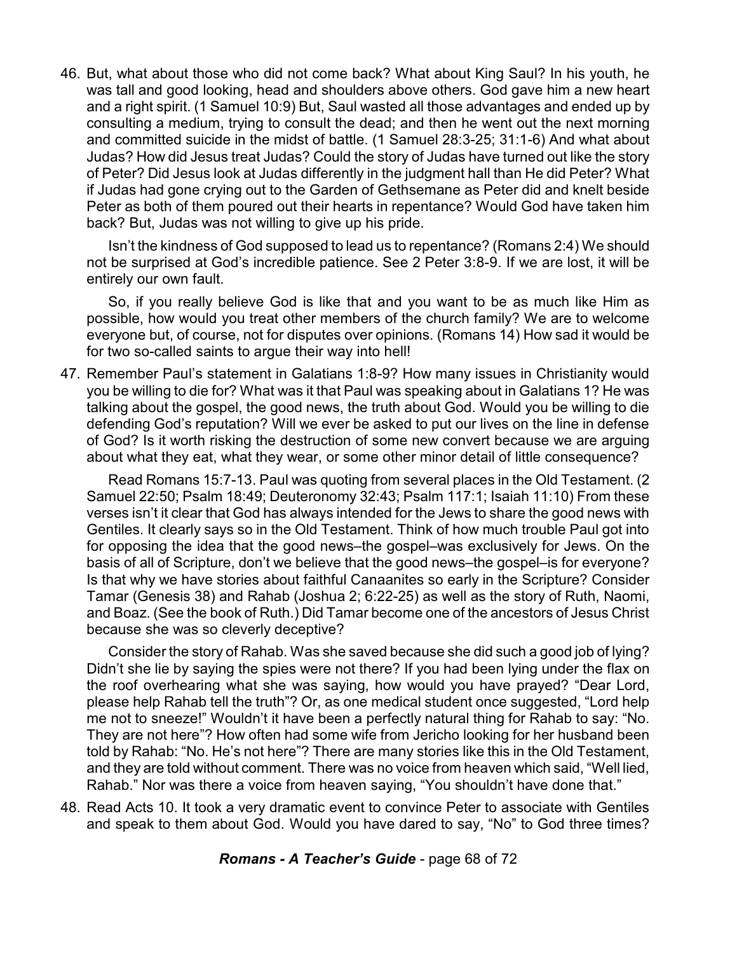46. But, what about those who did not come back? What about King Saul? In his youth, he was tall and good looking, head and shoulders above others. God gave him a new heart and a right spirit. (1 Samuel 10:9) But, Saul wasted all those advantages and ended up by consulting a medium, trying to consult the dead; and then he went out the next morning and committed suicide in the midst of battle. (1 Samuel 28:3-25; 31:1-6) And what about Judas? How did Jesus treat Judas? Could the story of Judas have turned out like the story of Peter? Did Jesus look at Judas differently in the judgment hall than He did Peter? What if Judas had gone crying out to the Garden of Gethsemane as Peter did and knelt beside Peter as both of them poured out their hearts in repentance? Would God have taken him back? But, Judas was not willing to give up his pride.

Isn't the kindness of God supposed to lead us to repentance? (Romans 2:4) We should not be surprised at God's incredible patience. See 2 Peter 3:8-9. If we are lost, it will be entirely our own fault.

So, if you really believe God is like that and you want to be as much like Him as possible, how would you treat other members of the church family? We are to welcome everyone but, of course, not for disputes over opinions. (Romans 14) How sad it would be for two so-called saints to argue their way into hell!

47. Remember Paul's statement in Galatians 1:8-9? How many issues in Christianity would you be willing to die for? What was it that Paul was speaking about in Galatians 1? He was talking about the gospel, the good news, the truth about God. Would you be willing to die defending God's reputation? Will we ever be asked to put our lives on the line in defense of God? Is it worth risking the destruction of some new convert because we are arguing about what they eat, what they wear, or some other minor detail of little consequence?

Read Romans 15:7-13. Paul was quoting from several places in the Old Testament. (2 Samuel 22:50; Psalm 18:49; Deuteronomy 32:43; Psalm 117:1; Isaiah 11:10) From these verses isn't it clear that God has always intended for the Jews to share the good news with Gentiles. It clearly says so in the Old Testament. Think of how much trouble Paul got into for opposing the idea that the good news–the gospel–was exclusively for Jews. On the basis of all of Scripture, don't we believe that the good news–the gospel–is for everyone? Is that why we have stories about faithful Canaanites so early in the Scripture? Consider Tamar (Genesis 38) and Rahab (Joshua 2; 6:22-25) as well as the story of Ruth, Naomi, and Boaz. (See the book of Ruth.) Did Tamar become one of the ancestors of Jesus Christ because she was so cleverly deceptive?

Consider the story of Rahab. Was she saved because she did such a good job of lying? Didn't she lie by saying the spies were not there? If you had been lying under the flax on the roof overhearing what she was saying, how would you have prayed? "Dear Lord, please help Rahab tell the truth"? Or, as one medical student once suggested, "Lord help me not to sneeze!" Wouldn't it have been a perfectly natural thing for Rahab to say: "No. They are not here"? How often had some wife from Jericho looking for her husband been told by Rahab: "No. He's not here"? There are many stories like this in the Old Testament, and they are told without comment. There was no voice from heaven which said, "Well lied, Rahab." Nor was there a voice from heaven saying, "You shouldn't have done that."

48. Read Acts 10. It took a very dramatic event to convince Peter to associate with Gentiles and speak to them about God. Would you have dared to say, "No" to God three times?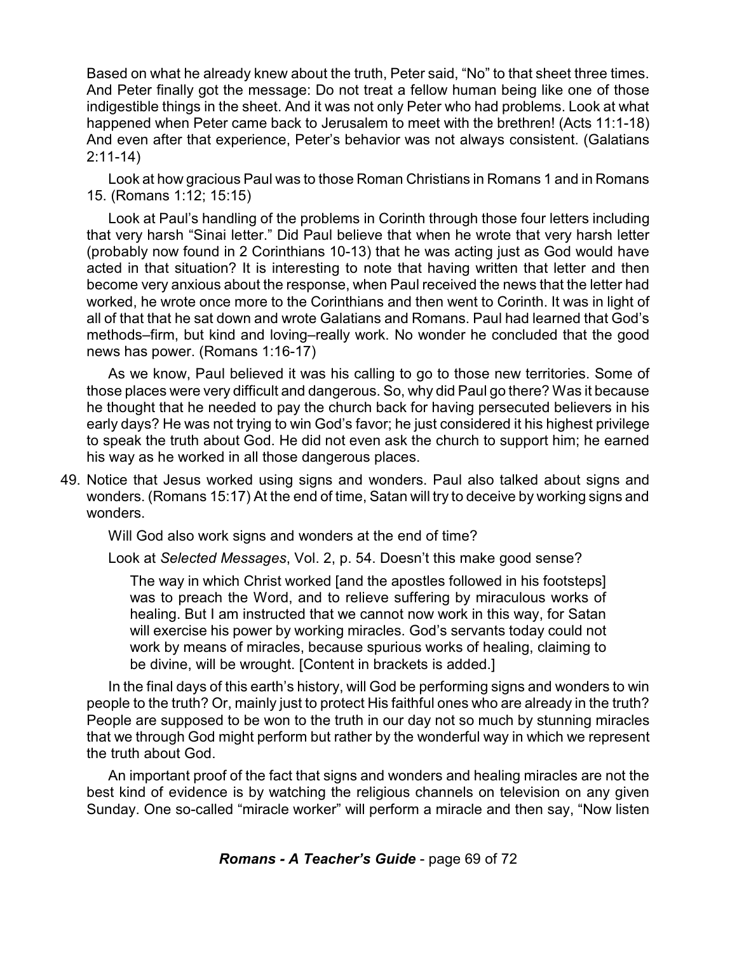Based on what he already knew about the truth, Peter said, "No" to that sheet three times. And Peter finally got the message: Do not treat a fellow human being like one of those indigestible things in the sheet. And it was not only Peter who had problems. Look at what happened when Peter came back to Jerusalem to meet with the brethren! (Acts 11:1-18) And even after that experience, Peter's behavior was not always consistent. (Galatians 2:11-14)

Look at how gracious Paul was to those Roman Christians in Romans 1 and in Romans 15. (Romans 1:12; 15:15)

Look at Paul's handling of the problems in Corinth through those four letters including that very harsh "Sinai letter." Did Paul believe that when he wrote that very harsh letter (probably now found in 2 Corinthians 10-13) that he was acting just as God would have acted in that situation? It is interesting to note that having written that letter and then become very anxious about the response, when Paul received the news that the letter had worked, he wrote once more to the Corinthians and then went to Corinth. It was in light of all of that that he sat down and wrote Galatians and Romans. Paul had learned that God's methods–firm, but kind and loving–really work. No wonder he concluded that the good news has power. (Romans 1:16-17)

As we know, Paul believed it was his calling to go to those new territories. Some of those places were very difficult and dangerous. So, why did Paul go there? Was it because he thought that he needed to pay the church back for having persecuted believers in his early days? He was not trying to win God's favor; he just considered it his highest privilege to speak the truth about God. He did not even ask the church to support him; he earned his way as he worked in all those dangerous places.

49. Notice that Jesus worked using signs and wonders. Paul also talked about signs and wonders. (Romans 15:17) At the end of time, Satan will try to deceive by working signs and wonders.

Will God also work signs and wonders at the end of time?

Look at *Selected Messages*, Vol. 2, p. 54. Doesn't this make good sense?

The way in which Christ worked [and the apostles followed in his footsteps] was to preach the Word, and to relieve suffering by miraculous works of healing. But I am instructed that we cannot now work in this way, for Satan will exercise his power by working miracles. God's servants today could not work by means of miracles, because spurious works of healing, claiming to be divine, will be wrought. [Content in brackets is added.]

In the final days of this earth's history, will God be performing signs and wonders to win people to the truth? Or, mainly just to protect His faithful ones who are already in the truth? People are supposed to be won to the truth in our day not so much by stunning miracles that we through God might perform but rather by the wonderful way in which we represent the truth about God.

An important proof of the fact that signs and wonders and healing miracles are not the best kind of evidence is by watching the religious channels on television on any given Sunday. One so-called "miracle worker" will perform a miracle and then say, "Now listen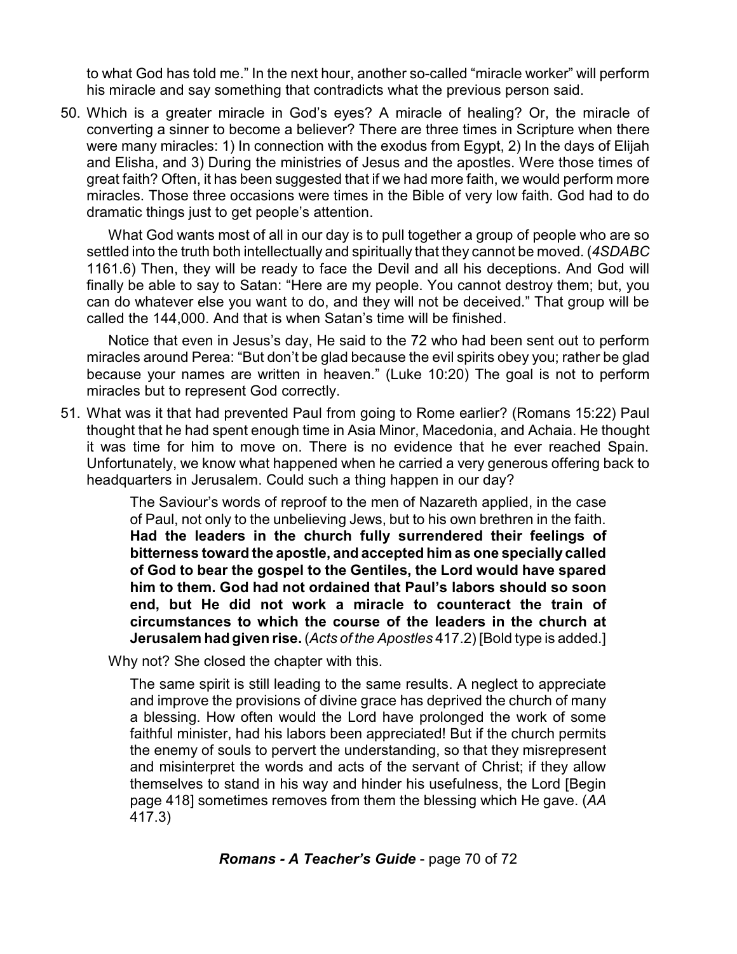to what God has told me." In the next hour, another so-called "miracle worker" will perform his miracle and say something that contradicts what the previous person said.

50. Which is a greater miracle in God's eyes? A miracle of healing? Or, the miracle of converting a sinner to become a believer? There are three times in Scripture when there were many miracles: 1) In connection with the exodus from Egypt, 2) In the days of Elijah and Elisha, and 3) During the ministries of Jesus and the apostles. Were those times of great faith? Often, it has been suggested that if we had more faith, we would perform more miracles. Those three occasions were times in the Bible of very low faith. God had to do dramatic things just to get people's attention.

What God wants most of all in our day is to pull together a group of people who are so settled into the truth both intellectually and spiritually that they cannot be moved. (*4SDABC* 1161.6) Then, they will be ready to face the Devil and all his deceptions. And God will finally be able to say to Satan: "Here are my people. You cannot destroy them; but, you can do whatever else you want to do, and they will not be deceived." That group will be called the 144,000. And that is when Satan's time will be finished.

Notice that even in Jesus's day, He said to the 72 who had been sent out to perform miracles around Perea: "But don't be glad because the evil spirits obey you; rather be glad because your names are written in heaven." (Luke 10:20) The goal is not to perform miracles but to represent God correctly.

51. What was it that had prevented Paul from going to Rome earlier? (Romans 15:22) Paul thought that he had spent enough time in Asia Minor, Macedonia, and Achaia. He thought it was time for him to move on. There is no evidence that he ever reached Spain. Unfortunately, we know what happened when he carried a very generous offering back to headquarters in Jerusalem. Could such a thing happen in our day?

> The Saviour's words of reproof to the men of Nazareth applied, in the case of Paul, not only to the unbelieving Jews, but to his own brethren in the faith. **Had the leaders in the church fully surrendered their feelings of bitterness toward the apostle, and accepted him as one specially called of God to bear the gospel to the Gentiles, the Lord would have spared him to them. God had not ordained that Paul's labors should so soon end, but He did not work a miracle to counteract the train of circumstances to which the course of the leaders in the church at Jerusalem had given rise.** (*Acts of the Apostles* 417.2) [Bold type is added.]

Why not? She closed the chapter with this.

The same spirit is still leading to the same results. A neglect to appreciate and improve the provisions of divine grace has deprived the church of many a blessing. How often would the Lord have prolonged the work of some faithful minister, had his labors been appreciated! But if the church permits the enemy of souls to pervert the understanding, so that they misrepresent and misinterpret the words and acts of the servant of Christ; if they allow themselves to stand in his way and hinder his usefulness, the Lord [Begin page 418] sometimes removes from them the blessing which He gave. (*AA* 417.3)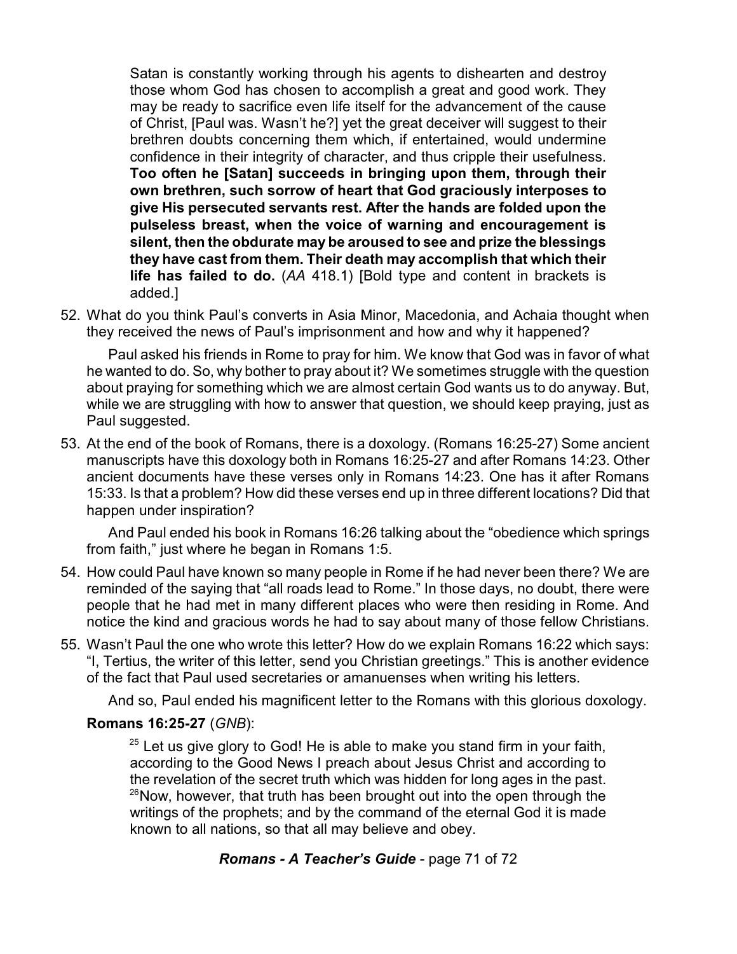Satan is constantly working through his agents to dishearten and destroy those whom God has chosen to accomplish a great and good work. They may be ready to sacrifice even life itself for the advancement of the cause of Christ, [Paul was. Wasn't he?] yet the great deceiver will suggest to their brethren doubts concerning them which, if entertained, would undermine confidence in their integrity of character, and thus cripple their usefulness. **Too often he [Satan] succeeds in bringing upon them, through their own brethren, such sorrow of heart that God graciously interposes to give His persecuted servants rest. After the hands are folded upon the pulseless breast, when the voice of warning and encouragement is silent, then the obdurate may be aroused to see and prize the blessings they have cast from them. Their death may accomplish that which their life has failed to do.** (*AA* 418.1) [Bold type and content in brackets is added.]

52. What do you think Paul's converts in Asia Minor, Macedonia, and Achaia thought when they received the news of Paul's imprisonment and how and why it happened?

Paul asked his friends in Rome to pray for him. We know that God was in favor of what he wanted to do. So, why bother to pray about it? We sometimes struggle with the question about praying for something which we are almost certain God wants us to do anyway. But, while we are struggling with how to answer that question, we should keep praying, just as Paul suggested.

53. At the end of the book of Romans, there is a doxology. (Romans 16:25-27) Some ancient manuscripts have this doxology both in Romans 16:25-27 and after Romans 14:23. Other ancient documents have these verses only in Romans 14:23. One has it after Romans 15:33. Is that a problem? How did these verses end up in three different locations? Did that happen under inspiration?

And Paul ended his book in Romans 16:26 talking about the "obedience which springs from faith," just where he began in Romans 1:5.

- 54. How could Paul have known so many people in Rome if he had never been there? We are reminded of the saying that "all roads lead to Rome." In those days, no doubt, there were people that he had met in many different places who were then residing in Rome. And notice the kind and gracious words he had to say about many of those fellow Christians.
- 55. Wasn't Paul the one who wrote this letter? How do we explain Romans 16:22 which says: "I, Tertius, the writer of this letter, send you Christian greetings." This is another evidence of the fact that Paul used secretaries or amanuenses when writing his letters.

And so, Paul ended his magnificent letter to the Romans with this glorious doxology.

## **Romans 16:25-27** (*GNB*):

 $25$  Let us give glory to God! He is able to make you stand firm in your faith, according to the Good News I preach about Jesus Christ and according to the revelation of the secret truth which was hidden for long ages in the past.  $26$ Now, however, that truth has been brought out into the open through the writings of the prophets; and by the command of the eternal God it is made known to all nations, so that all may believe and obey.

## *Romans - A Teacher's Guide* - page 71 of 72